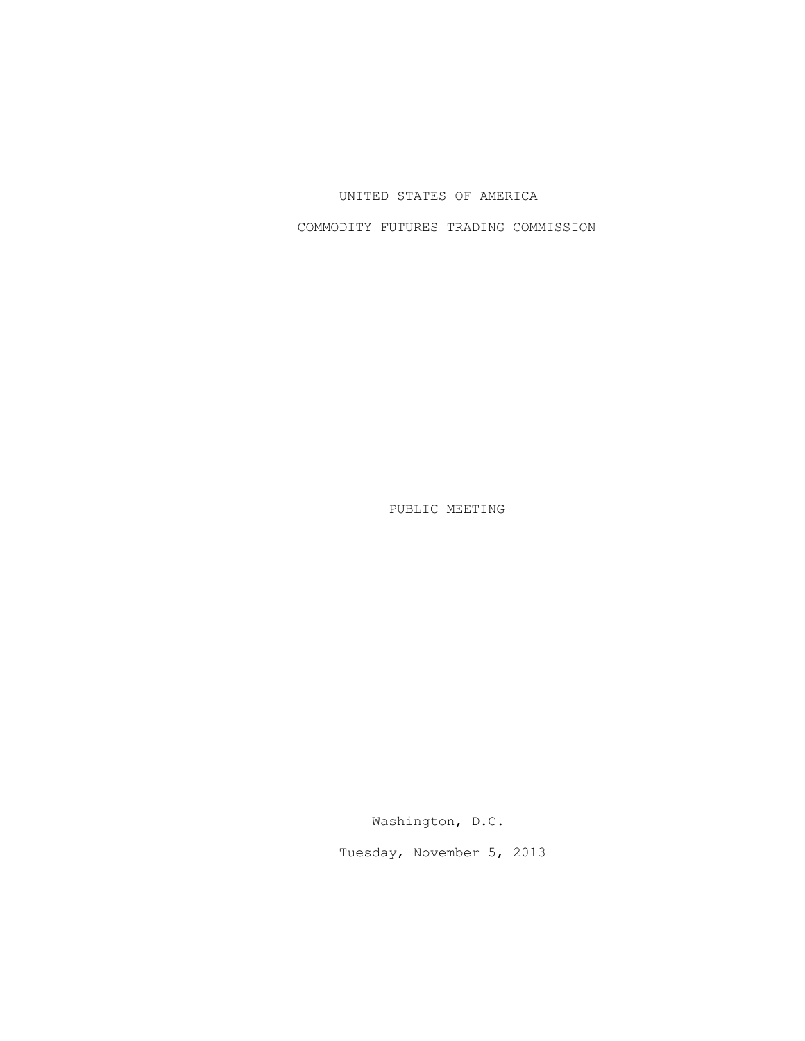## UNITED STATES OF AMERICA

COMMODITY FUTURES TRADING COMMISSION

PUBLIC MEETING

Washington, D.C.

Tuesday, November 5, 2013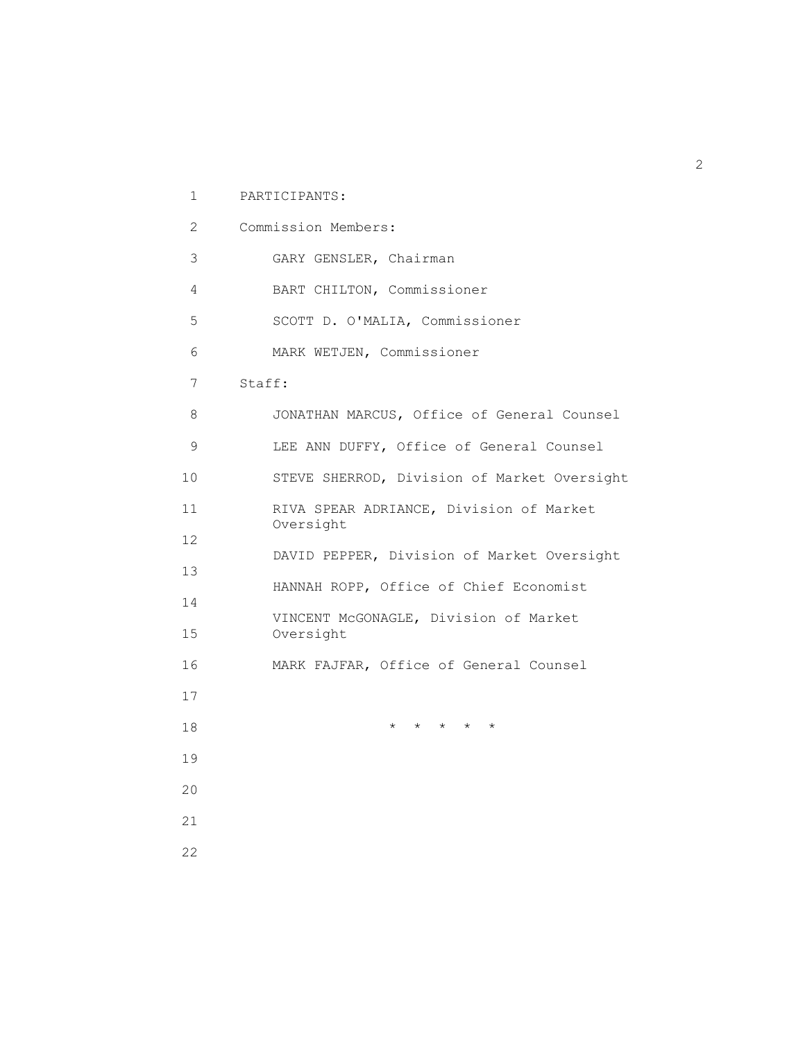| 1                         | PARTICIPANTS:                                      |
|---------------------------|----------------------------------------------------|
| $\mathbf{2}^{\mathsf{I}}$ | Commission Members:                                |
| 3                         | GARY GENSLER, Chairman                             |
| 4                         | BART CHILTON, Commissioner                         |
| 5                         | SCOTT D. O'MALIA, Commissioner                     |
| 6                         | MARK WETJEN, Commissioner                          |
| 7                         | Staff:                                             |
| 8                         | JONATHAN MARCUS, Office of General Counsel         |
| 9                         | LEE ANN DUFFY, Office of General Counsel           |
| 10 <sup>°</sup>           | STEVE SHERROD, Division of Market Oversight        |
| 11                        | RIVA SPEAR ADRIANCE, Division of Market            |
| 12                        | Oversight                                          |
| 13                        | DAVID PEPPER, Division of Market Oversight         |
| 14                        | HANNAH ROPP, Office of Chief Economist             |
| 15 <sub>1</sub>           | VINCENT McGONAGLE, Division of Market<br>Oversight |
| 16                        | MARK FAJFAR, Office of General Counsel             |
| 17                        |                                                    |
| 18                        | * * * * *                                          |
| 19                        |                                                    |
| 20                        |                                                    |
| 21                        |                                                    |
| 22                        |                                                    |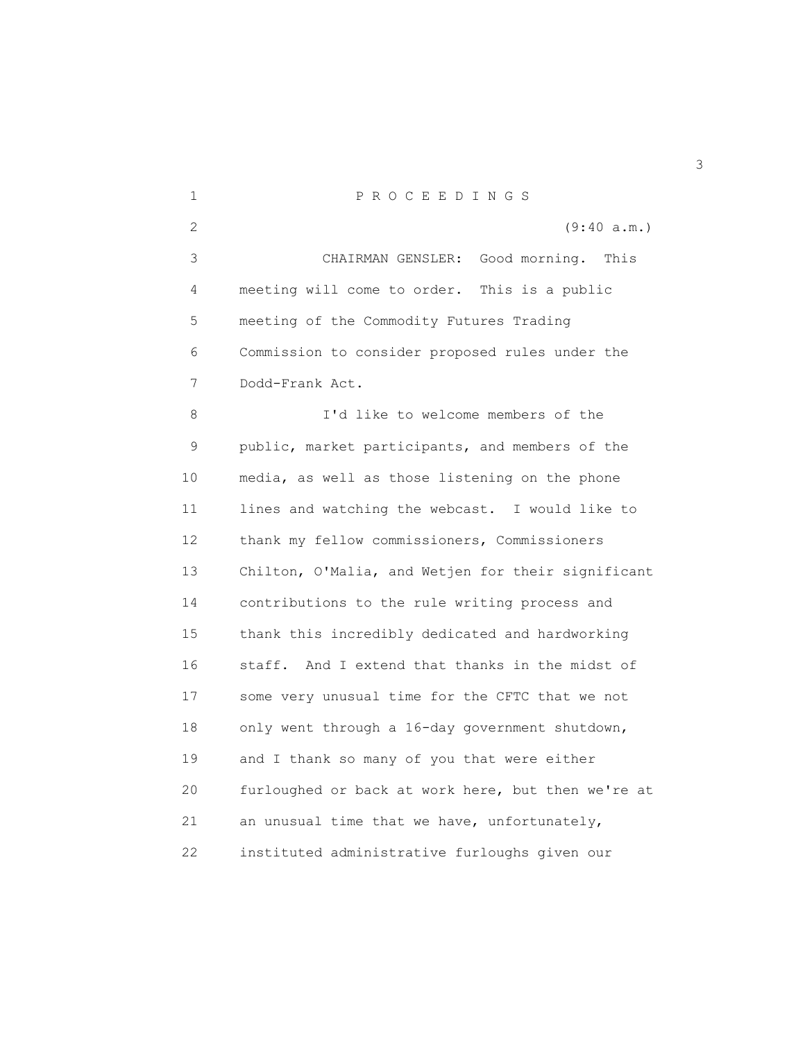1 P R O C E E D I N G S 2 (9:40 a.m.) 3 CHAIRMAN GENSLER: Good morning. This 4 meeting will come to order. This is a public 5 meeting of the Commodity Futures Trading 6 Commission to consider proposed rules under the 7 Dodd-Frank Act. 8 I'd like to welcome members of the 9 public, market participants, and members of the 10 media, as well as those listening on the phone 11 lines and watching the webcast. I would like to 12 thank my fellow commissioners, Commissioners 13 Chilton, O'Malia, and Wetjen for their significant 14 contributions to the rule writing process and 15 thank this incredibly dedicated and hardworking 16 staff. And I extend that thanks in the midst of 17 some very unusual time for the CFTC that we not 18 only went through a 16-day government shutdown, 19 and I thank so many of you that were either 20 furloughed or back at work here, but then we're at 21 an unusual time that we have, unfortunately, 22 instituted administrative furloughs given our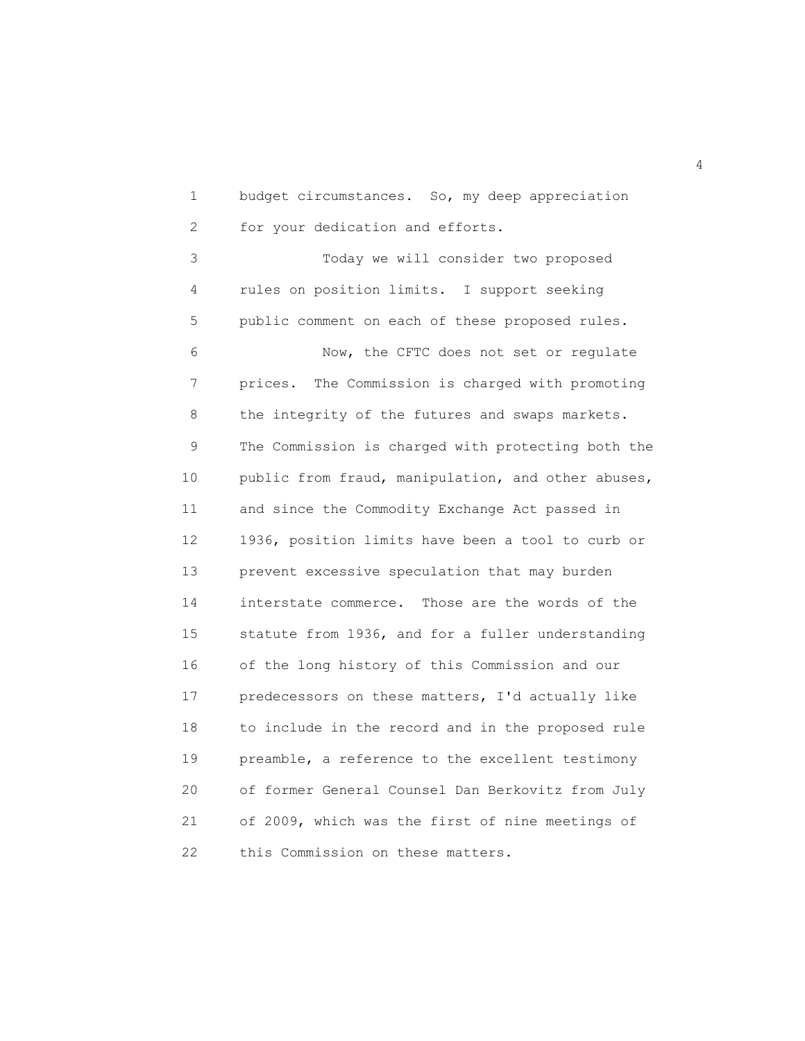1 budget circumstances. So, my deep appreciation 2 for your dedication and efforts.

 3 Today we will consider two proposed 4 rules on position limits. I support seeking 5 public comment on each of these proposed rules. 6 Now, the CFTC does not set or regulate 7 prices. The Commission is charged with promoting 8 the integrity of the futures and swaps markets. 9 The Commission is charged with protecting both the 10 public from fraud, manipulation, and other abuses, 11 and since the Commodity Exchange Act passed in 12 1936, position limits have been a tool to curb or 13 prevent excessive speculation that may burden 14 interstate commerce. Those are the words of the 15 statute from 1936, and for a fuller understanding 16 of the long history of this Commission and our 17 predecessors on these matters, I'd actually like 18 to include in the record and in the proposed rule 19 preamble, a reference to the excellent testimony 20 of former General Counsel Dan Berkovitz from July 21 of 2009, which was the first of nine meetings of 22 this Commission on these matters.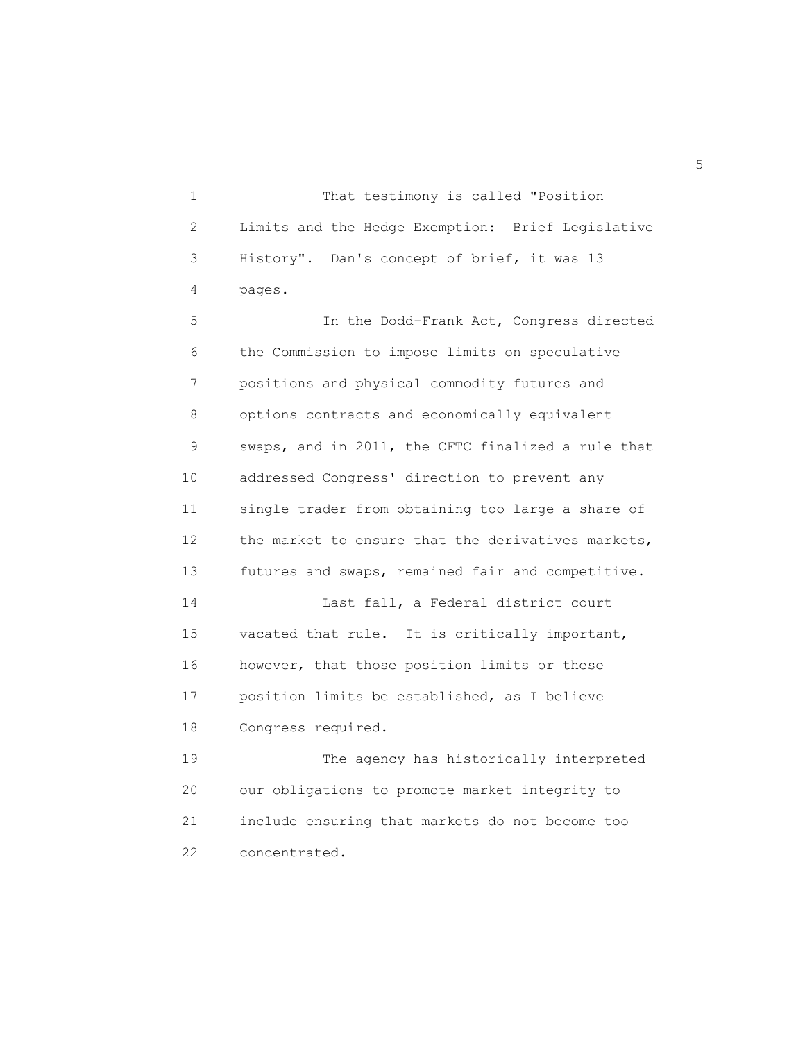1 That testimony is called "Position 2 Limits and the Hedge Exemption: Brief Legislative 3 History". Dan's concept of brief, it was 13 4 pages.

 5 In the Dodd-Frank Act, Congress directed 6 the Commission to impose limits on speculative 7 positions and physical commodity futures and 8 options contracts and economically equivalent 9 swaps, and in 2011, the CFTC finalized a rule that 10 addressed Congress' direction to prevent any 11 single trader from obtaining too large a share of 12 the market to ensure that the derivatives markets, 13 futures and swaps, remained fair and competitive. 14 Last fall, a Federal district court 15 vacated that rule. It is critically important, 16 however, that those position limits or these 17 position limits be established, as I believe 18 Congress required. 19 The agency has historically interpreted 20 our obligations to promote market integrity to 21 include ensuring that markets do not become too

22 concentrated.

 $\sim$  5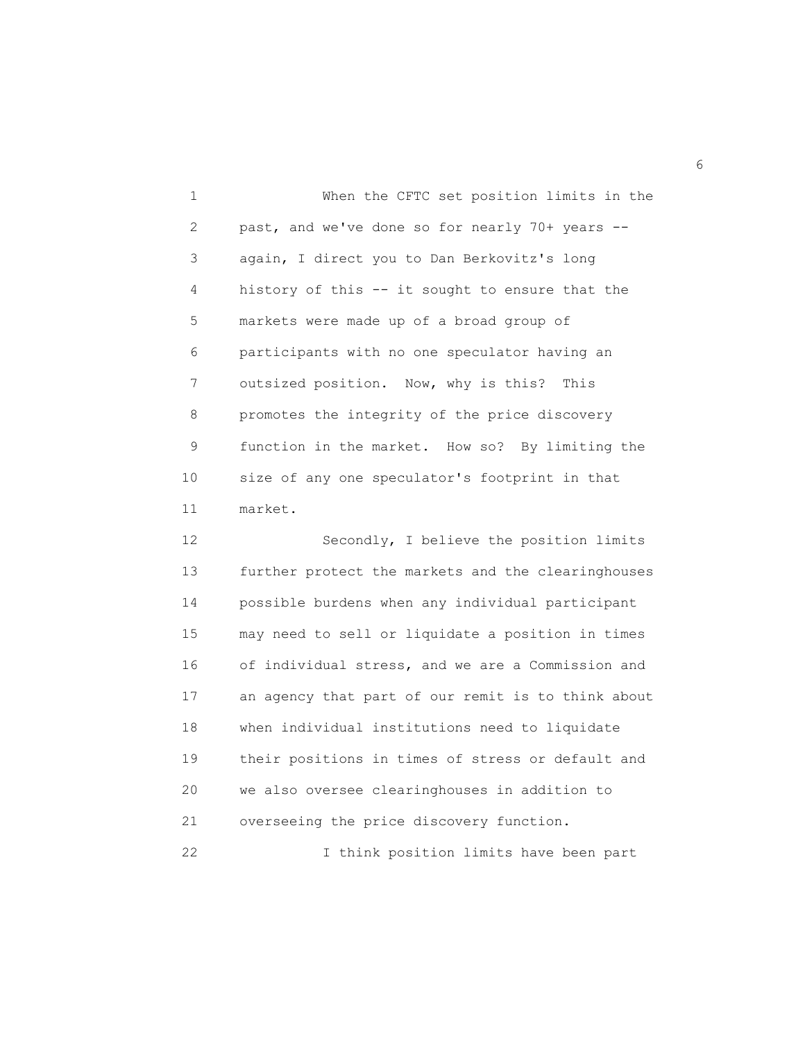1 When the CFTC set position limits in the 2 past, and we've done so for nearly 70+ years -- 3 again, I direct you to Dan Berkovitz's long 4 history of this -- it sought to ensure that the 5 markets were made up of a broad group of 6 participants with no one speculator having an 7 outsized position. Now, why is this? This 8 promotes the integrity of the price discovery 9 function in the market. How so? By limiting the 10 size of any one speculator's footprint in that 11 market.

12 Secondly, I believe the position limits 13 further protect the markets and the clearinghouses 14 possible burdens when any individual participant 15 may need to sell or liquidate a position in times 16 of individual stress, and we are a Commission and 17 an agency that part of our remit is to think about 18 when individual institutions need to liquidate 19 their positions in times of stress or default and 20 we also oversee clearinghouses in addition to 21 overseeing the price discovery function. 22 I think position limits have been part

 $\sim$  6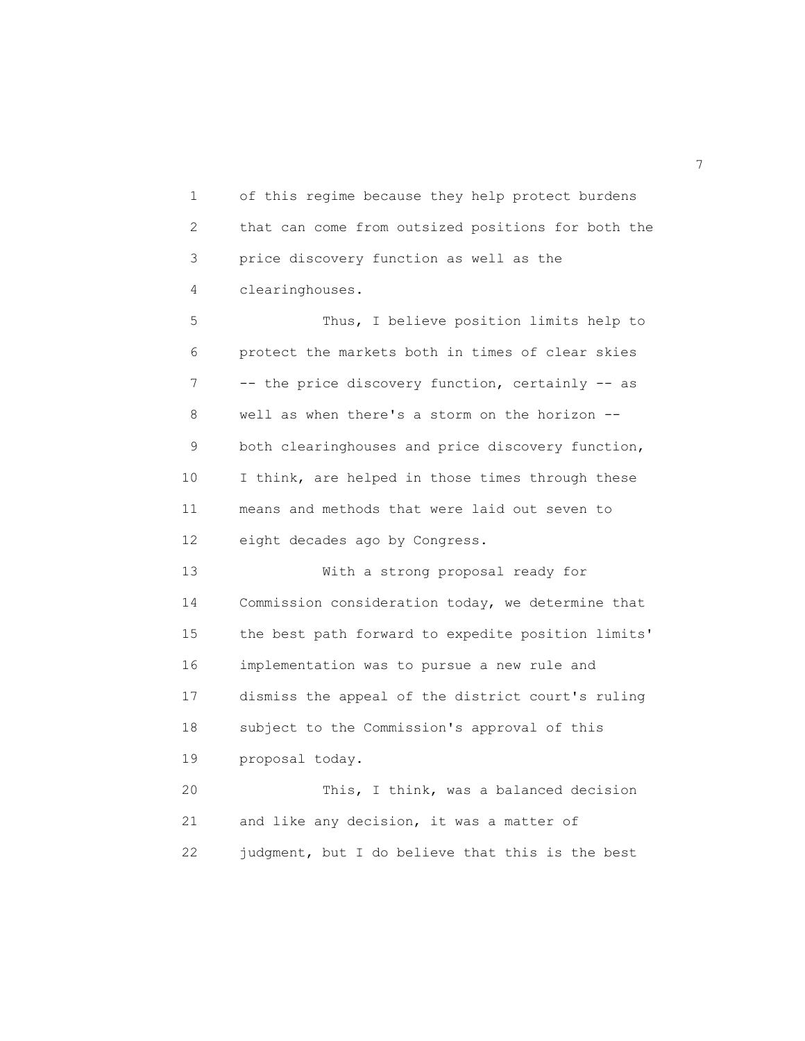1 of this regime because they help protect burdens 2 that can come from outsized positions for both the 3 price discovery function as well as the 4 clearinghouses.

 5 Thus, I believe position limits help to 6 protect the markets both in times of clear skies 7 -- the price discovery function, certainly -- as 8 well as when there's a storm on the horizon -- 9 both clearinghouses and price discovery function, 10 I think, are helped in those times through these 11 means and methods that were laid out seven to 12 eight decades ago by Congress.

 13 With a strong proposal ready for 14 Commission consideration today, we determine that 15 the best path forward to expedite position limits' 16 implementation was to pursue a new rule and 17 dismiss the appeal of the district court's ruling 18 subject to the Commission's approval of this 19 proposal today. 20 This, I think, was a balanced decision

 21 and like any decision, it was a matter of 22 judgment, but I do believe that this is the best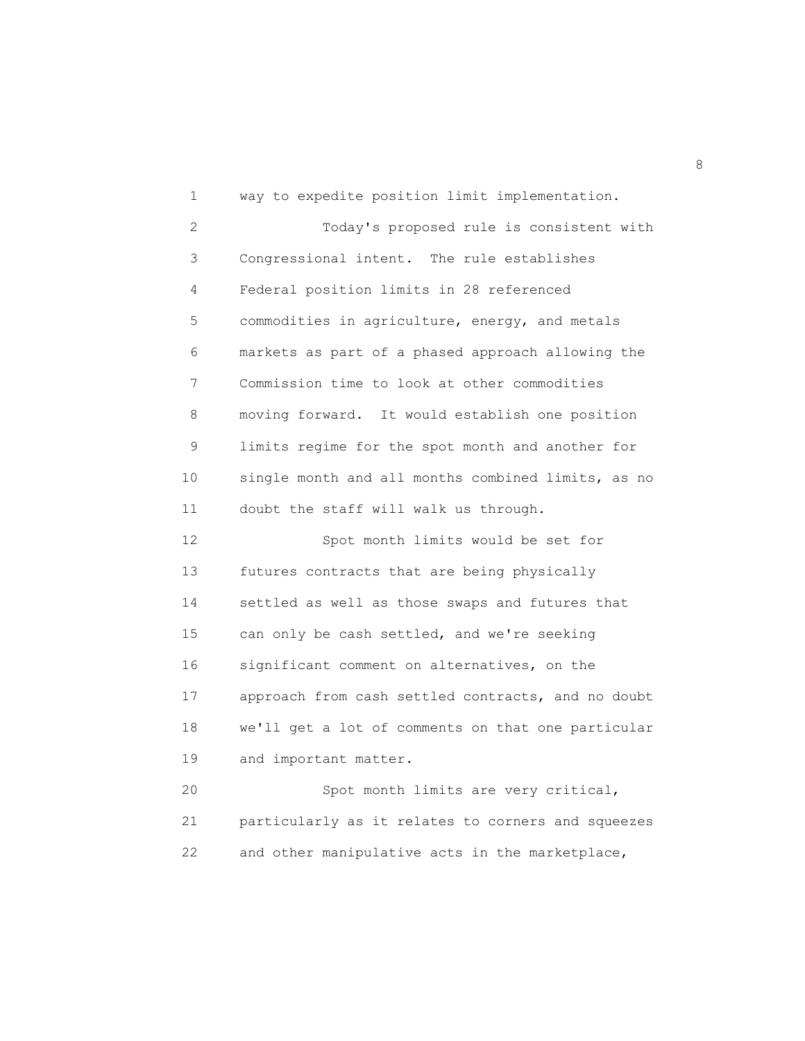1 way to expedite position limit implementation. 2 Today's proposed rule is consistent with 3 Congressional intent. The rule establishes 4 Federal position limits in 28 referenced 5 commodities in agriculture, energy, and metals 6 markets as part of a phased approach allowing the 7 Commission time to look at other commodities 8 moving forward. It would establish one position 9 limits regime for the spot month and another for 10 single month and all months combined limits, as no 11 doubt the staff will walk us through. 12 Spot month limits would be set for 13 futures contracts that are being physically 14 settled as well as those swaps and futures that 15 can only be cash settled, and we're seeking 16 significant comment on alternatives, on the 17 approach from cash settled contracts, and no doubt 18 we'll get a lot of comments on that one particular 19 and important matter. 20 Spot month limits are very critical, 21 particularly as it relates to corners and squeezes 22 and other manipulative acts in the marketplace,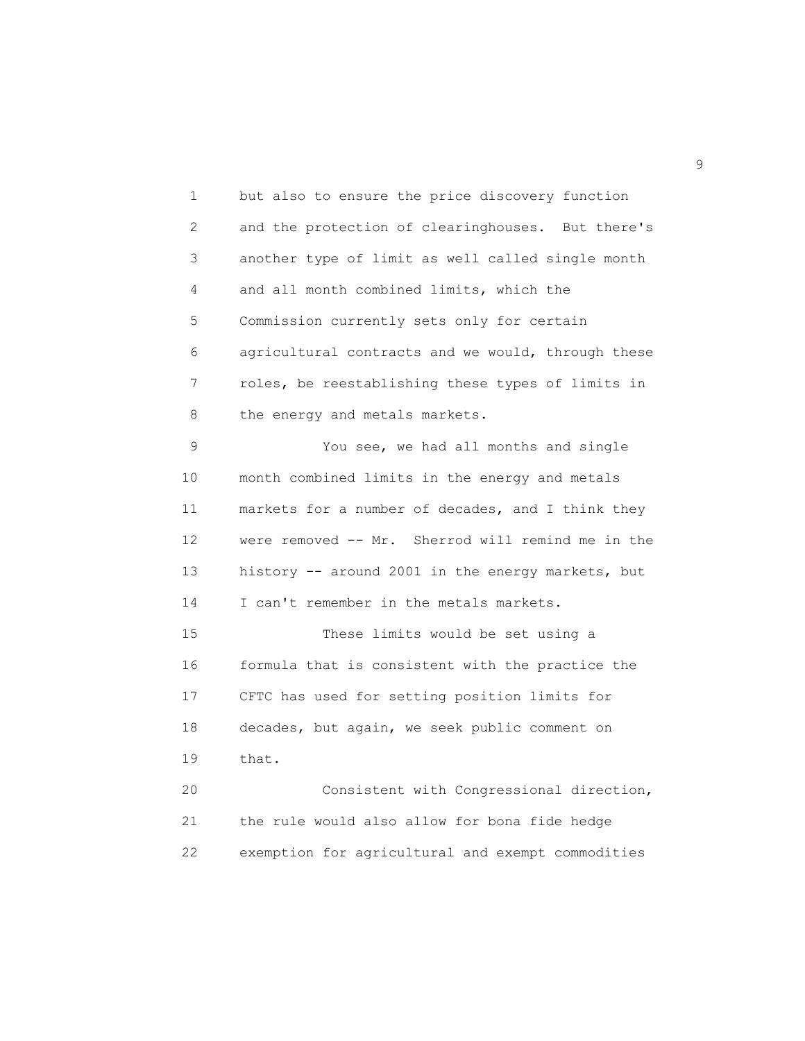1 but also to ensure the price discovery function 2 and the protection of clearinghouses. But there's 3 another type of limit as well called single month 4 and all month combined limits, which the 5 Commission currently sets only for certain 6 agricultural contracts and we would, through these 7 roles, be reestablishing these types of limits in 8 the energy and metals markets. 9 You see, we had all months and single 10 month combined limits in the energy and metals 11 markets for a number of decades, and I think they 12 were removed -- Mr. Sherrod will remind me in the 13 history -- around 2001 in the energy markets, but 14 I can't remember in the metals markets. 15 These limits would be set using a 16 formula that is consistent with the practice the 17 CFTC has used for setting position limits for 18 decades, but again, we seek public comment on 19 that. 20 Consistent with Congressional direction, 21 the rule would also allow for bona fide hedge 22 exemption for agricultural and exempt commodities

en de la construction de la construction de la construction de la construction de la construction de la constr<br>1990 : la construction de la construction de la construction de la construction de la construction de la const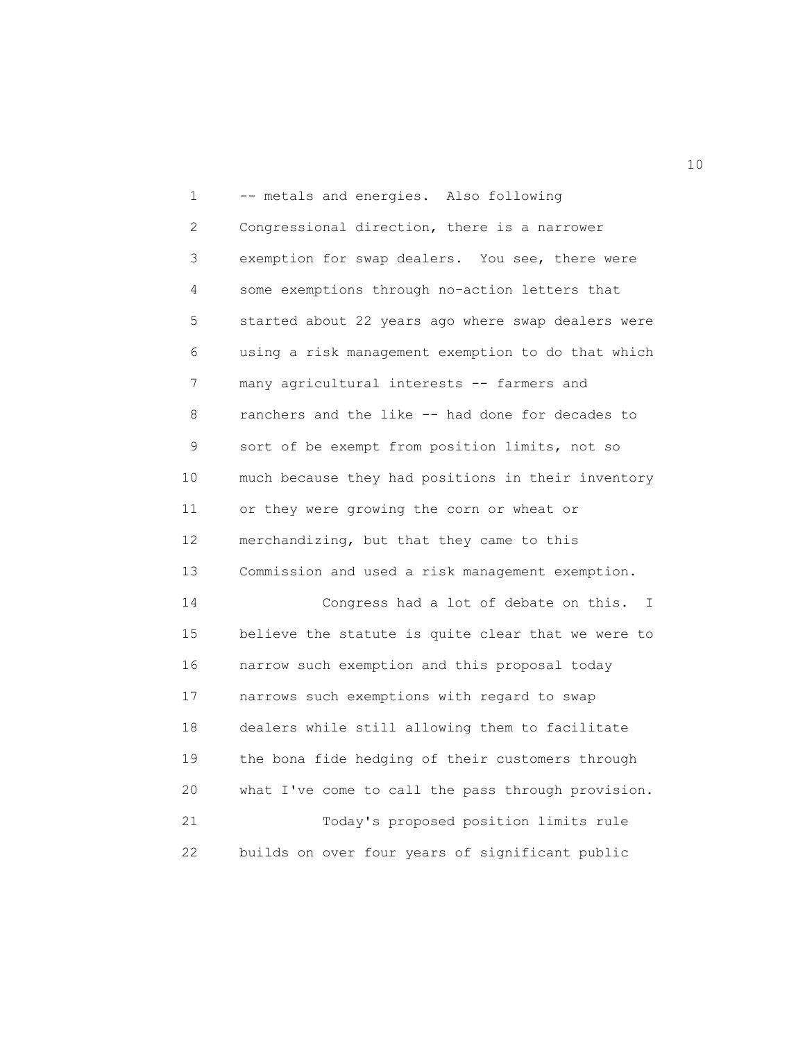1 -- metals and energies. Also following 2 Congressional direction, there is a narrower 3 exemption for swap dealers. You see, there were 4 some exemptions through no-action letters that 5 started about 22 years ago where swap dealers were 6 using a risk management exemption to do that which 7 many agricultural interests -- farmers and 8 ranchers and the like -- had done for decades to 9 sort of be exempt from position limits, not so 10 much because they had positions in their inventory 11 or they were growing the corn or wheat or 12 merchandizing, but that they came to this 13 Commission and used a risk management exemption. 14 Congress had a lot of debate on this. I 15 believe the statute is quite clear that we were to 16 narrow such exemption and this proposal today 17 narrows such exemptions with regard to swap 18 dealers while still allowing them to facilitate 19 the bona fide hedging of their customers through 20 what I've come to call the pass through provision. 21 Today's proposed position limits rule 22 builds on over four years of significant public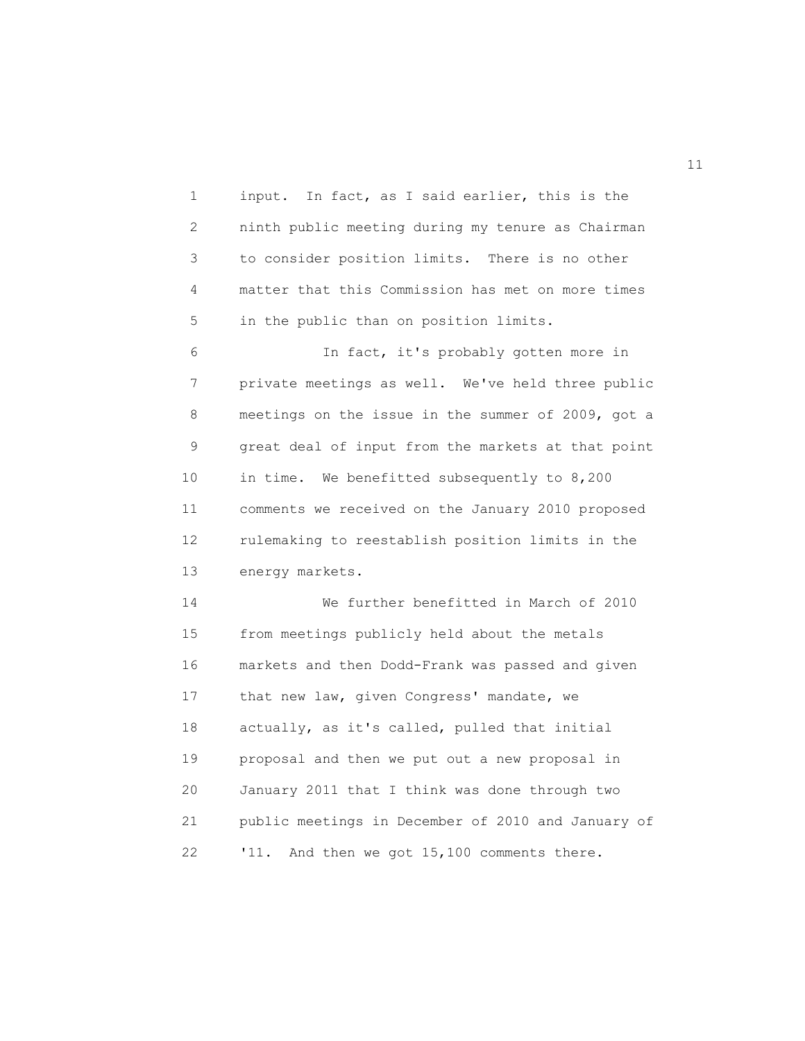1 input. In fact, as I said earlier, this is the 2 ninth public meeting during my tenure as Chairman 3 to consider position limits. There is no other 4 matter that this Commission has met on more times 5 in the public than on position limits.

 6 In fact, it's probably gotten more in 7 private meetings as well. We've held three public 8 meetings on the issue in the summer of 2009, got a 9 great deal of input from the markets at that point 10 in time. We benefitted subsequently to 8,200 11 comments we received on the January 2010 proposed 12 rulemaking to reestablish position limits in the 13 energy markets.

 14 We further benefitted in March of 2010 15 from meetings publicly held about the metals 16 markets and then Dodd-Frank was passed and given 17 that new law, given Congress' mandate, we 18 actually, as it's called, pulled that initial 19 proposal and then we put out a new proposal in 20 January 2011 that I think was done through two 21 public meetings in December of 2010 and January of 22 '11. And then we got 15,100 comments there.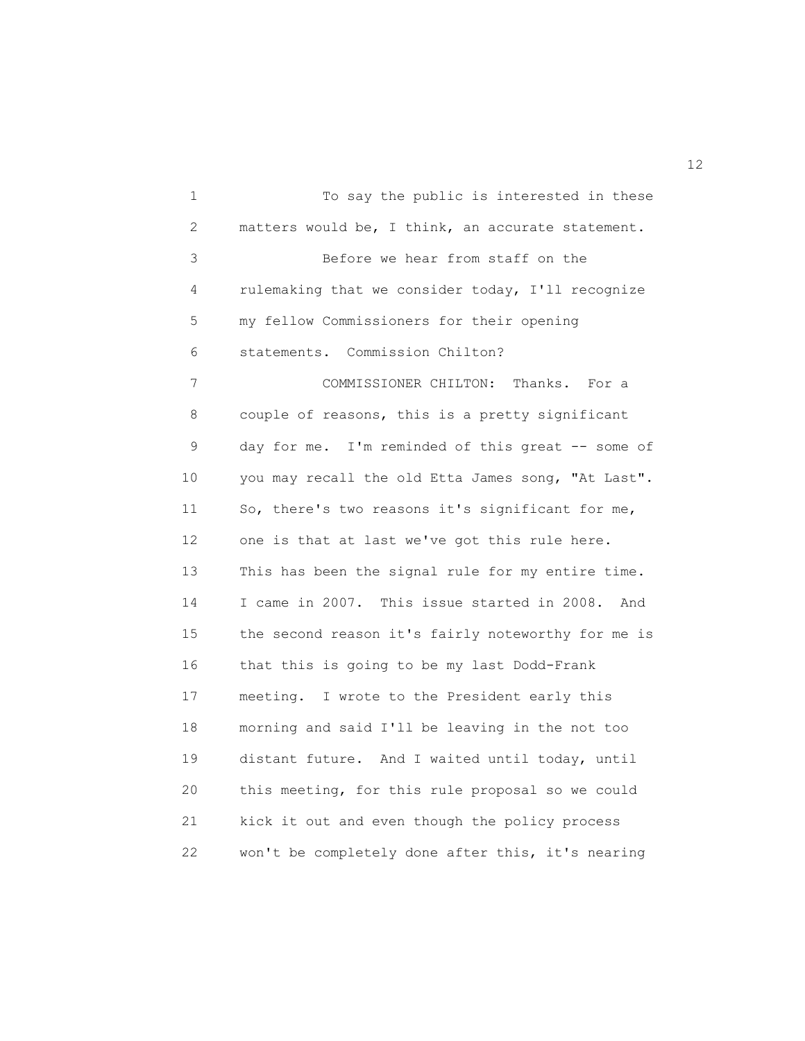1 To say the public is interested in these 2 matters would be, I think, an accurate statement. 3 Before we hear from staff on the 4 rulemaking that we consider today, I'll recognize 5 my fellow Commissioners for their opening 6 statements. Commission Chilton? 7 COMMISSIONER CHILTON: Thanks. For a 8 couple of reasons, this is a pretty significant 9 day for me. I'm reminded of this great -- some of 10 you may recall the old Etta James song, "At Last". 11 So, there's two reasons it's significant for me, 12 one is that at last we've got this rule here. 13 This has been the signal rule for my entire time. 14 I came in 2007. This issue started in 2008. And 15 the second reason it's fairly noteworthy for me is 16 that this is going to be my last Dodd-Frank 17 meeting. I wrote to the President early this 18 morning and said I'll be leaving in the not too 19 distant future. And I waited until today, until 20 this meeting, for this rule proposal so we could 21 kick it out and even though the policy process 22 won't be completely done after this, it's nearing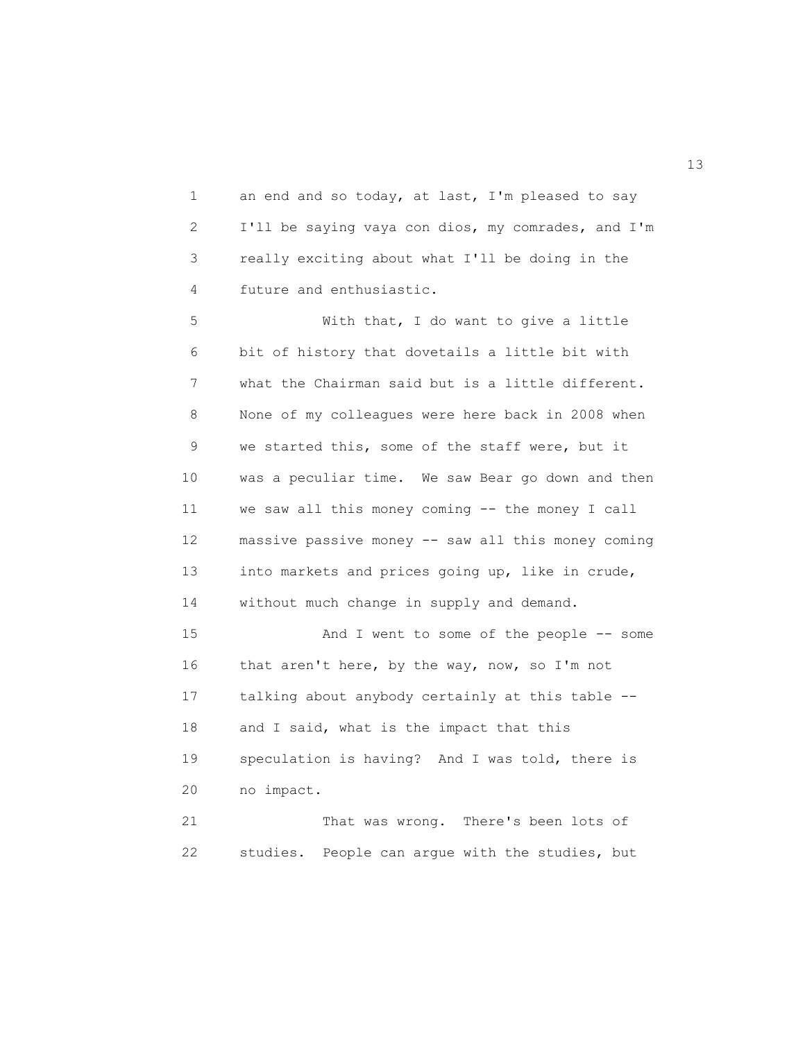1 an end and so today, at last, I'm pleased to say 2 I'll be saying vaya con dios, my comrades, and I'm 3 really exciting about what I'll be doing in the 4 future and enthusiastic.

 5 With that, I do want to give a little 6 bit of history that dovetails a little bit with 7 what the Chairman said but is a little different. 8 None of my colleagues were here back in 2008 when 9 we started this, some of the staff were, but it 10 was a peculiar time. We saw Bear go down and then 11 we saw all this money coming -- the money I call 12 massive passive money -- saw all this money coming 13 into markets and prices going up, like in crude, 14 without much change in supply and demand. 15 And I went to some of the people -- some 16 that aren't here, by the way, now, so I'm not 17 talking about anybody certainly at this table -- 18 and I said, what is the impact that this 19 speculation is having? And I was told, there is

20 no impact.

 21 That was wrong. There's been lots of 22 studies. People can argue with the studies, but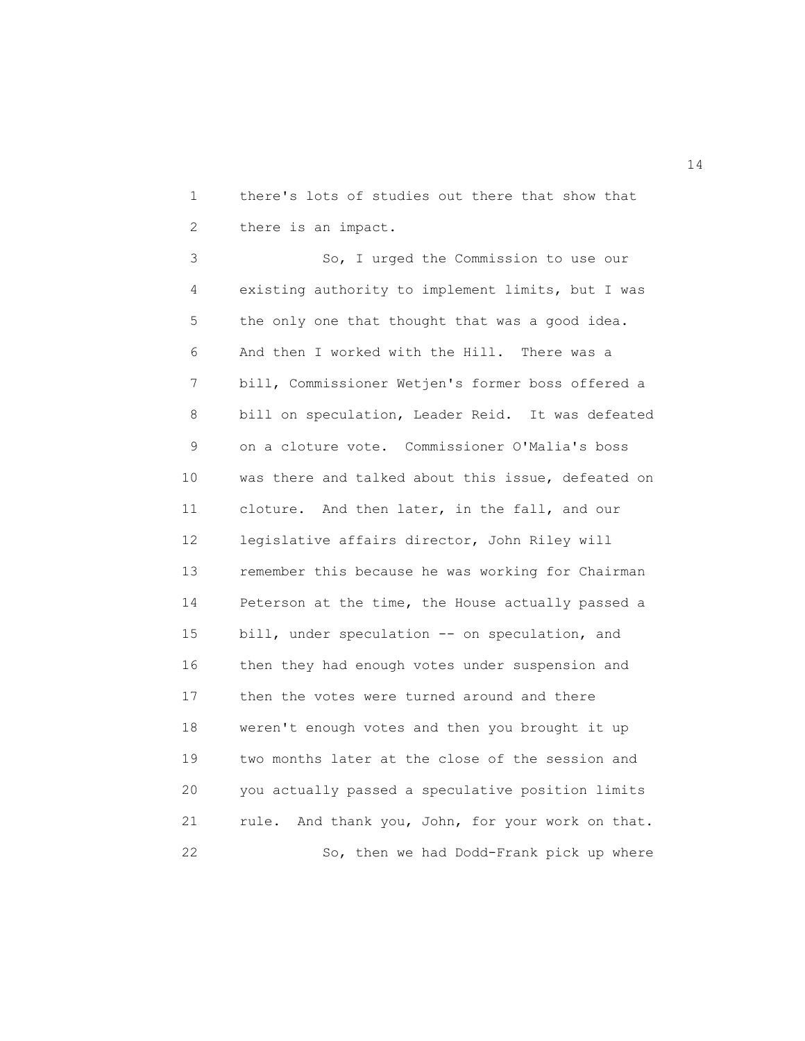1 there's lots of studies out there that show that 2 there is an impact.

 3 So, I urged the Commission to use our 4 existing authority to implement limits, but I was 5 the only one that thought that was a good idea. 6 And then I worked with the Hill. There was a 7 bill, Commissioner Wetjen's former boss offered a 8 bill on speculation, Leader Reid. It was defeated 9 on a cloture vote. Commissioner O'Malia's boss 10 was there and talked about this issue, defeated on 11 cloture. And then later, in the fall, and our 12 legislative affairs director, John Riley will 13 remember this because he was working for Chairman 14 Peterson at the time, the House actually passed a 15 bill, under speculation -- on speculation, and 16 then they had enough votes under suspension and 17 then the votes were turned around and there 18 weren't enough votes and then you brought it up 19 two months later at the close of the session and 20 you actually passed a speculative position limits 21 rule. And thank you, John, for your work on that. 22 So, then we had Dodd-Frank pick up where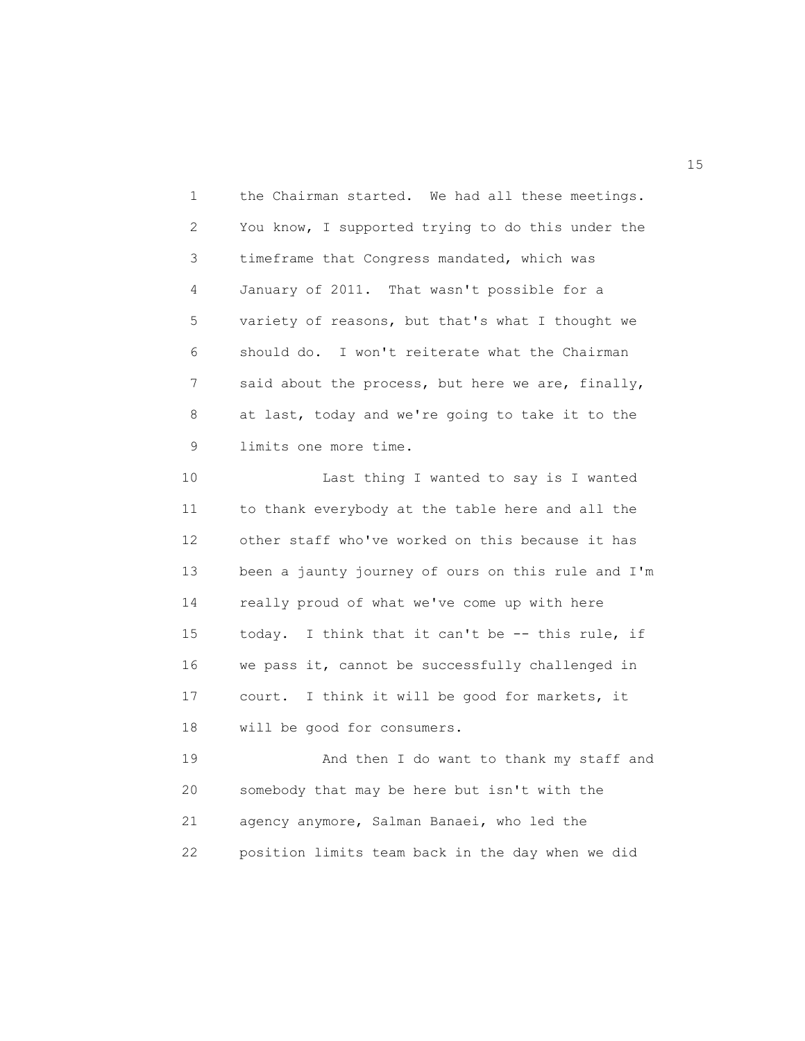1 the Chairman started. We had all these meetings. 2 You know, I supported trying to do this under the 3 timeframe that Congress mandated, which was 4 January of 2011. That wasn't possible for a 5 variety of reasons, but that's what I thought we 6 should do. I won't reiterate what the Chairman 7 said about the process, but here we are, finally, 8 at last, today and we're going to take it to the 9 limits one more time.

 10 Last thing I wanted to say is I wanted 11 to thank everybody at the table here and all the 12 other staff who've worked on this because it has 13 been a jaunty journey of ours on this rule and I'm 14 really proud of what we've come up with here 15 today. I think that it can't be -- this rule, if 16 we pass it, cannot be successfully challenged in 17 court. I think it will be good for markets, it 18 will be good for consumers.

 19 And then I do want to thank my staff and 20 somebody that may be here but isn't with the 21 agency anymore, Salman Banaei, who led the 22 position limits team back in the day when we did

15 and 15 and 15 and 15 and 15 and 15 and 15 and 15 and 15 and 15 and 15 and 15 and 15 and 15 and 15 and 15 and 16 and 16 and 16 and 16 and 16 and 16 and 16 and 16 and 16 and 16 and 16 and 16 and 16 and 16 and 16 and 16 an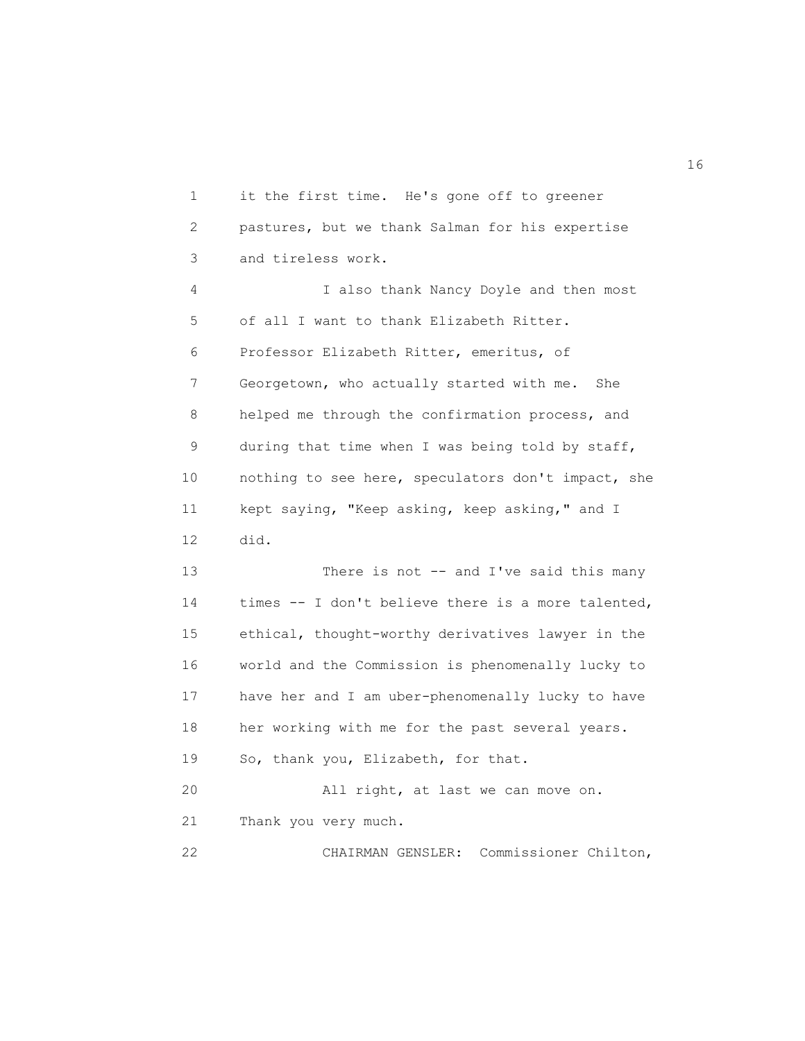1 it the first time. He's gone off to greener 2 pastures, but we thank Salman for his expertise 3 and tireless work. 4 I also thank Nancy Doyle and then most 5 of all I want to thank Elizabeth Ritter. 6 Professor Elizabeth Ritter, emeritus, of 7 Georgetown, who actually started with me. She 8 helped me through the confirmation process, and 9 during that time when I was being told by staff, 10 nothing to see here, speculators don't impact, she 11 kept saying, "Keep asking, keep asking," and I 12 did. 13 There is not -- and I've said this many 14 times -- I don't believe there is a more talented, 15 ethical, thought-worthy derivatives lawyer in the 16 world and the Commission is phenomenally lucky to 17 have her and I am uber-phenomenally lucky to have 18 her working with me for the past several years. 19 So, thank you, Elizabeth, for that. 20 All right, at last we can move on. 21 Thank you very much. 22 CHAIRMAN GENSLER: Commissioner Chilton,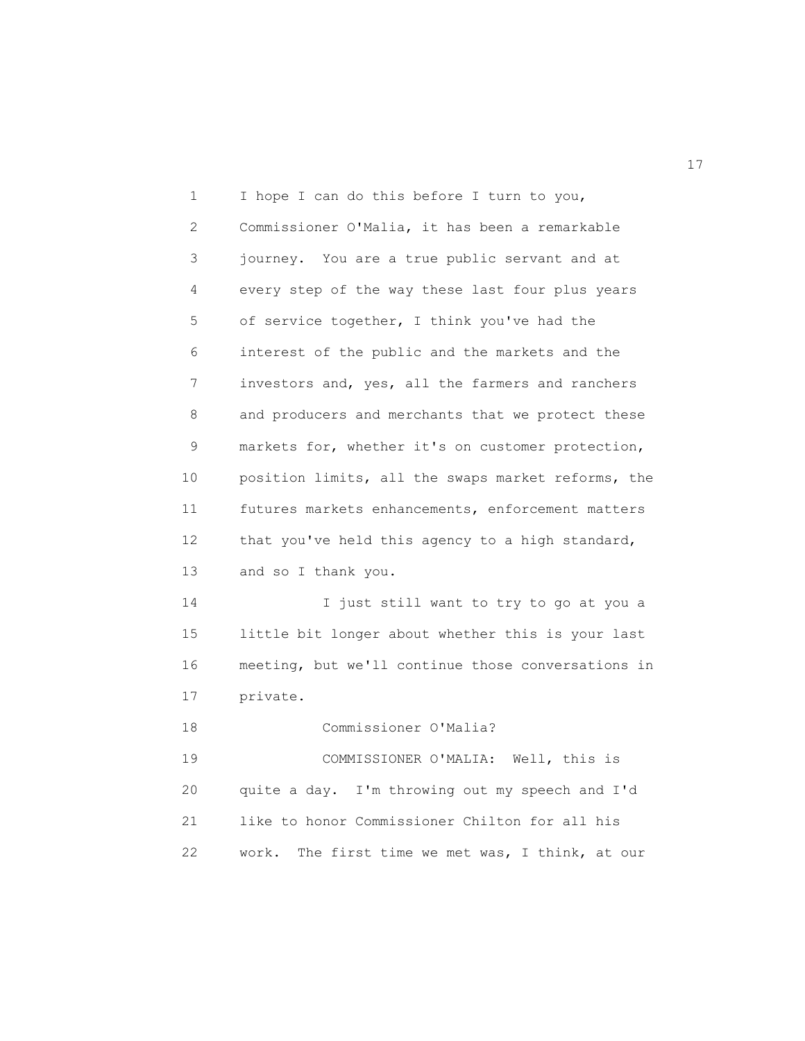1 I hope I can do this before I turn to you, 2 Commissioner O'Malia, it has been a remarkable 3 journey. You are a true public servant and at 4 every step of the way these last four plus years 5 of service together, I think you've had the 6 interest of the public and the markets and the 7 investors and, yes, all the farmers and ranchers 8 and producers and merchants that we protect these 9 markets for, whether it's on customer protection, 10 position limits, all the swaps market reforms, the 11 futures markets enhancements, enforcement matters 12 that you've held this agency to a high standard, 13 and so I thank you. 14 I just still want to try to go at you a 15 little bit longer about whether this is your last 16 meeting, but we'll continue those conversations in 17 private. 18 Commissioner O'Malia? 19 COMMISSIONER O'MALIA: Well, this is 20 quite a day. I'm throwing out my speech and I'd 21 like to honor Commissioner Chilton for all his 22 work. The first time we met was, I think, at our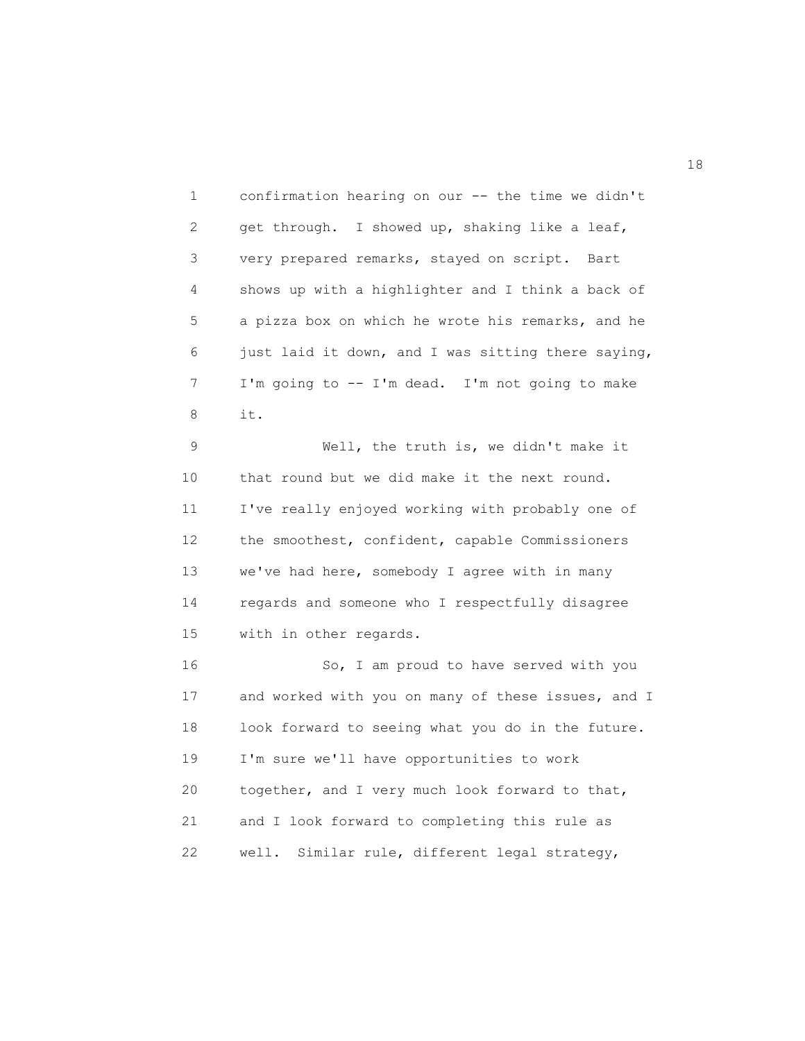1 confirmation hearing on our -- the time we didn't 2 get through. I showed up, shaking like a leaf, 3 very prepared remarks, stayed on script. Bart 4 shows up with a highlighter and I think a back of 5 a pizza box on which he wrote his remarks, and he 6 just laid it down, and I was sitting there saying, 7 I'm going to -- I'm dead. I'm not going to make 8 it.

 9 Well, the truth is, we didn't make it 10 that round but we did make it the next round. 11 I've really enjoyed working with probably one of 12 the smoothest, confident, capable Commissioners 13 we've had here, somebody I agree with in many 14 regards and someone who I respectfully disagree 15 with in other regards.

 16 So, I am proud to have served with you 17 and worked with you on many of these issues, and I 18 look forward to seeing what you do in the future. 19 I'm sure we'll have opportunities to work 20 together, and I very much look forward to that, 21 and I look forward to completing this rule as 22 well. Similar rule, different legal strategy,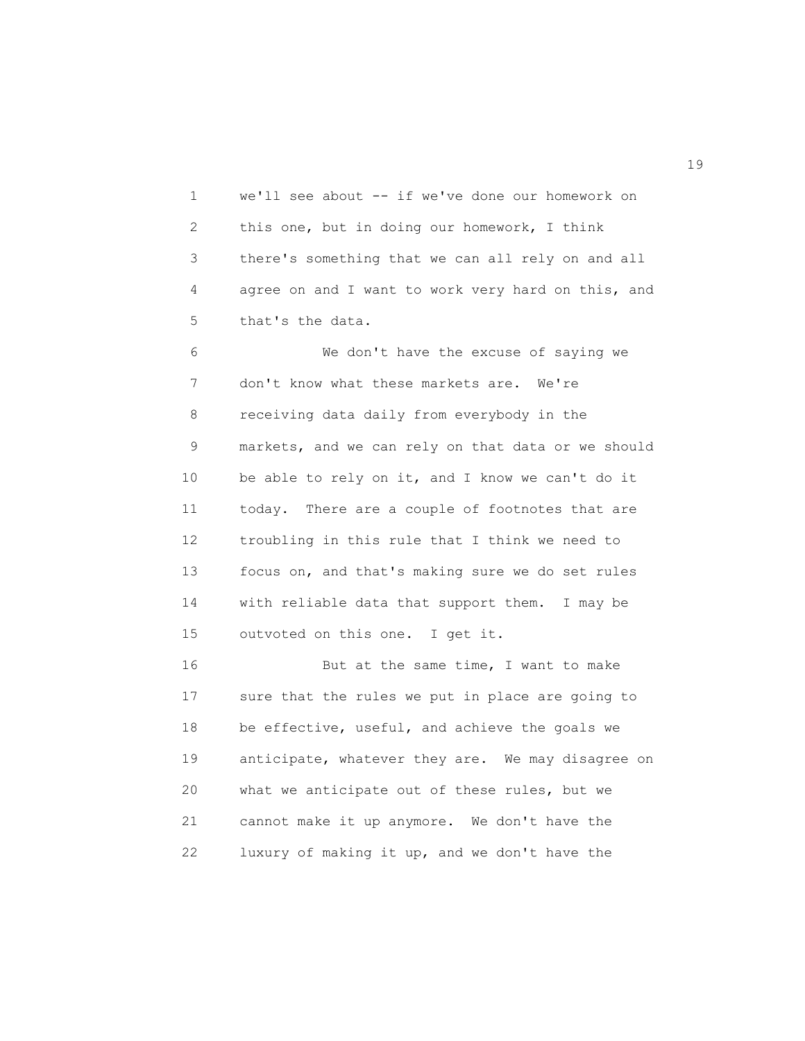1 we'll see about -- if we've done our homework on 2 this one, but in doing our homework, I think 3 there's something that we can all rely on and all 4 agree on and I want to work very hard on this, and 5 that's the data.

 6 We don't have the excuse of saying we 7 don't know what these markets are. We're 8 receiving data daily from everybody in the 9 markets, and we can rely on that data or we should 10 be able to rely on it, and I know we can't do it 11 today. There are a couple of footnotes that are 12 troubling in this rule that I think we need to 13 focus on, and that's making sure we do set rules 14 with reliable data that support them. I may be 15 outvoted on this one. I get it.

16 But at the same time, I want to make 17 sure that the rules we put in place are going to 18 be effective, useful, and achieve the goals we 19 anticipate, whatever they are. We may disagree on 20 what we anticipate out of these rules, but we 21 cannot make it up anymore. We don't have the 22 luxury of making it up, and we don't have the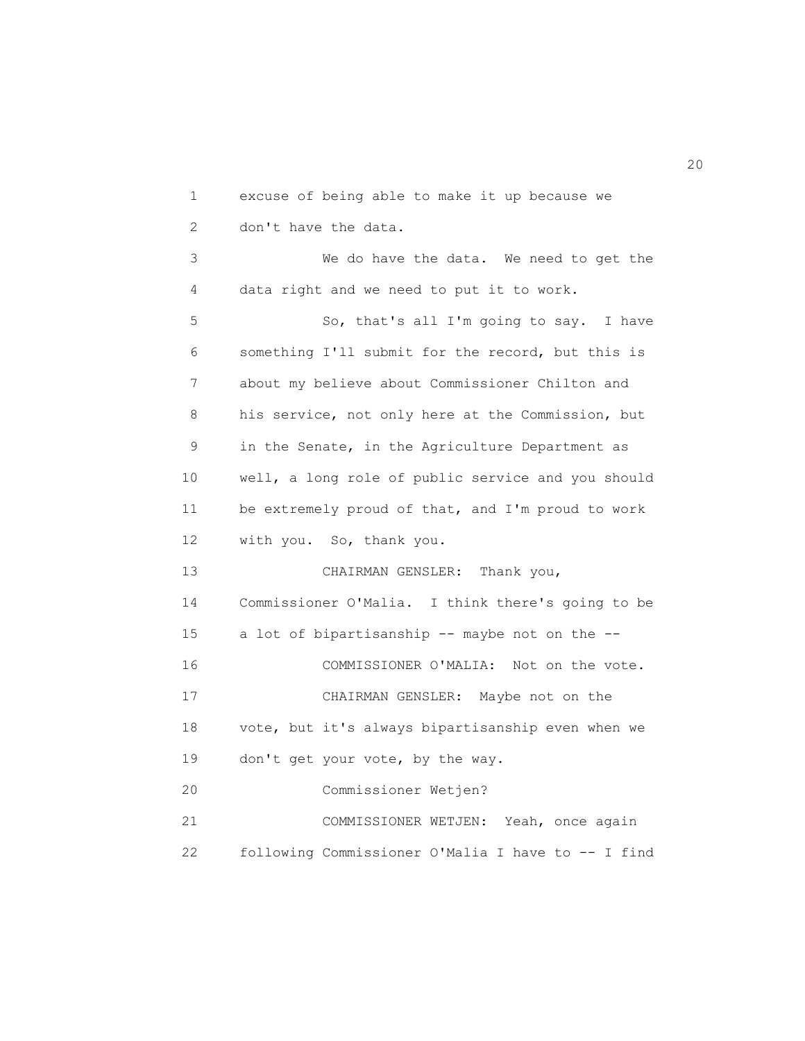1 excuse of being able to make it up because we 2 don't have the data. 3 We do have the data. We need to get the 4 data right and we need to put it to work. 5 So, that's all I'm going to say. I have 6 something I'll submit for the record, but this is 7 about my believe about Commissioner Chilton and 8 his service, not only here at the Commission, but 9 in the Senate, in the Agriculture Department as 10 well, a long role of public service and you should 11 be extremely proud of that, and I'm proud to work 12 with you. So, thank you. 13 CHAIRMAN GENSLER: Thank you, 14 Commissioner O'Malia. I think there's going to be 15 a lot of bipartisanship -- maybe not on the -- 16 COMMISSIONER O'MALIA: Not on the vote. 17 CHAIRMAN GENSLER: Maybe not on the 18 vote, but it's always bipartisanship even when we 19 don't get your vote, by the way. 20 Commissioner Wetjen? 21 COMMISSIONER WETJEN: Yeah, once again 22 following Commissioner O'Malia I have to -- I find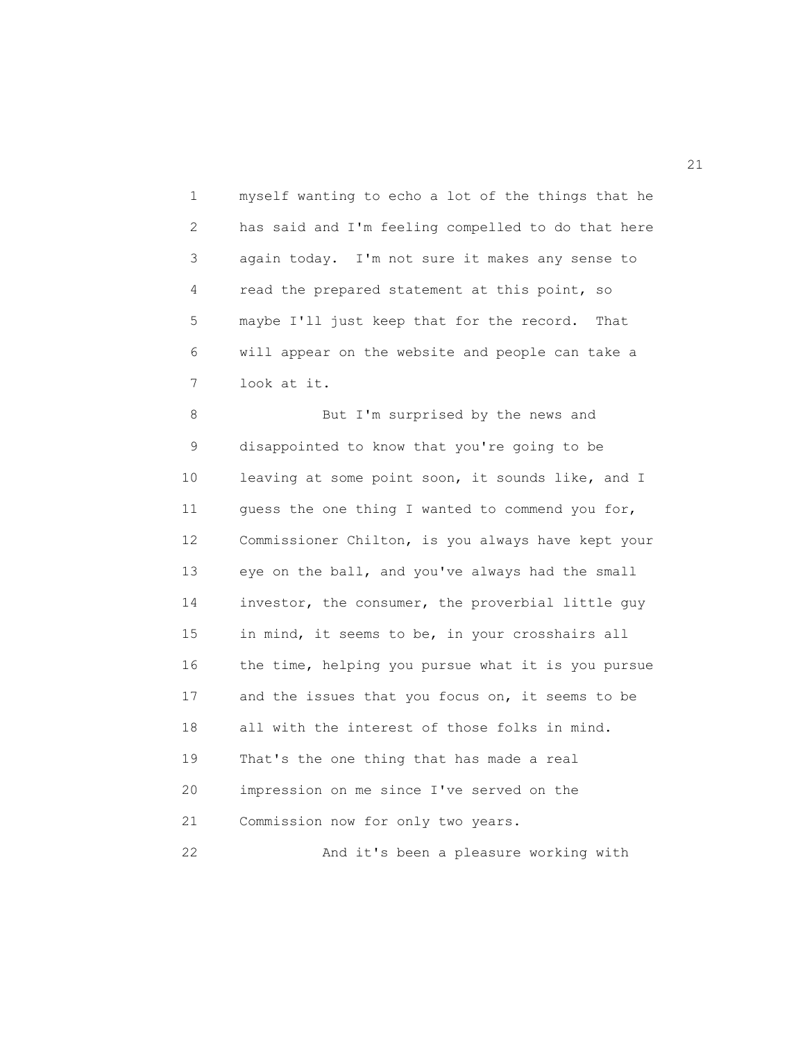1 myself wanting to echo a lot of the things that he 2 has said and I'm feeling compelled to do that here 3 again today. I'm not sure it makes any sense to 4 read the prepared statement at this point, so 5 maybe I'll just keep that for the record. That 6 will appear on the website and people can take a 7 look at it.

8 But I'm surprised by the news and 9 disappointed to know that you're going to be 10 leaving at some point soon, it sounds like, and I 11 guess the one thing I wanted to commend you for, 12 Commissioner Chilton, is you always have kept your 13 eye on the ball, and you've always had the small 14 investor, the consumer, the proverbial little guy 15 in mind, it seems to be, in your crosshairs all 16 the time, helping you pursue what it is you pursue 17 and the issues that you focus on, it seems to be 18 all with the interest of those folks in mind. 19 That's the one thing that has made a real 20 impression on me since I've served on the 21 Commission now for only two years. 22 And it's been a pleasure working with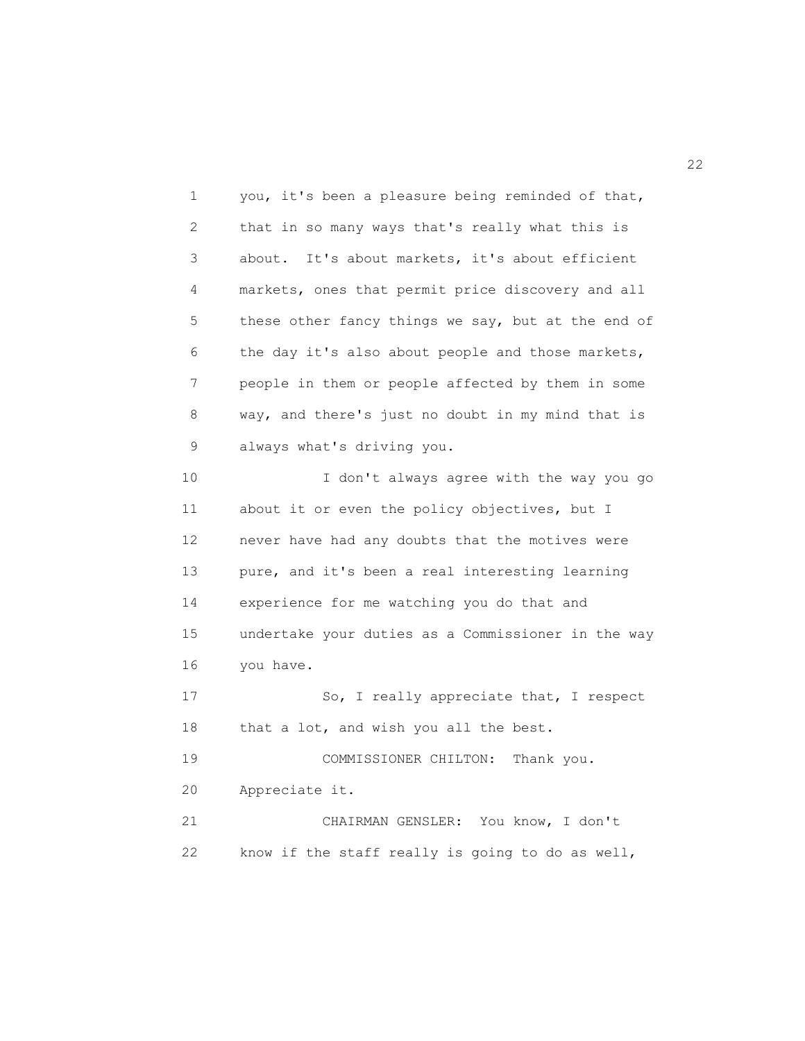1 you, it's been a pleasure being reminded of that, 2 that in so many ways that's really what this is 3 about. It's about markets, it's about efficient 4 markets, ones that permit price discovery and all 5 these other fancy things we say, but at the end of 6 the day it's also about people and those markets, 7 people in them or people affected by them in some 8 way, and there's just no doubt in my mind that is 9 always what's driving you. 10 I don't always agree with the way you go 11 about it or even the policy objectives, but I 12 never have had any doubts that the motives were 13 pure, and it's been a real interesting learning 14 experience for me watching you do that and 15 undertake your duties as a Commissioner in the way 16 you have. 17 So, I really appreciate that, I respect 18 that a lot, and wish you all the best. 19 COMMISSIONER CHILTON: Thank you. 20 Appreciate it. 21 CHAIRMAN GENSLER: You know, I don't 22 know if the staff really is going to do as well,

22<br>22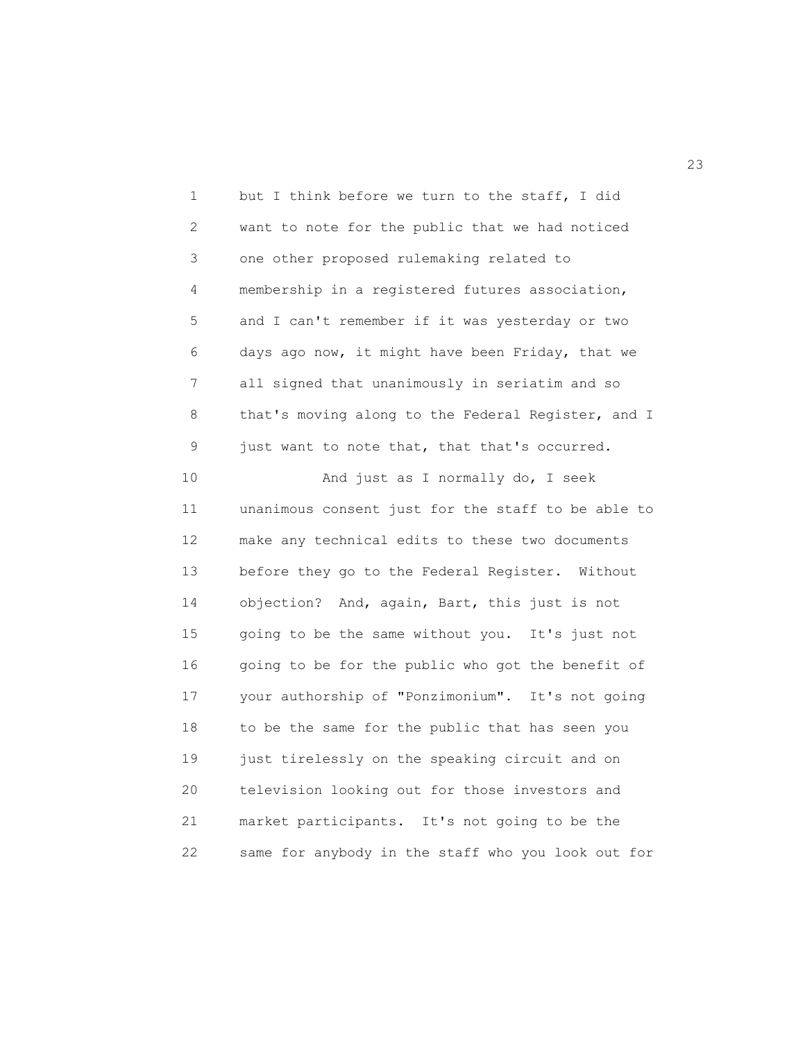| 1  | but I think before we turn to the staff, I did     |
|----|----------------------------------------------------|
| 2  | want to note for the public that we had noticed    |
| 3  | one other proposed rulemaking related to           |
| 4  | membership in a registered futures association,    |
| 5  | and I can't remember if it was yesterday or two    |
| 6  | days ago now, it might have been Friday, that we   |
| 7  | all signed that unanimously in seriatim and so     |
| 8  | that's moving along to the Federal Register, and I |
| 9  | just want to note that, that that's occurred.      |
| 10 | And just as I normally do, I seek                  |
| 11 | unanimous consent just for the staff to be able to |
| 12 | make any technical edits to these two documents    |
| 13 | before they go to the Federal Register. Without    |
| 14 | objection? And, again, Bart, this just is not      |
| 15 | going to be the same without you. It's just not    |
| 16 | going to be for the public who got the benefit of  |
| 17 | your authorship of "Ponzimonium". It's not going   |
| 18 | to be the same for the public that has seen you    |
| 19 | just tirelessly on the speaking circuit and on     |
| 20 | television looking out for those investors and     |
| 21 | market participants. It's not going to be the      |
| 22 | same for anybody in the staff who you look out for |

23<sup>2</sup>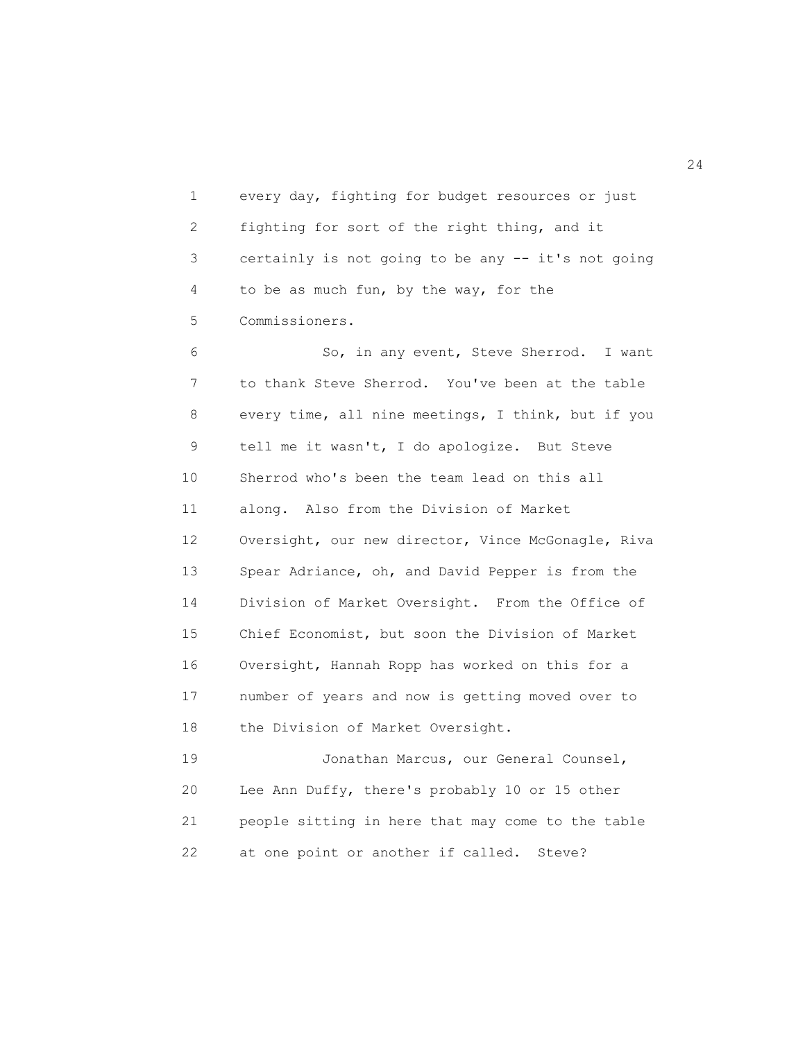1 every day, fighting for budget resources or just 2 fighting for sort of the right thing, and it 3 certainly is not going to be any -- it's not going 4 to be as much fun, by the way, for the 5 Commissioners.

 6 So, in any event, Steve Sherrod. I want 7 to thank Steve Sherrod. You've been at the table 8 every time, all nine meetings, I think, but if you 9 tell me it wasn't, I do apologize. But Steve 10 Sherrod who's been the team lead on this all 11 along. Also from the Division of Market 12 Oversight, our new director, Vince McGonagle, Riva 13 Spear Adriance, oh, and David Pepper is from the 14 Division of Market Oversight. From the Office of 15 Chief Economist, but soon the Division of Market 16 Oversight, Hannah Ropp has worked on this for a 17 number of years and now is getting moved over to 18 the Division of Market Oversight.

 19 Jonathan Marcus, our General Counsel, 20 Lee Ann Duffy, there's probably 10 or 15 other 21 people sitting in here that may come to the table 22 at one point or another if called. Steve?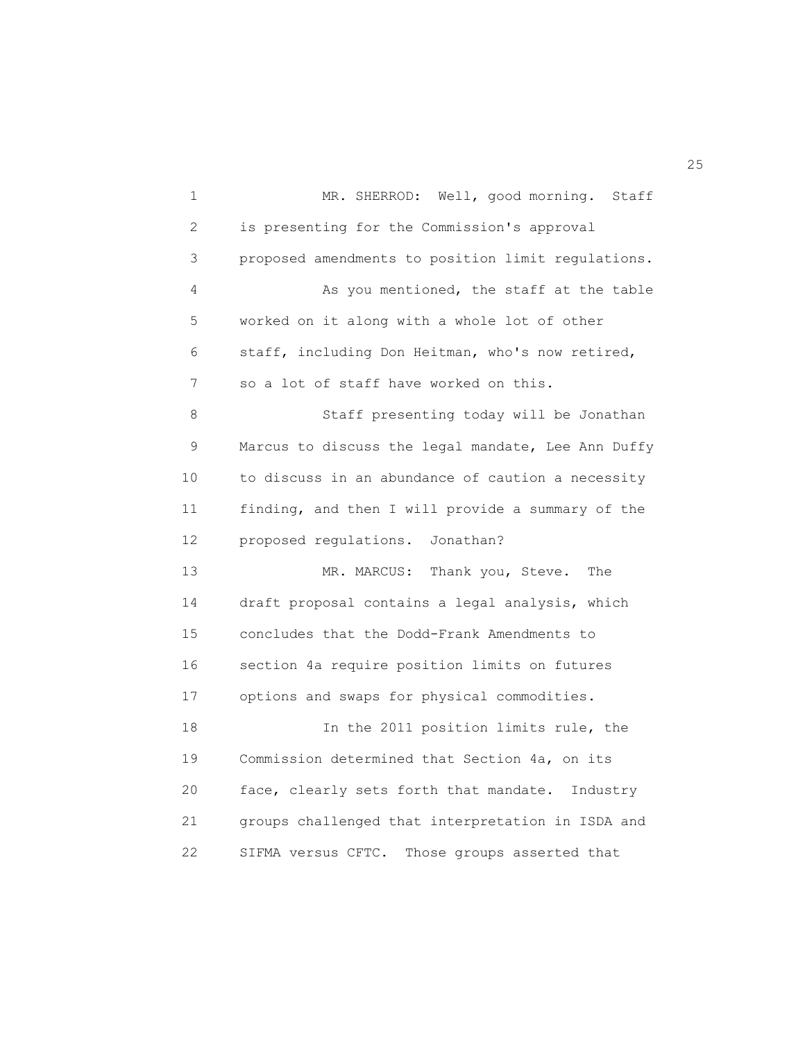1 MR. SHERROD: Well, good morning. Staff 2 is presenting for the Commission's approval 3 proposed amendments to position limit regulations. 4 As you mentioned, the staff at the table 5 worked on it along with a whole lot of other 6 staff, including Don Heitman, who's now retired, 7 so a lot of staff have worked on this. 8 Staff presenting today will be Jonathan 9 Marcus to discuss the legal mandate, Lee Ann Duffy 10 to discuss in an abundance of caution a necessity 11 finding, and then I will provide a summary of the 12 proposed regulations. Jonathan? 13 MR. MARCUS: Thank you, Steve. The 14 draft proposal contains a legal analysis, which 15 concludes that the Dodd-Frank Amendments to 16 section 4a require position limits on futures 17 options and swaps for physical commodities. 18 In the 2011 position limits rule, the 19 Commission determined that Section 4a, on its 20 face, clearly sets forth that mandate. Industry 21 groups challenged that interpretation in ISDA and 22 SIFMA versus CFTC. Those groups asserted that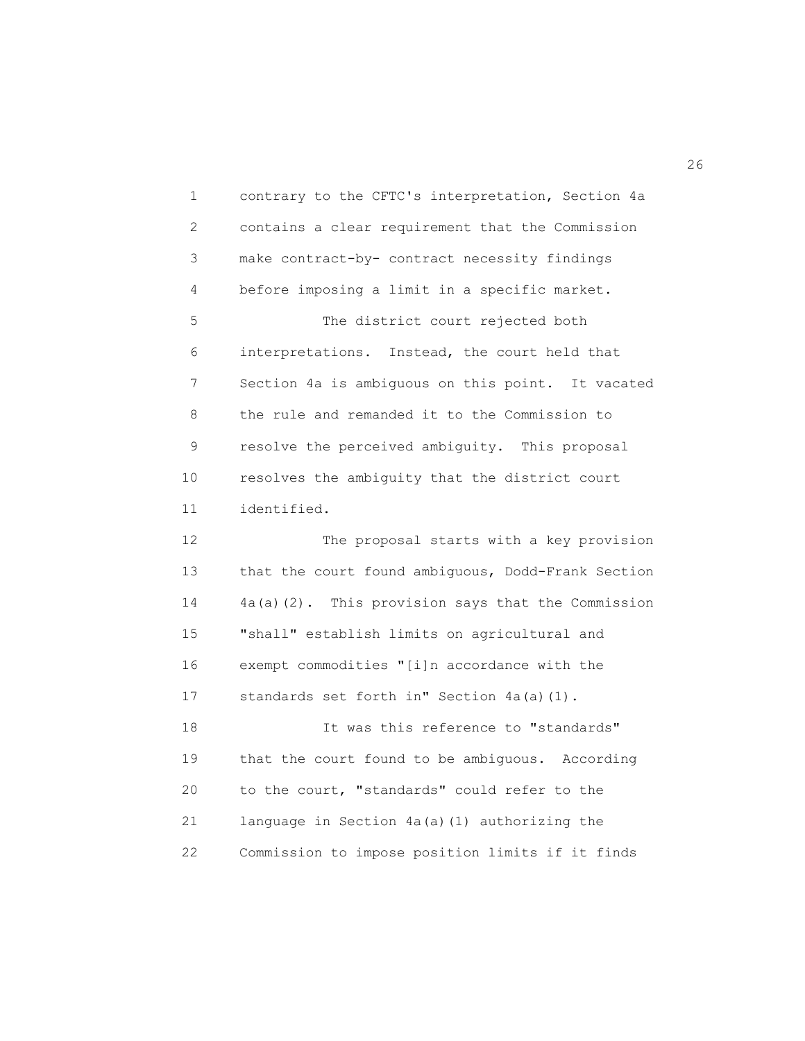1 contrary to the CFTC's interpretation, Section 4a 2 contains a clear requirement that the Commission 3 make contract-by- contract necessity findings 4 before imposing a limit in a specific market. 5 The district court rejected both 6 interpretations. Instead, the court held that 7 Section 4a is ambiguous on this point. It vacated 8 the rule and remanded it to the Commission to 9 resolve the perceived ambiguity. This proposal 10 resolves the ambiguity that the district court 11 identified. 12 The proposal starts with a key provision 13 that the court found ambiguous, Dodd-Frank Section 14 4a(a)(2). This provision says that the Commission 15 "shall" establish limits on agricultural and 16 exempt commodities "[i]n accordance with the 17 standards set forth in" Section 4a(a)(1). 18 It was this reference to "standards" 19 that the court found to be ambiguous. According 20 to the court, "standards" could refer to the 21 language in Section 4a(a)(1) authorizing the 22 Commission to impose position limits if it finds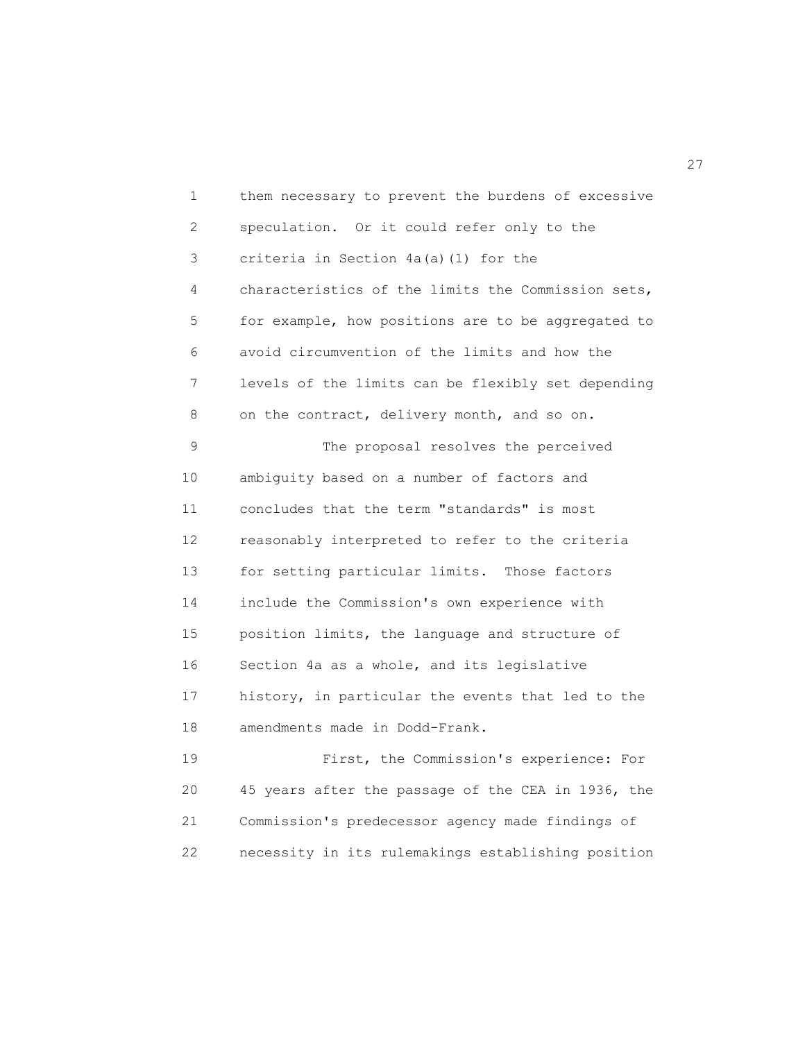1 them necessary to prevent the burdens of excessive 2 speculation. Or it could refer only to the 3 criteria in Section 4a(a)(1) for the 4 characteristics of the limits the Commission sets, 5 for example, how positions are to be aggregated to 6 avoid circumvention of the limits and how the 7 levels of the limits can be flexibly set depending 8 on the contract, delivery month, and so on. 9 The proposal resolves the perceived 10 ambiguity based on a number of factors and 11 concludes that the term "standards" is most 12 reasonably interpreted to refer to the criteria 13 for setting particular limits. Those factors 14 include the Commission's own experience with 15 position limits, the language and structure of 16 Section 4a as a whole, and its legislative 17 history, in particular the events that led to the 18 amendments made in Dodd-Frank. 19 First, the Commission's experience: For 20 45 years after the passage of the CEA in 1936, the

21 Commission's predecessor agency made findings of

22 necessity in its rulemakings establishing position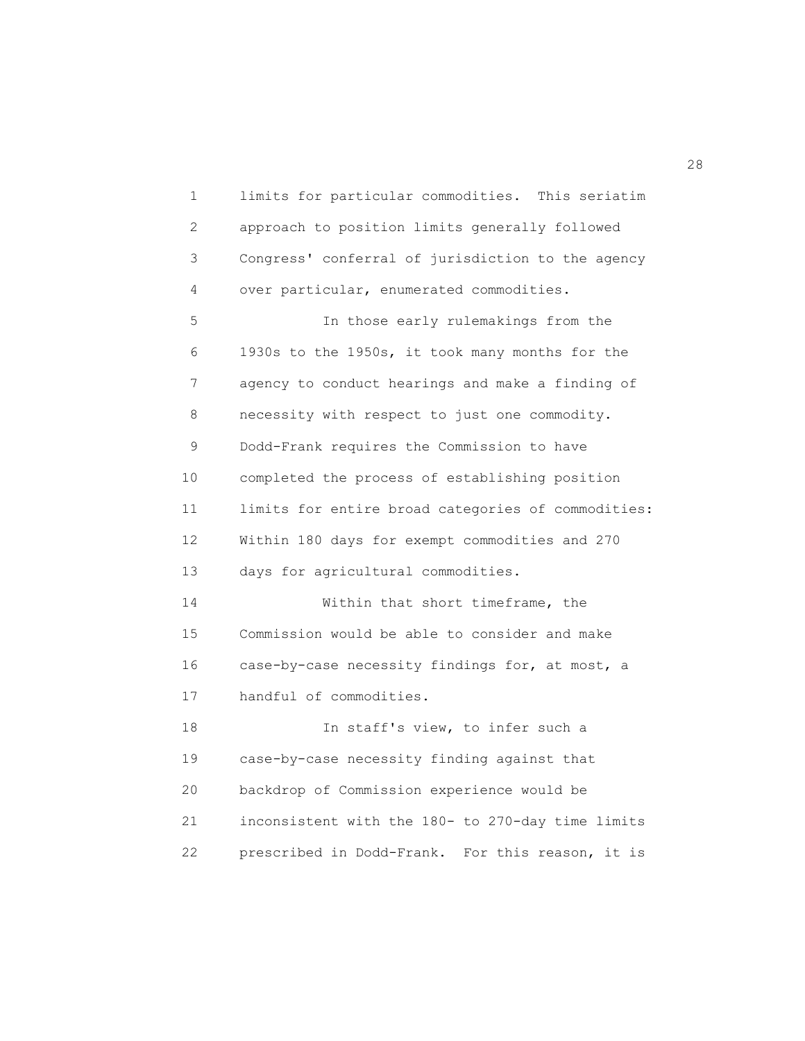1 limits for particular commodities. This seriatim 2 approach to position limits generally followed 3 Congress' conferral of jurisdiction to the agency 4 over particular, enumerated commodities. 5 In those early rulemakings from the 6 1930s to the 1950s, it took many months for the 7 agency to conduct hearings and make a finding of 8 necessity with respect to just one commodity. 9 Dodd-Frank requires the Commission to have 10 completed the process of establishing position 11 limits for entire broad categories of commodities: 12 Within 180 days for exempt commodities and 270 13 days for agricultural commodities. 14 Within that short timeframe, the 15 Commission would be able to consider and make 16 case-by-case necessity findings for, at most, a 17 handful of commodities. 18 In staff's view, to infer such a 19 case-by-case necessity finding against that 20 backdrop of Commission experience would be 21 inconsistent with the 180- to 270-day time limits 22 prescribed in Dodd-Frank. For this reason, it is

28 and 28 and 28 and 28 and 28 and 28 and 28 and 28 and 28 and 28 and 28 and 28 and 28 and 28 and 28 and 28 and 28 and 28 and 28 and 28 and 28 and 28 and 28 and 28 and 28 and 28 and 28 and 28 and 28 and 28 and 28 and 28 an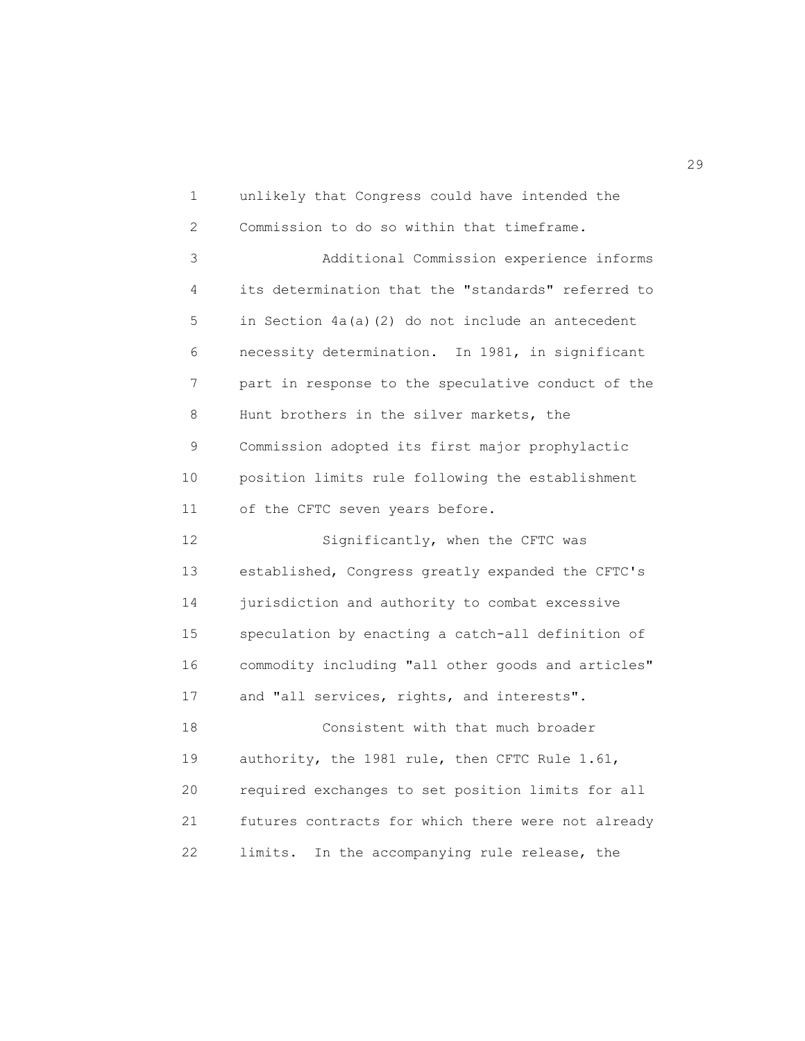1 unlikely that Congress could have intended the 2 Commission to do so within that timeframe. 3 Additional Commission experience informs 4 its determination that the "standards" referred to 5 in Section 4a(a)(2) do not include an antecedent 6 necessity determination. In 1981, in significant 7 part in response to the speculative conduct of the 8 Hunt brothers in the silver markets, the 9 Commission adopted its first major prophylactic 10 position limits rule following the establishment 11 of the CFTC seven years before. 12 Significantly, when the CFTC was 13 established, Congress greatly expanded the CFTC's 14 jurisdiction and authority to combat excessive 15 speculation by enacting a catch-all definition of 16 commodity including "all other goods and articles" 17 and "all services, rights, and interests". 18 Consistent with that much broader 19 authority, the 1981 rule, then CFTC Rule 1.61, 20 required exchanges to set position limits for all 21 futures contracts for which there were not already 22 limits. In the accompanying rule release, the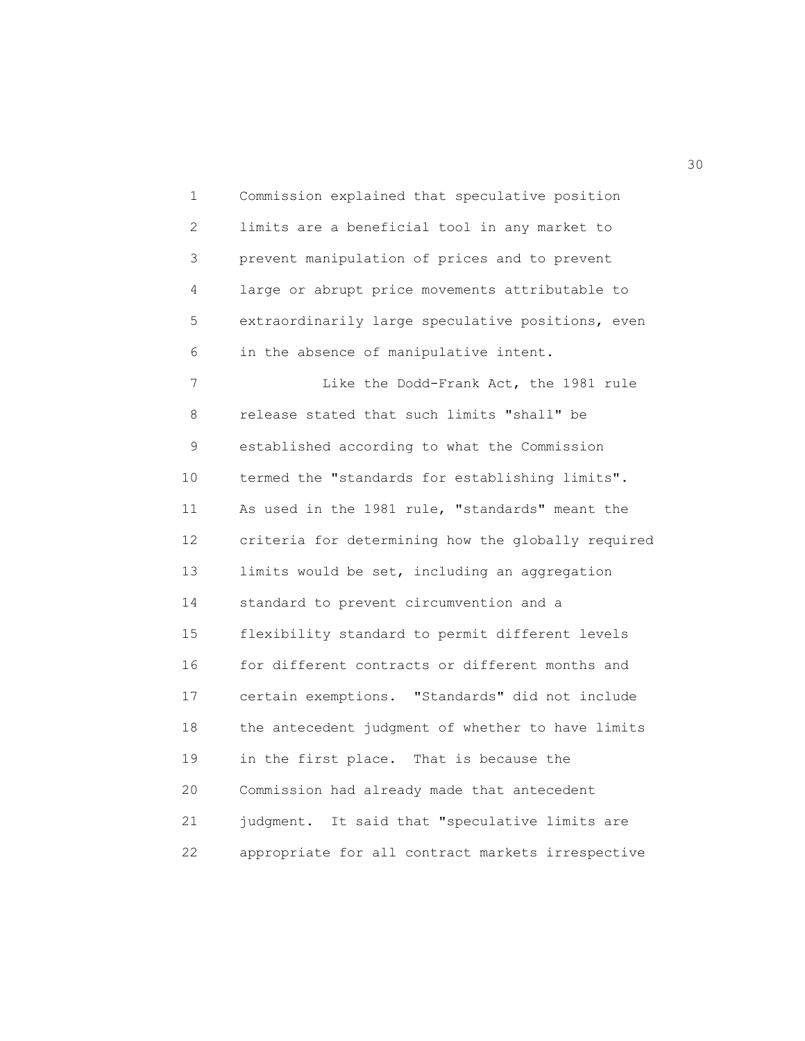1 Commission explained that speculative position 2 limits are a beneficial tool in any market to 3 prevent manipulation of prices and to prevent 4 large or abrupt price movements attributable to 5 extraordinarily large speculative positions, even 6 in the absence of manipulative intent. 7 Like the Dodd-Frank Act, the 1981 rule 8 release stated that such limits "shall" be 9 established according to what the Commission 10 termed the "standards for establishing limits". 11 As used in the 1981 rule, "standards" meant the 12 criteria for determining how the globally required 13 limits would be set, including an aggregation 14 standard to prevent circumvention and a 15 flexibility standard to permit different levels 16 for different contracts or different months and 17 certain exemptions. "Standards" did not include 18 the antecedent judgment of whether to have limits 19 in the first place. That is because the 20 Commission had already made that antecedent 21 judgment. It said that "speculative limits are 22 appropriate for all contract markets irrespective

 $30<sup>2</sup>$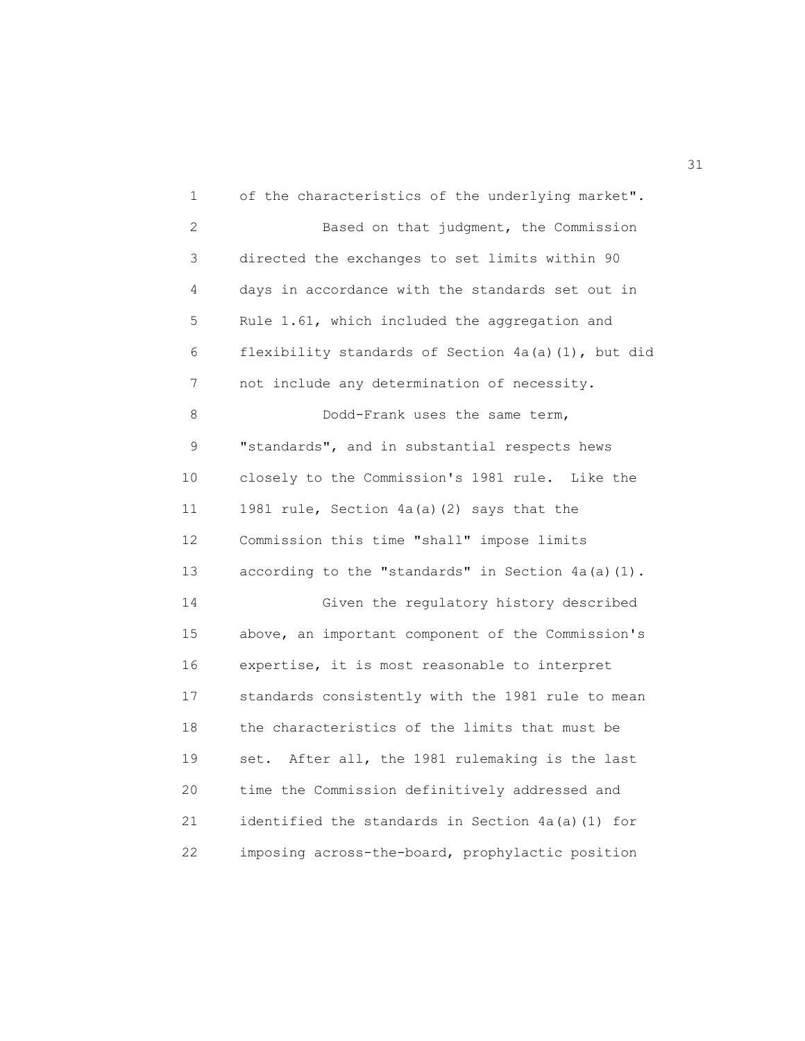1 of the characteristics of the underlying market". 2 Based on that judgment, the Commission 3 directed the exchanges to set limits within 90 4 days in accordance with the standards set out in 5 Rule 1.61, which included the aggregation and 6 flexibility standards of Section 4a(a)(1), but did 7 not include any determination of necessity. 8 Dodd-Frank uses the same term, 9 "standards", and in substantial respects hews 10 closely to the Commission's 1981 rule. Like the 11 1981 rule, Section 4a(a)(2) says that the 12 Commission this time "shall" impose limits 13 according to the "standards" in Section 4a(a)(1). 14 Given the regulatory history described 15 above, an important component of the Commission's 16 expertise, it is most reasonable to interpret 17 standards consistently with the 1981 rule to mean 18 the characteristics of the limits that must be 19 set. After all, the 1981 rulemaking is the last 20 time the Commission definitively addressed and 21 identified the standards in Section 4a(a)(1) for 22 imposing across-the-board, prophylactic position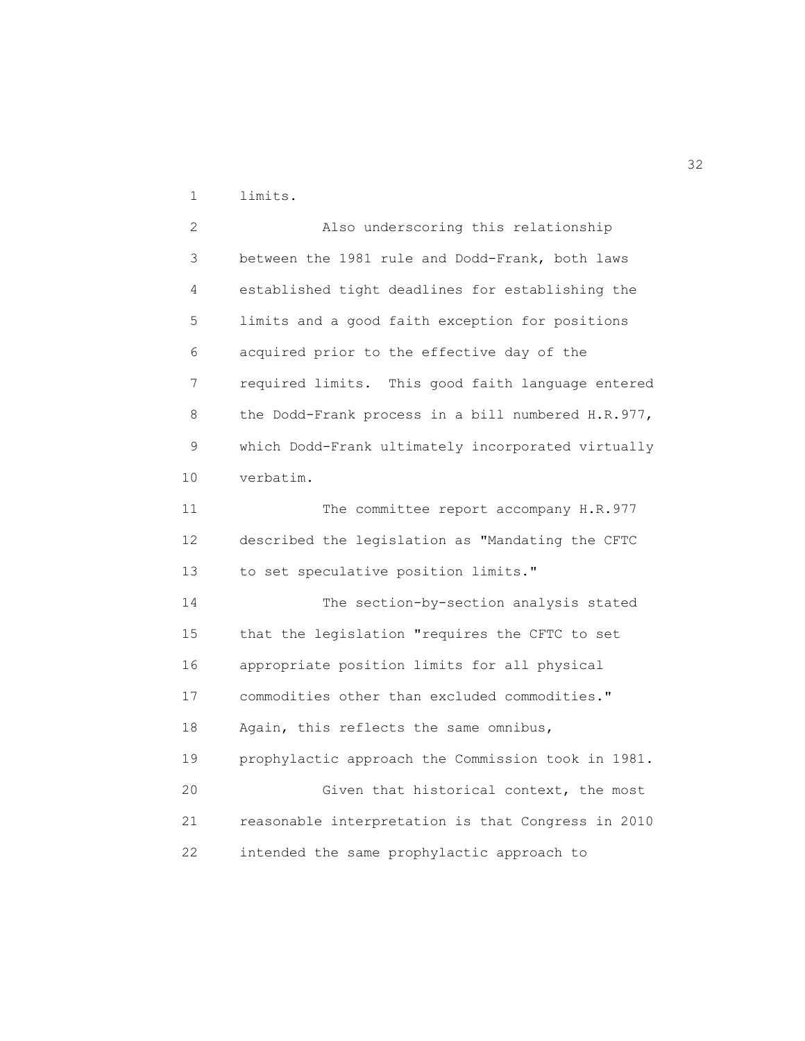1 limits.

 2 Also underscoring this relationship 3 between the 1981 rule and Dodd-Frank, both laws 4 established tight deadlines for establishing the 5 limits and a good faith exception for positions 6 acquired prior to the effective day of the 7 required limits. This good faith language entered 8 the Dodd-Frank process in a bill numbered H.R.977, 9 which Dodd-Frank ultimately incorporated virtually 10 verbatim. 11 The committee report accompany H.R.977 12 described the legislation as "Mandating the CFTC 13 to set speculative position limits." 14 The section-by-section analysis stated 15 that the legislation "requires the CFTC to set 16 appropriate position limits for all physical 17 commodities other than excluded commodities." 18 Again, this reflects the same omnibus, 19 prophylactic approach the Commission took in 1981. 20 Given that historical context, the most 21 reasonable interpretation is that Congress in 2010 22 intended the same prophylactic approach to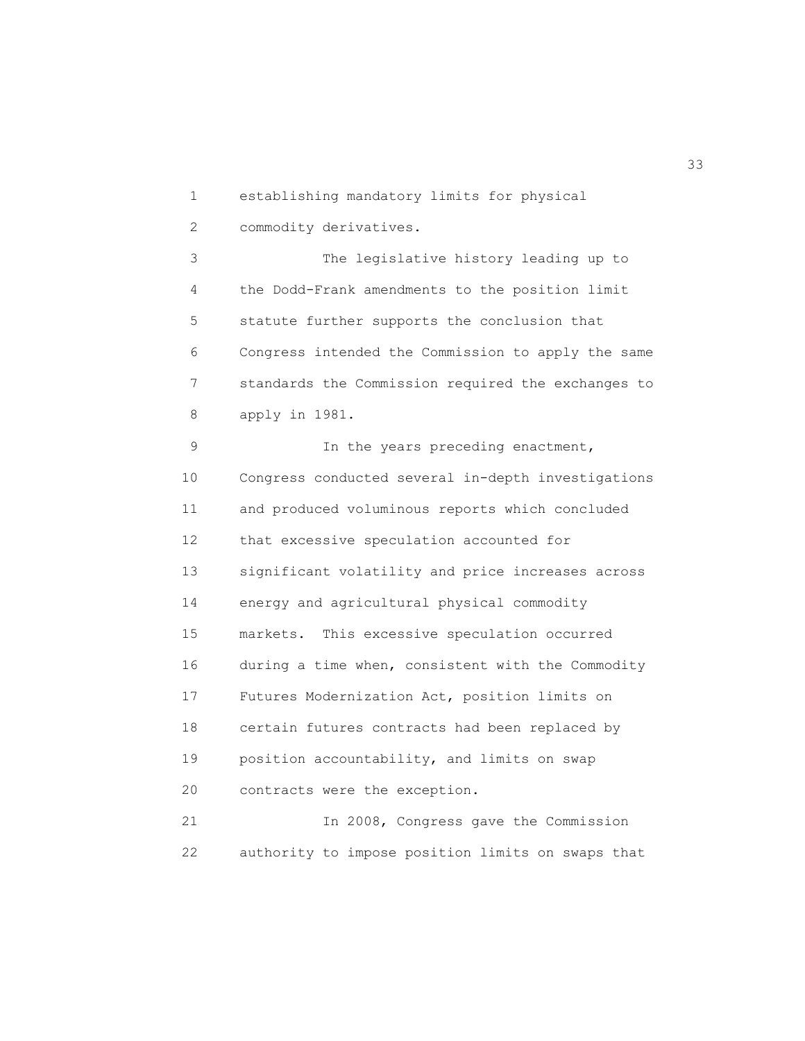1 establishing mandatory limits for physical 2 commodity derivatives. 3 The legislative history leading up to 4 the Dodd-Frank amendments to the position limit 5 statute further supports the conclusion that 6 Congress intended the Commission to apply the same 7 standards the Commission required the exchanges to 8 apply in 1981. 9 In the years preceding enactment, 10 Congress conducted several in-depth investigations 11 and produced voluminous reports which concluded 12 that excessive speculation accounted for 13 significant volatility and price increases across 14 energy and agricultural physical commodity 15 markets. This excessive speculation occurred 16 during a time when, consistent with the Commodity 17 Futures Modernization Act, position limits on 18 certain futures contracts had been replaced by 19 position accountability, and limits on swap 20 contracts were the exception. 21 In 2008, Congress gave the Commission

22 authority to impose position limits on swaps that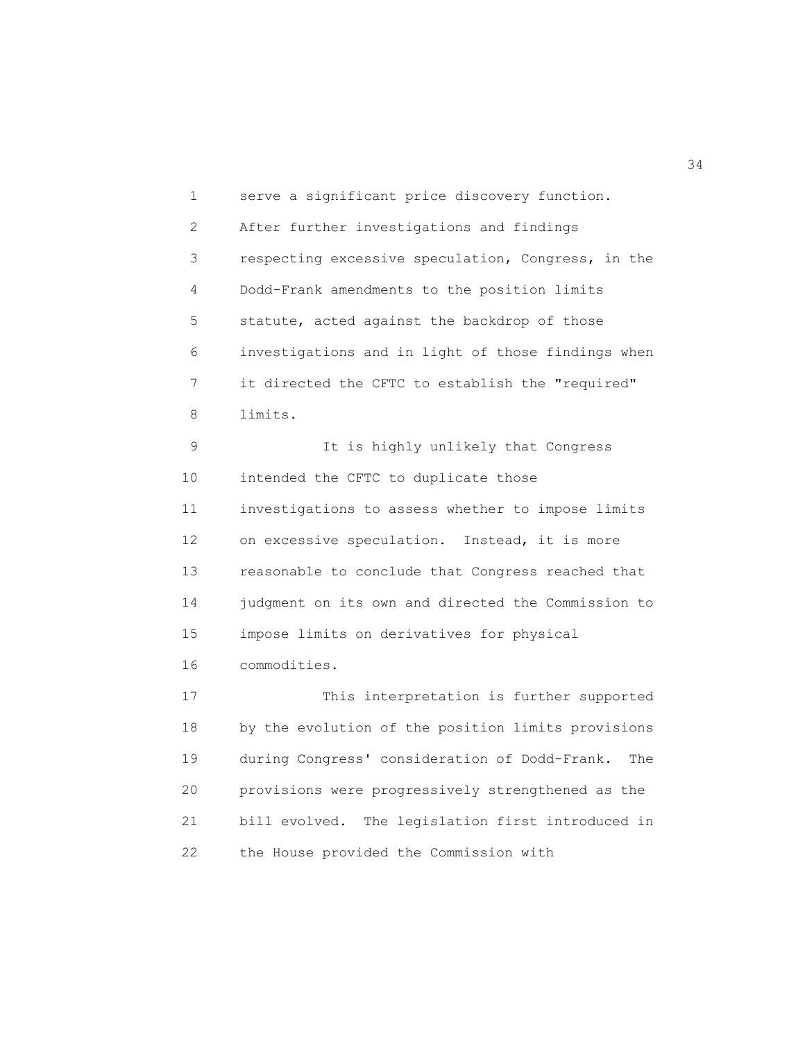1 serve a significant price discovery function. 2 After further investigations and findings 3 respecting excessive speculation, Congress, in the 4 Dodd-Frank amendments to the position limits 5 statute, acted against the backdrop of those 6 investigations and in light of those findings when 7 it directed the CFTC to establish the "required" 8 limits. 9 It is highly unlikely that Congress

 10 intended the CFTC to duplicate those 11 investigations to assess whether to impose limits 12 on excessive speculation. Instead, it is more 13 reasonable to conclude that Congress reached that 14 judgment on its own and directed the Commission to 15 impose limits on derivatives for physical 16 commodities.

 17 This interpretation is further supported 18 by the evolution of the position limits provisions 19 during Congress' consideration of Dodd-Frank. The 20 provisions were progressively strengthened as the 21 bill evolved. The legislation first introduced in 22 the House provided the Commission with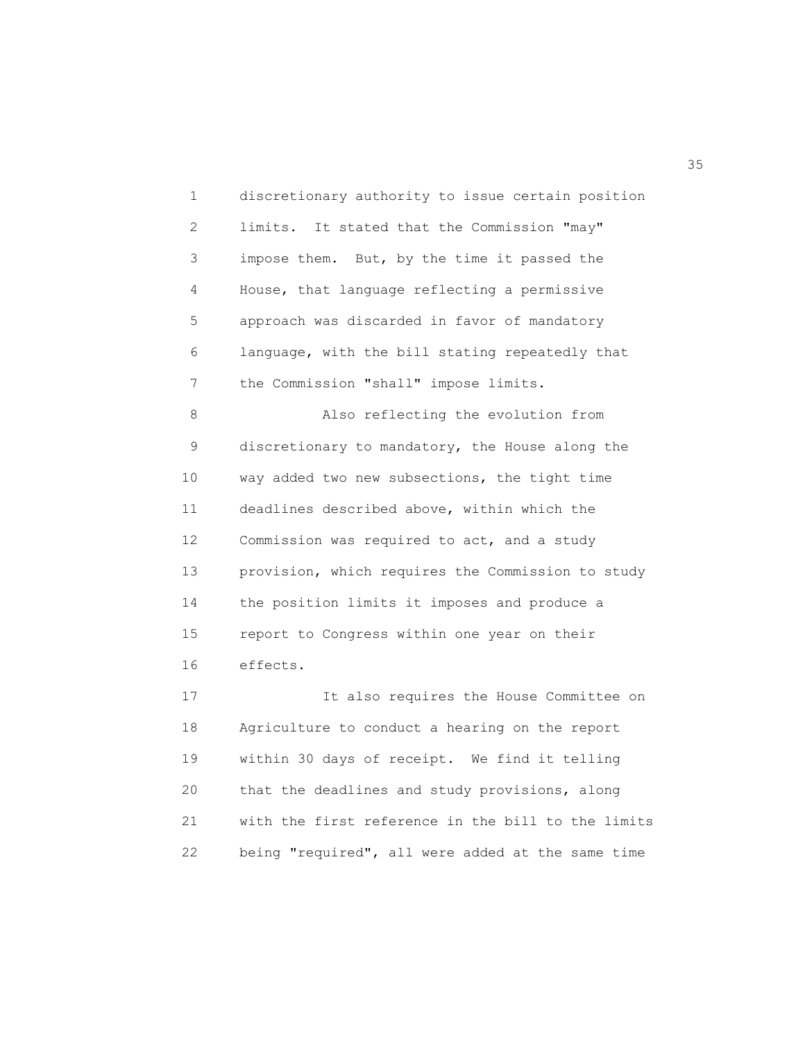1 discretionary authority to issue certain position 2 limits. It stated that the Commission "may" 3 impose them. But, by the time it passed the 4 House, that language reflecting a permissive 5 approach was discarded in favor of mandatory 6 language, with the bill stating repeatedly that 7 the Commission "shall" impose limits. 8 Also reflecting the evolution from 9 discretionary to mandatory, the House along the 10 way added two new subsections, the tight time 11 deadlines described above, within which the 12 Commission was required to act, and a study 13 provision, which requires the Commission to study 14 the position limits it imposes and produce a 15 report to Congress within one year on their 16 effects.

 17 It also requires the House Committee on 18 Agriculture to conduct a hearing on the report 19 within 30 days of receipt. We find it telling 20 that the deadlines and study provisions, along 21 with the first reference in the bill to the limits 22 being "required", all were added at the same time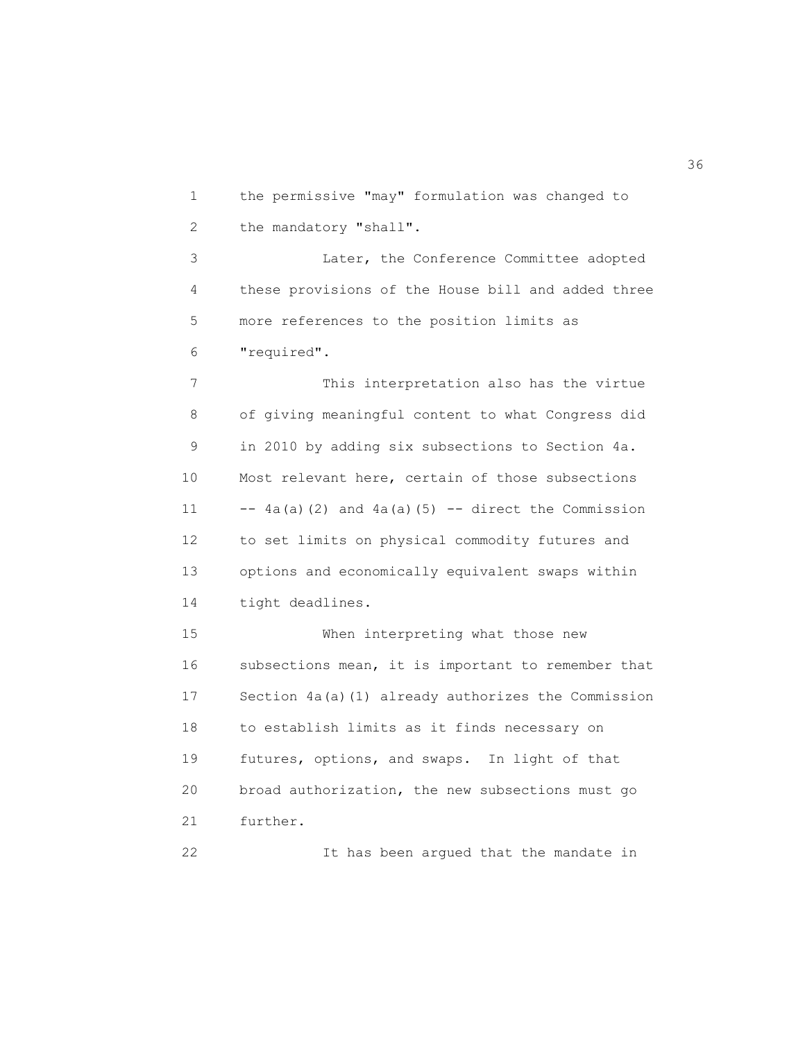1 the permissive "may" formulation was changed to 2 the mandatory "shall". 3 Later, the Conference Committee adopted 4 these provisions of the House bill and added three

5 more references to the position limits as

6 "required".

 7 This interpretation also has the virtue 8 of giving meaningful content to what Congress did 9 in 2010 by adding six subsections to Section 4a. 10 Most relevant here, certain of those subsections 11  $-$ -4a(a)(2) and 4a(a)(5)  $-$ - direct the Commission 12 to set limits on physical commodity futures and 13 options and economically equivalent swaps within 14 tight deadlines.

 15 When interpreting what those new 16 subsections mean, it is important to remember that 17 Section 4a(a)(1) already authorizes the Commission 18 to establish limits as it finds necessary on 19 futures, options, and swaps. In light of that 20 broad authorization, the new subsections must go 21 further.

22 It has been argued that the mandate in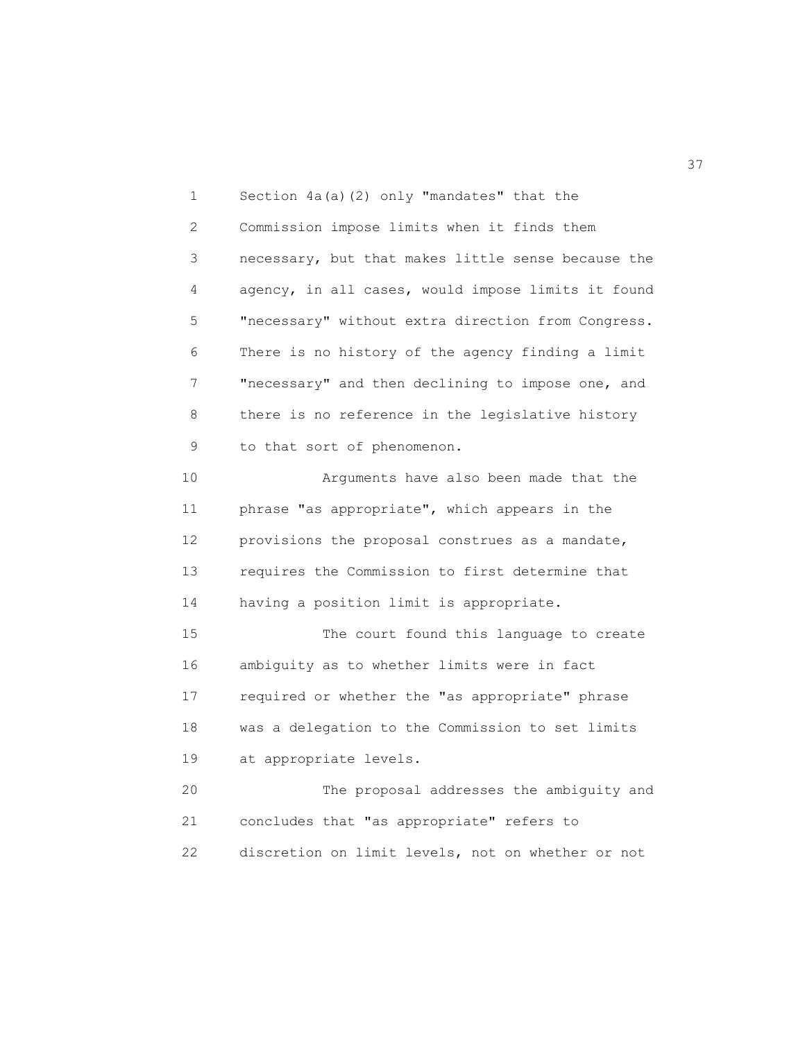1 Section 4a(a)(2) only "mandates" that the 2 Commission impose limits when it finds them 3 necessary, but that makes little sense because the 4 agency, in all cases, would impose limits it found 5 "necessary" without extra direction from Congress. 6 There is no history of the agency finding a limit 7 "necessary" and then declining to impose one, and 8 there is no reference in the legislative history 9 to that sort of phenomenon. 10 Arguments have also been made that the

 11 phrase "as appropriate", which appears in the 12 provisions the proposal construes as a mandate, 13 requires the Commission to first determine that 14 having a position limit is appropriate.

 15 The court found this language to create 16 ambiguity as to whether limits were in fact 17 required or whether the "as appropriate" phrase 18 was a delegation to the Commission to set limits 19 at appropriate levels.

 20 The proposal addresses the ambiguity and 21 concludes that "as appropriate" refers to 22 discretion on limit levels, not on whether or not

<u>37</u>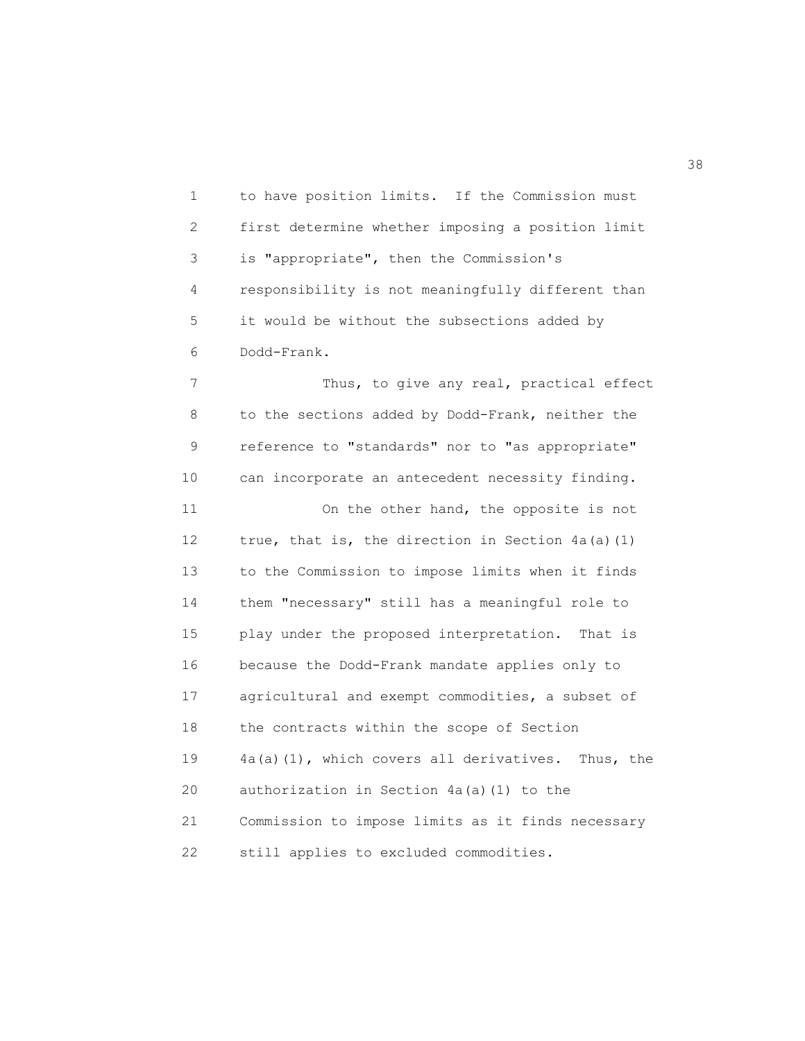1 to have position limits. If the Commission must 2 first determine whether imposing a position limit 3 is "appropriate", then the Commission's 4 responsibility is not meaningfully different than 5 it would be without the subsections added by 6 Dodd-Frank.

7 Thus, to give any real, practical effect 8 to the sections added by Dodd-Frank, neither the 9 reference to "standards" nor to "as appropriate" 10 can incorporate an antecedent necessity finding. 11 On the other hand, the opposite is not 12 true, that is, the direction in Section 4a(a)(1) 13 to the Commission to impose limits when it finds 14 them "necessary" still has a meaningful role to 15 play under the proposed interpretation. That is 16 because the Dodd-Frank mandate applies only to 17 agricultural and exempt commodities, a subset of 18 the contracts within the scope of Section 19 4a(a)(1), which covers all derivatives. Thus, the 20 authorization in Section 4a(a)(1) to the 21 Commission to impose limits as it finds necessary 22 still applies to excluded commodities.

 $38<sup>3</sup>$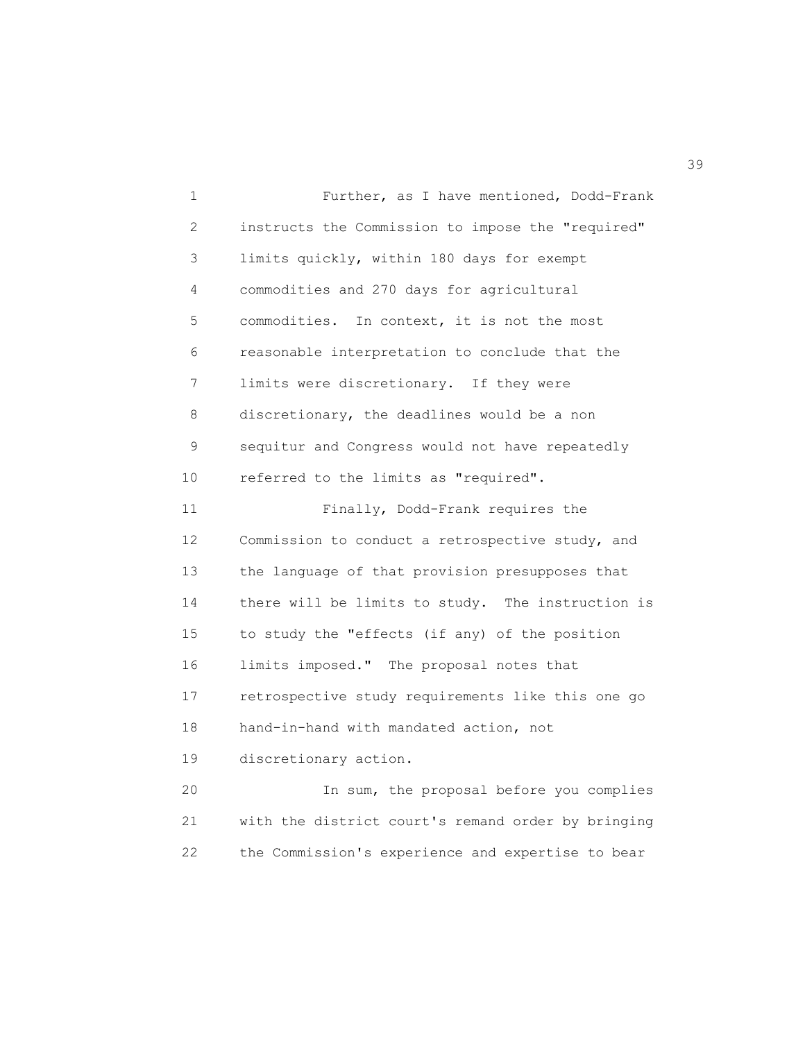1 Further, as I have mentioned, Dodd-Frank 2 instructs the Commission to impose the "required" 3 limits quickly, within 180 days for exempt 4 commodities and 270 days for agricultural 5 commodities. In context, it is not the most 6 reasonable interpretation to conclude that the 7 limits were discretionary. If they were 8 discretionary, the deadlines would be a non 9 sequitur and Congress would not have repeatedly 10 referred to the limits as "required". 11 Finally, Dodd-Frank requires the 12 Commission to conduct a retrospective study, and 13 the language of that provision presupposes that 14 there will be limits to study. The instruction is 15 to study the "effects (if any) of the position 16 limits imposed." The proposal notes that 17 retrospective study requirements like this one go 18 hand-in-hand with mandated action, not 19 discretionary action. 20 In sum, the proposal before you complies 21 with the district court's remand order by bringing 22 the Commission's experience and expertise to bear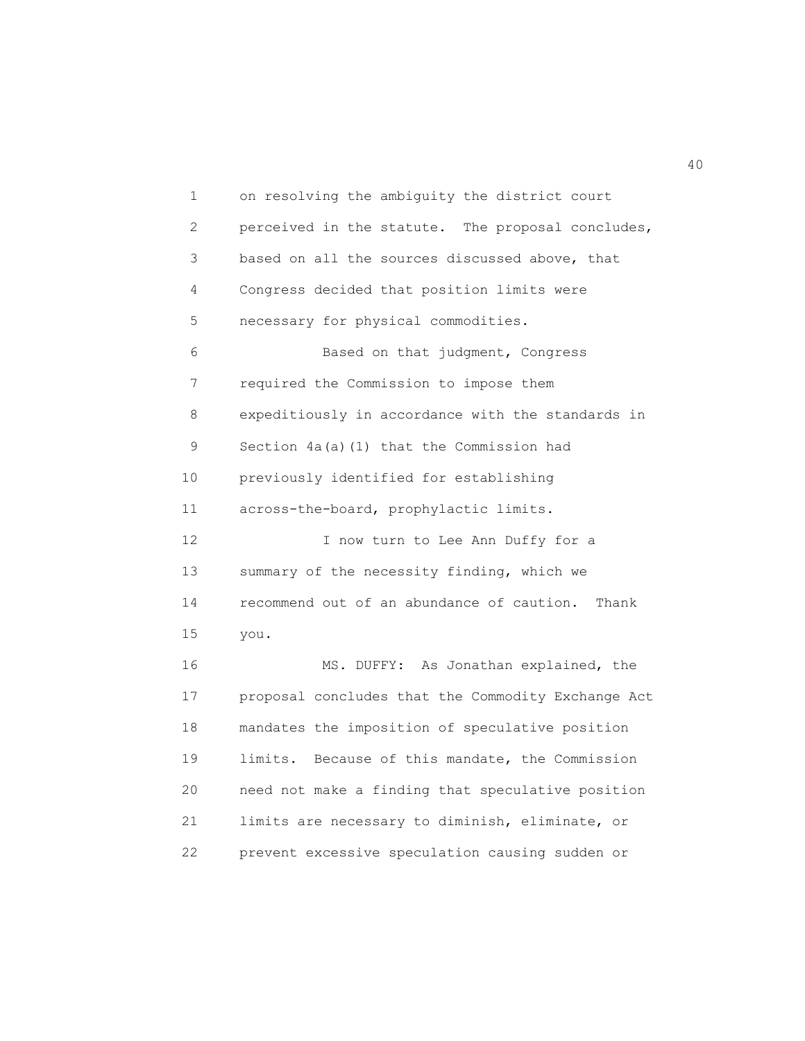1 on resolving the ambiguity the district court 2 perceived in the statute. The proposal concludes, 3 based on all the sources discussed above, that 4 Congress decided that position limits were 5 necessary for physical commodities. 6 Based on that judgment, Congress 7 required the Commission to impose them 8 expeditiously in accordance with the standards in 9 Section 4a(a)(1) that the Commission had 10 previously identified for establishing 11 across-the-board, prophylactic limits. 12 I now turn to Lee Ann Duffy for a 13 summary of the necessity finding, which we 14 recommend out of an abundance of caution. Thank 15 you. 16 MS. DUFFY: As Jonathan explained, the 17 proposal concludes that the Commodity Exchange Act 18 mandates the imposition of speculative position 19 limits. Because of this mandate, the Commission 20 need not make a finding that speculative position 21 limits are necessary to diminish, eliminate, or 22 prevent excessive speculation causing sudden or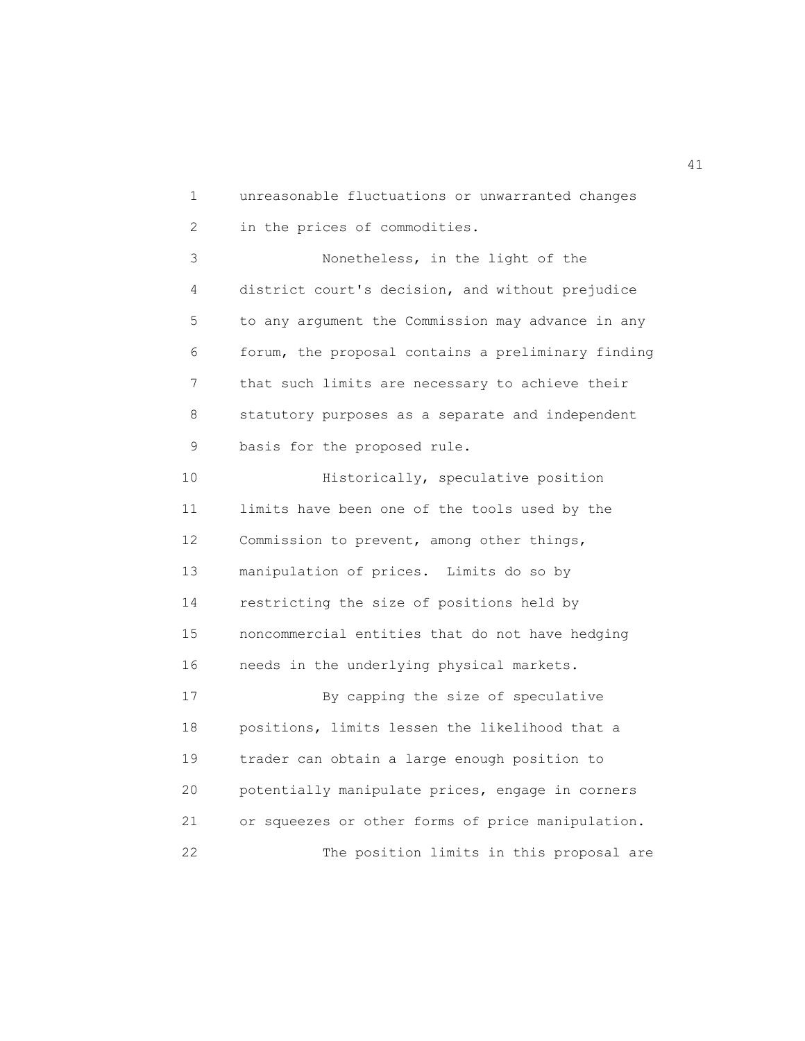1 unreasonable fluctuations or unwarranted changes 2 in the prices of commodities.

 3 Nonetheless, in the light of the 4 district court's decision, and without prejudice 5 to any argument the Commission may advance in any 6 forum, the proposal contains a preliminary finding 7 that such limits are necessary to achieve their 8 statutory purposes as a separate and independent 9 basis for the proposed rule.

10 **Historically, speculative position**  11 limits have been one of the tools used by the 12 Commission to prevent, among other things, 13 manipulation of prices. Limits do so by 14 restricting the size of positions held by 15 noncommercial entities that do not have hedging 16 needs in the underlying physical markets. 17 By capping the size of speculative 18 positions, limits lessen the likelihood that a 19 trader can obtain a large enough position to 20 potentially manipulate prices, engage in corners 21 or squeezes or other forms of price manipulation. 22 The position limits in this proposal are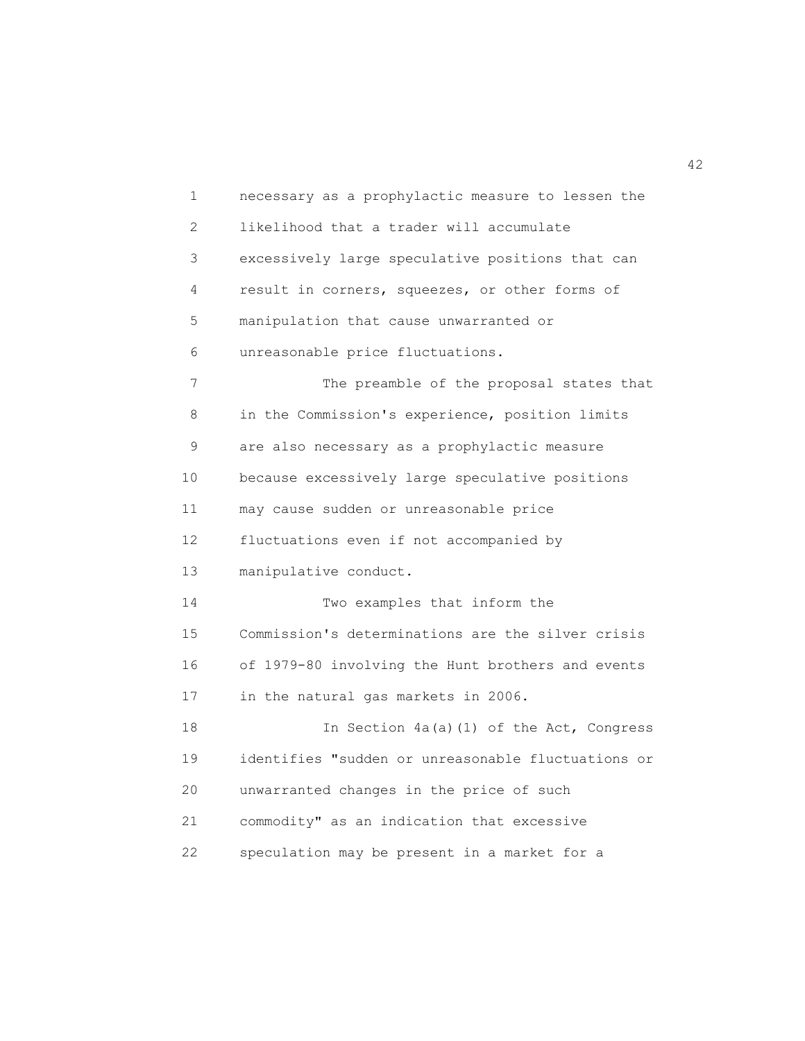1 necessary as a prophylactic measure to lessen the 2 likelihood that a trader will accumulate 3 excessively large speculative positions that can 4 result in corners, squeezes, or other forms of 5 manipulation that cause unwarranted or 6 unreasonable price fluctuations. 7 The preamble of the proposal states that 8 in the Commission's experience, position limits 9 are also necessary as a prophylactic measure 10 because excessively large speculative positions 11 may cause sudden or unreasonable price 12 fluctuations even if not accompanied by 13 manipulative conduct. 14 Two examples that inform the 15 Commission's determinations are the silver crisis 16 of 1979-80 involving the Hunt brothers and events 17 in the natural gas markets in 2006. 18 In Section 4a(a)(1) of the Act, Congress 19 identifies "sudden or unreasonable fluctuations or 20 unwarranted changes in the price of such 21 commodity" as an indication that excessive 22 speculation may be present in a market for a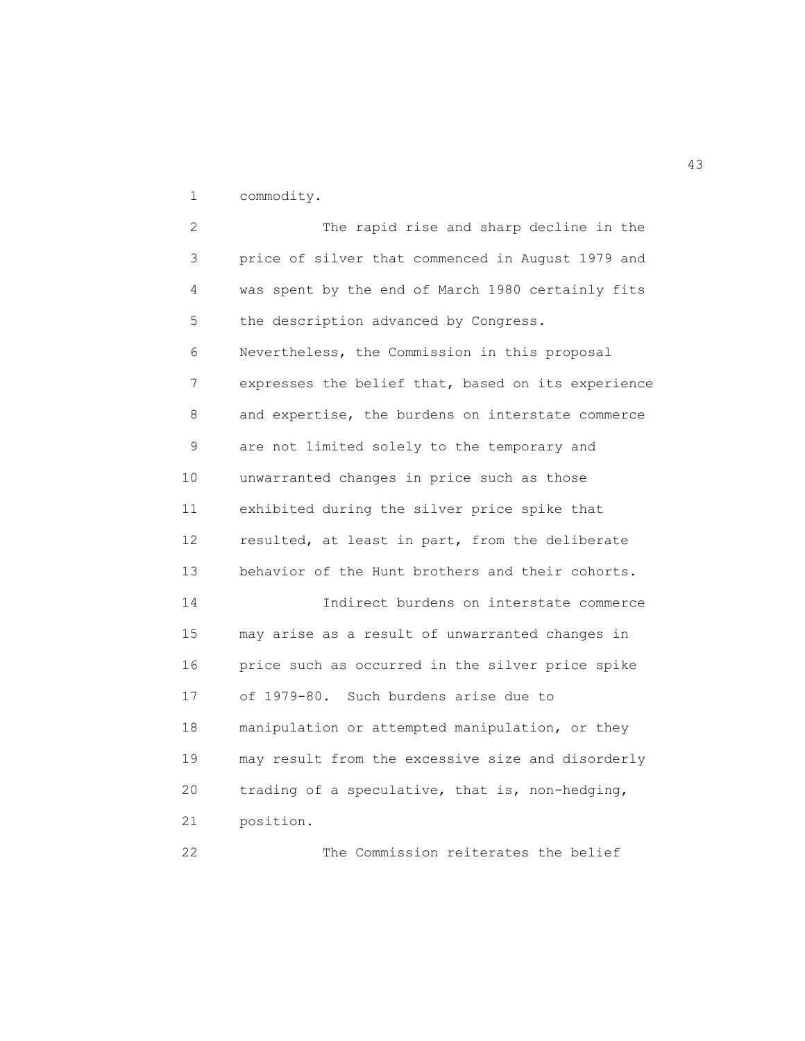1 commodity.

 2 The rapid rise and sharp decline in the 3 price of silver that commenced in August 1979 and 4 was spent by the end of March 1980 certainly fits 5 the description advanced by Congress. 6 Nevertheless, the Commission in this proposal 7 expresses the belief that, based on its experience 8 and expertise, the burdens on interstate commerce 9 are not limited solely to the temporary and 10 unwarranted changes in price such as those 11 exhibited during the silver price spike that 12 resulted, at least in part, from the deliberate 13 behavior of the Hunt brothers and their cohorts. 14 Indirect burdens on interstate commerce 15 may arise as a result of unwarranted changes in 16 price such as occurred in the silver price spike 17 of 1979-80. Such burdens arise due to 18 manipulation or attempted manipulation, or they 19 may result from the excessive size and disorderly 20 trading of a speculative, that is, non-hedging, 21 position.

22 The Commission reiterates the belief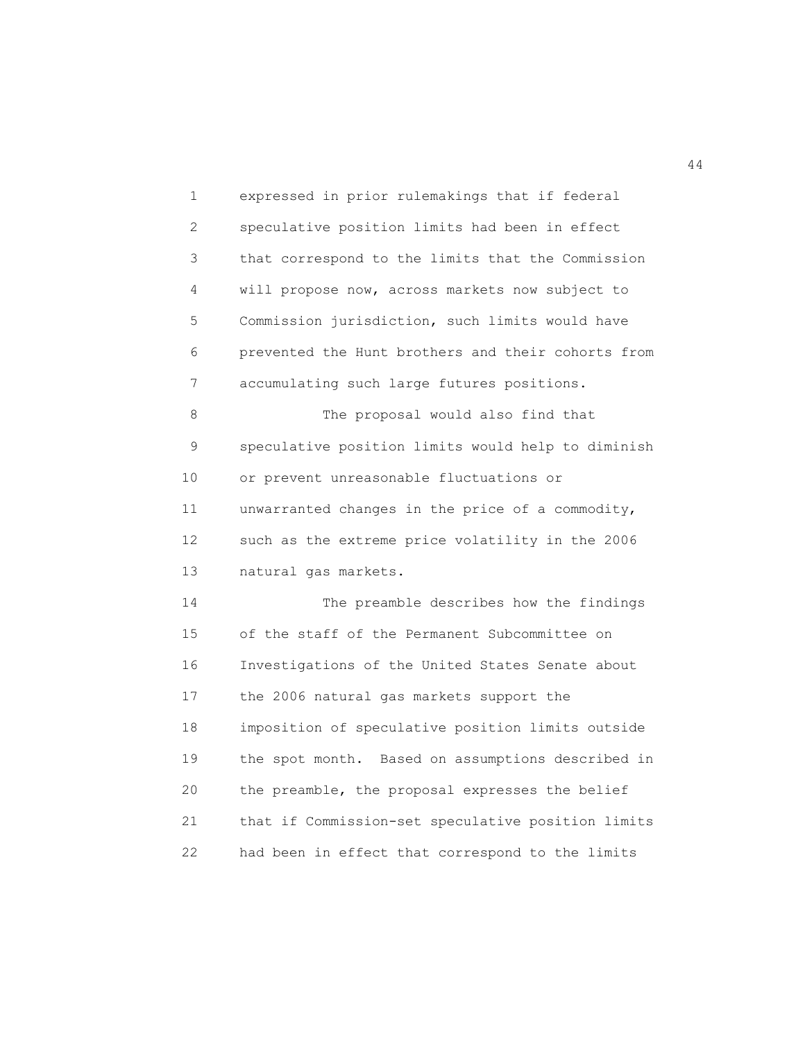1 expressed in prior rulemakings that if federal 2 speculative position limits had been in effect 3 that correspond to the limits that the Commission 4 will propose now, across markets now subject to 5 Commission jurisdiction, such limits would have 6 prevented the Hunt brothers and their cohorts from 7 accumulating such large futures positions. 8 The proposal would also find that 9 speculative position limits would help to diminish 10 or prevent unreasonable fluctuations or 11 unwarranted changes in the price of a commodity, 12 such as the extreme price volatility in the 2006 13 natural gas markets. 14 The preamble describes how the findings 15 of the staff of the Permanent Subcommittee on 16 Investigations of the United States Senate about 17 the 2006 natural gas markets support the 18 imposition of speculative position limits outside 19 the spot month. Based on assumptions described in 20 the preamble, the proposal expresses the belief 21 that if Commission-set speculative position limits 22 had been in effect that correspond to the limits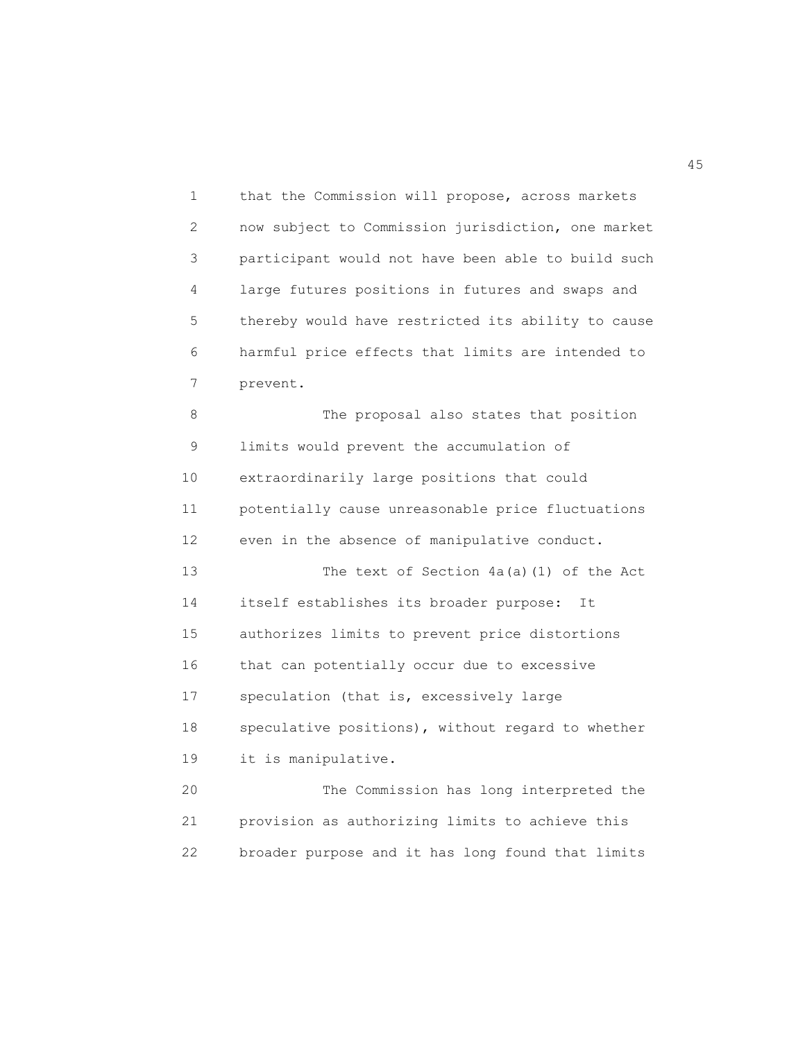1 that the Commission will propose, across markets 2 now subject to Commission jurisdiction, one market 3 participant would not have been able to build such 4 large futures positions in futures and swaps and 5 thereby would have restricted its ability to cause 6 harmful price effects that limits are intended to 7 prevent.

8 The proposal also states that position 9 limits would prevent the accumulation of 10 extraordinarily large positions that could 11 potentially cause unreasonable price fluctuations 12 even in the absence of manipulative conduct. 13 The text of Section 4a(a)(1) of the Act 14 itself establishes its broader purpose: It 15 authorizes limits to prevent price distortions 16 that can potentially occur due to excessive 17 speculation (that is, excessively large 18 speculative positions), without regard to whether 19 it is manipulative. 20 The Commission has long interpreted the

 21 provision as authorizing limits to achieve this 22 broader purpose and it has long found that limits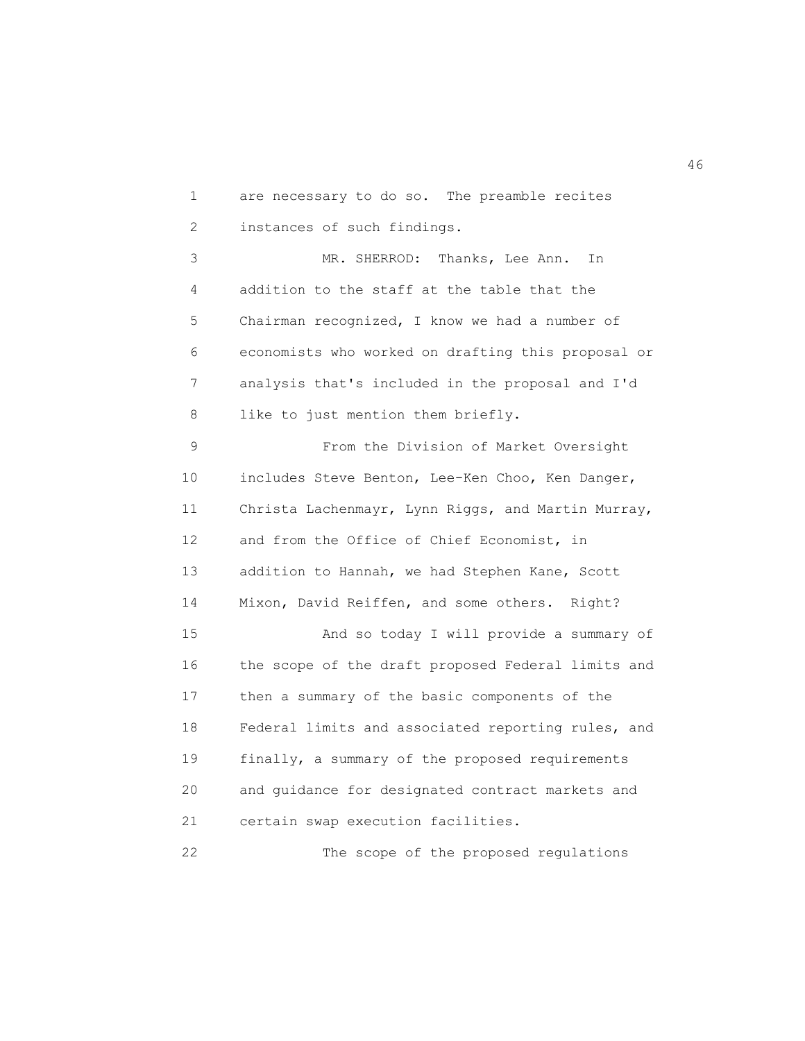1 are necessary to do so. The preamble recites 2 instances of such findings.

 3 MR. SHERROD: Thanks, Lee Ann. In 4 addition to the staff at the table that the 5 Chairman recognized, I know we had a number of 6 economists who worked on drafting this proposal or 7 analysis that's included in the proposal and I'd 8 like to just mention them briefly.

 9 From the Division of Market Oversight 10 includes Steve Benton, Lee-Ken Choo, Ken Danger, 11 Christa Lachenmayr, Lynn Riggs, and Martin Murray, 12 and from the Office of Chief Economist, in 13 addition to Hannah, we had Stephen Kane, Scott 14 Mixon, David Reiffen, and some others. Right? 15 And so today I will provide a summary of 16 the scope of the draft proposed Federal limits and 17 then a summary of the basic components of the 18 Federal limits and associated reporting rules, and 19 finally, a summary of the proposed requirements 20 and guidance for designated contract markets and 21 certain swap execution facilities.

22 The scope of the proposed regulations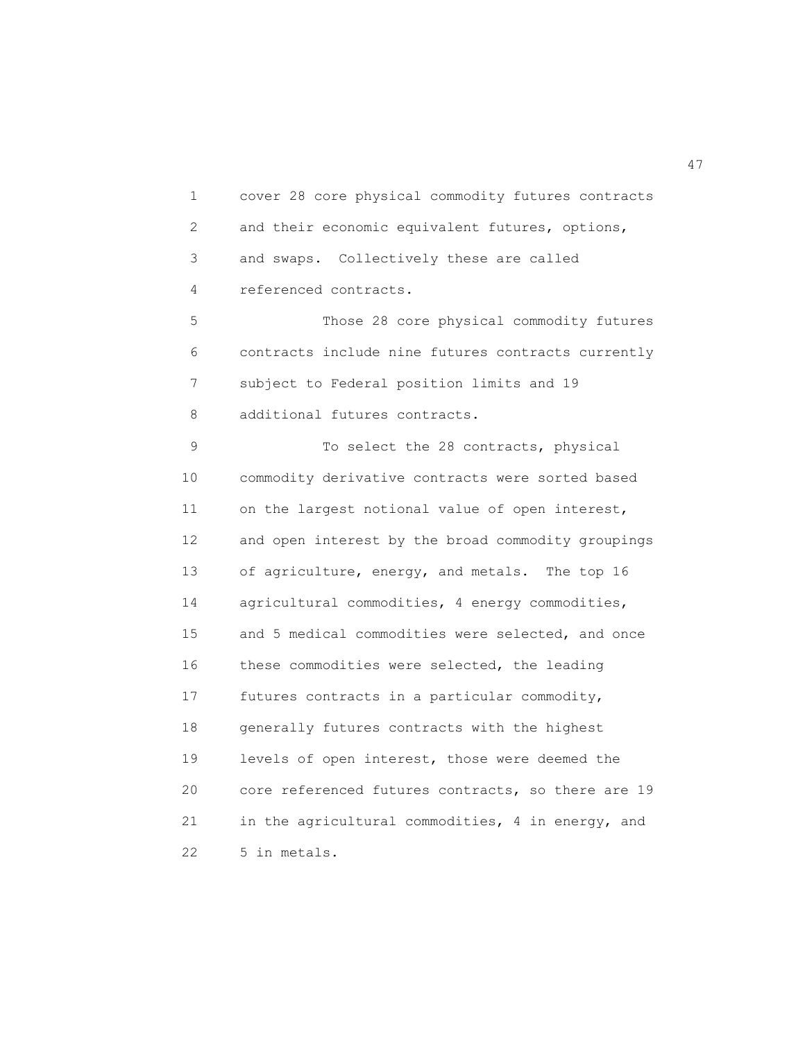1 cover 28 core physical commodity futures contracts 2 and their economic equivalent futures, options, 3 and swaps. Collectively these are called 4 referenced contracts.

 5 Those 28 core physical commodity futures 6 contracts include nine futures contracts currently 7 subject to Federal position limits and 19 8 additional futures contracts.

9 To select the 28 contracts, physical 10 commodity derivative contracts were sorted based 11 on the largest notional value of open interest, 12 and open interest by the broad commodity groupings 13 of agriculture, energy, and metals. The top 16 14 agricultural commodities, 4 energy commodities, 15 and 5 medical commodities were selected, and once 16 these commodities were selected, the leading 17 futures contracts in a particular commodity, 18 generally futures contracts with the highest 19 levels of open interest, those were deemed the 20 core referenced futures contracts, so there are 19 21 in the agricultural commodities, 4 in energy, and 22 5 in metals.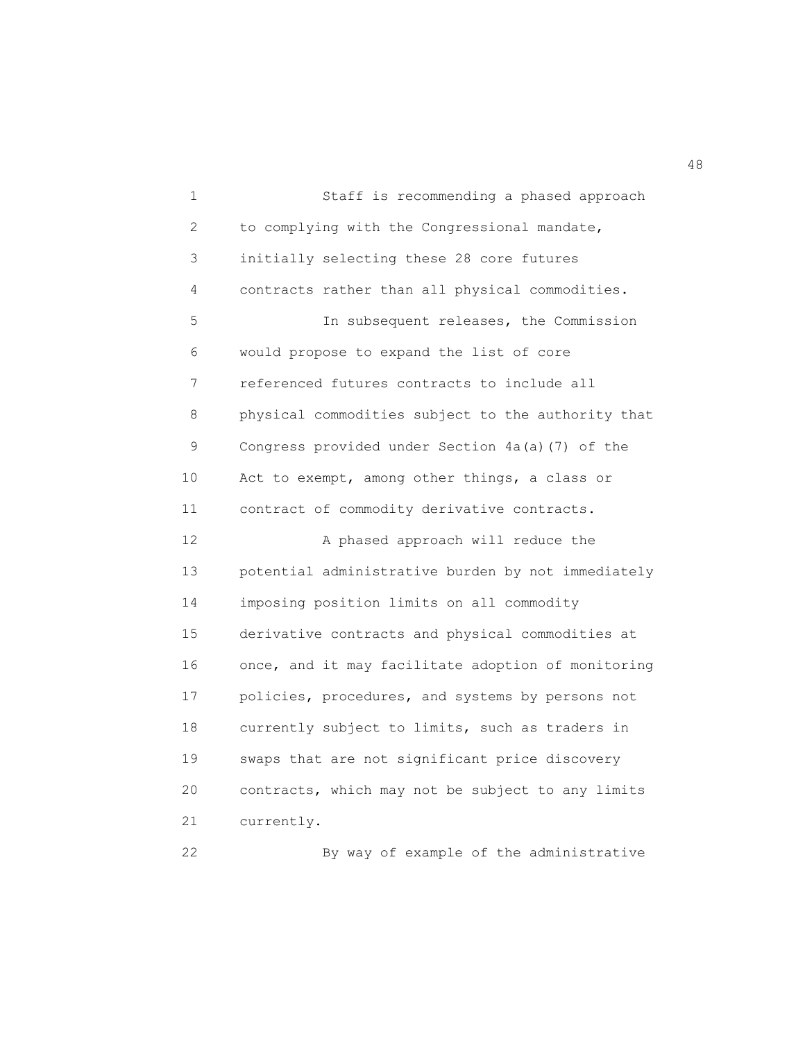1 Staff is recommending a phased approach 2 to complying with the Congressional mandate, 3 initially selecting these 28 core futures 4 contracts rather than all physical commodities. 5 In subsequent releases, the Commission 6 would propose to expand the list of core 7 referenced futures contracts to include all 8 physical commodities subject to the authority that 9 Congress provided under Section 4a(a)(7) of the 10 Act to exempt, among other things, a class or 11 contract of commodity derivative contracts. 12 A phased approach will reduce the 13 potential administrative burden by not immediately 14 imposing position limits on all commodity 15 derivative contracts and physical commodities at 16 once, and it may facilitate adoption of monitoring 17 policies, procedures, and systems by persons not 18 currently subject to limits, such as traders in 19 swaps that are not significant price discovery 20 contracts, which may not be subject to any limits 21 currently. 22 By way of example of the administrative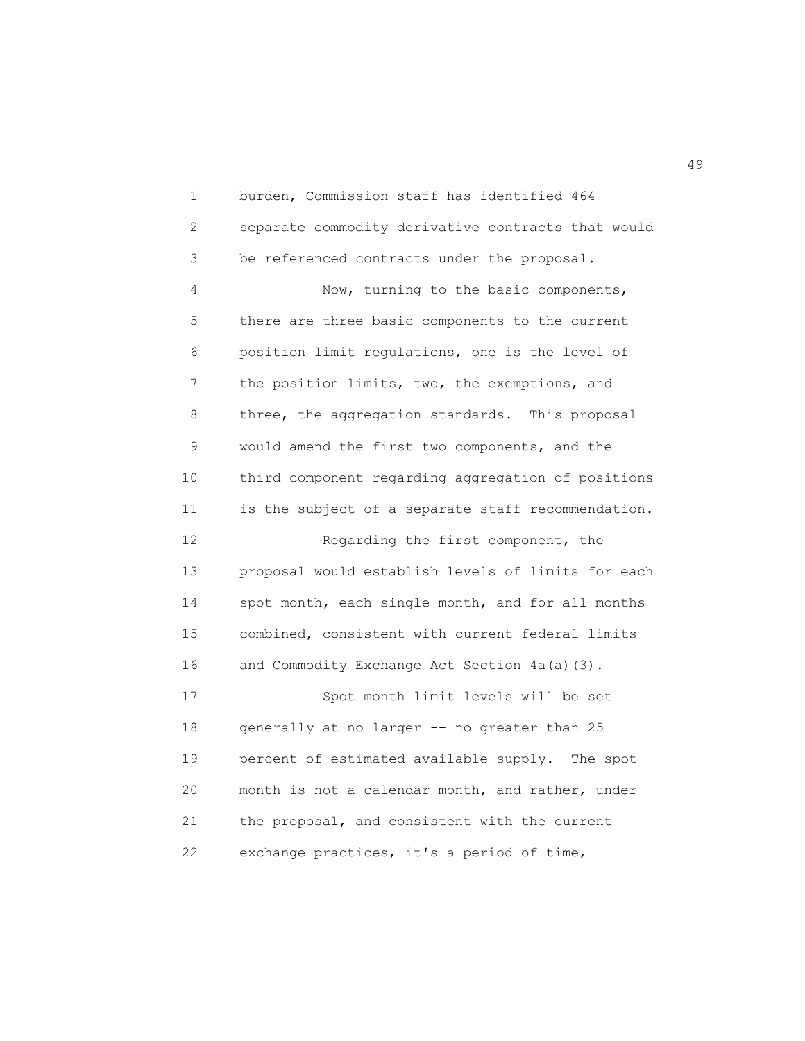1 burden, Commission staff has identified 464 2 separate commodity derivative contracts that would 3 be referenced contracts under the proposal. 4 Now, turning to the basic components, 5 there are three basic components to the current 6 position limit regulations, one is the level of 7 the position limits, two, the exemptions, and 8 three, the aggregation standards. This proposal 9 would amend the first two components, and the 10 third component regarding aggregation of positions 11 is the subject of a separate staff recommendation. 12 Regarding the first component, the 13 proposal would establish levels of limits for each 14 spot month, each single month, and for all months 15 combined, consistent with current federal limits 16 and Commodity Exchange Act Section 4a(a)(3). 17 Spot month limit levels will be set 18 generally at no larger -- no greater than 25 19 percent of estimated available supply. The spot 20 month is not a calendar month, and rather, under 21 the proposal, and consistent with the current 22 exchange practices, it's a period of time,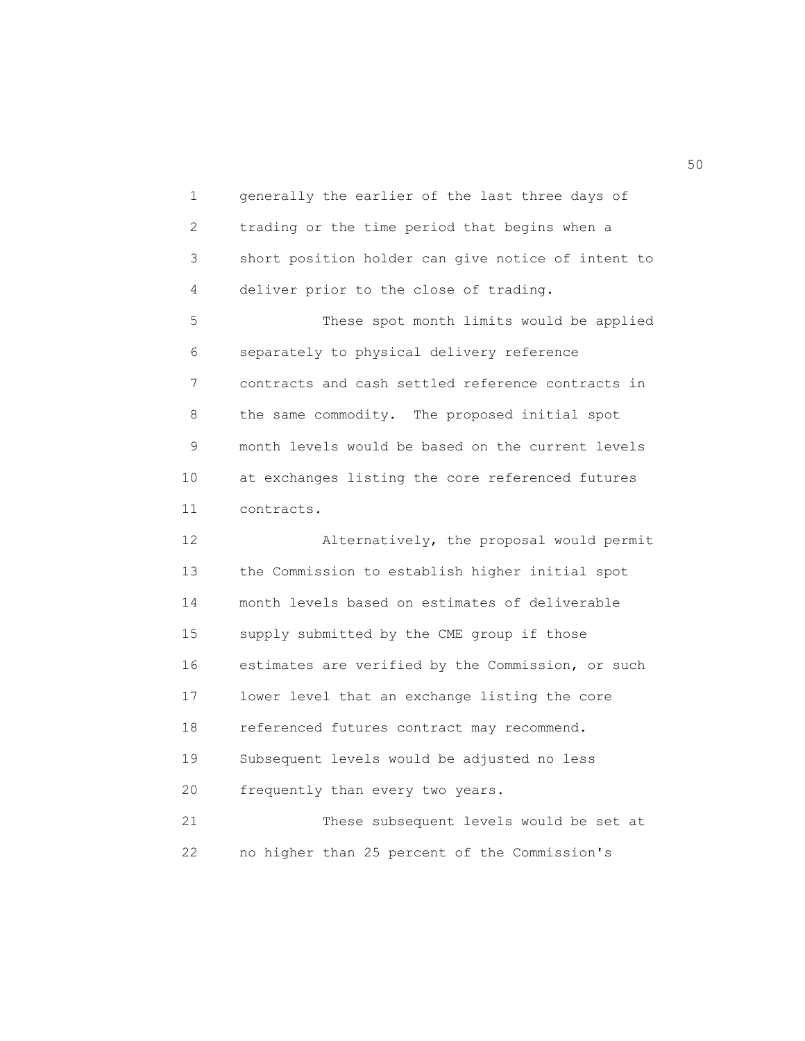1 generally the earlier of the last three days of 2 trading or the time period that begins when a 3 short position holder can give notice of intent to 4 deliver prior to the close of trading. 5 These spot month limits would be applied 6 separately to physical delivery reference 7 contracts and cash settled reference contracts in 8 the same commodity. The proposed initial spot 9 month levels would be based on the current levels 10 at exchanges listing the core referenced futures 11 contracts. 12 Alternatively, the proposal would permit 13 the Commission to establish higher initial spot 14 month levels based on estimates of deliverable 15 supply submitted by the CME group if those 16 estimates are verified by the Commission, or such 17 lower level that an exchange listing the core 18 referenced futures contract may recommend. 19 Subsequent levels would be adjusted no less 20 frequently than every two years. 21 These subsequent levels would be set at 22 no higher than 25 percent of the Commission's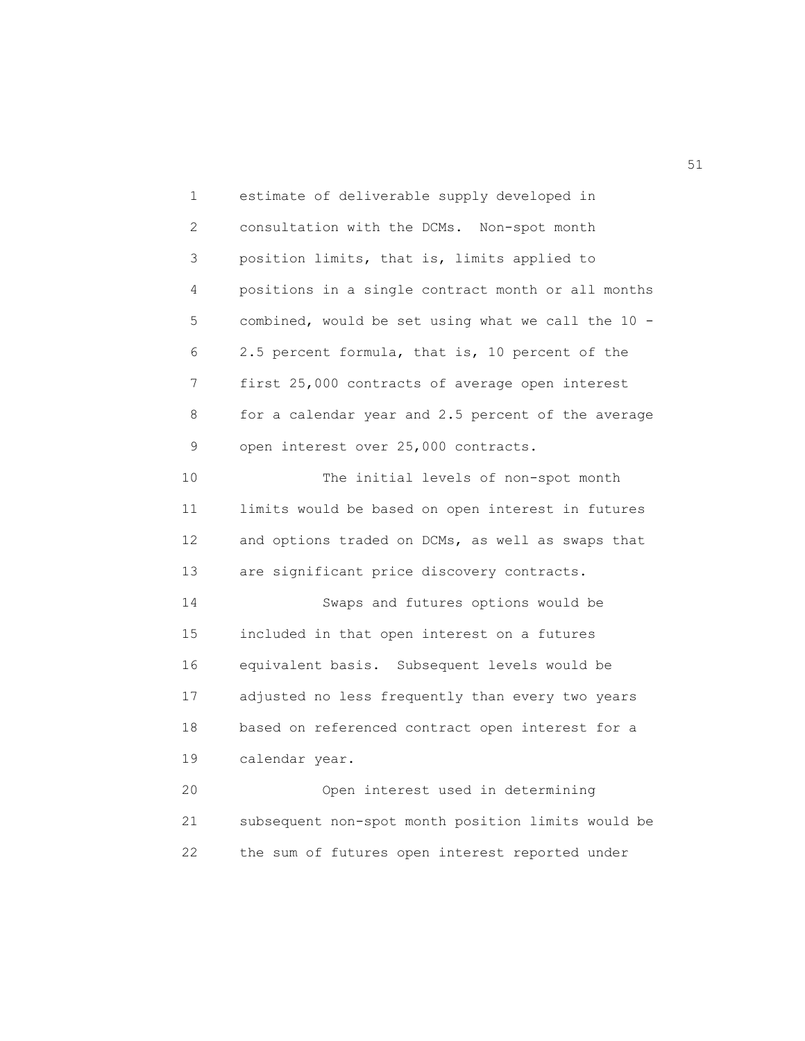1 estimate of deliverable supply developed in 2 consultation with the DCMs. Non-spot month 3 position limits, that is, limits applied to 4 positions in a single contract month or all months 5 combined, would be set using what we call the 10 - 6 2.5 percent formula, that is, 10 percent of the 7 first 25,000 contracts of average open interest 8 for a calendar year and 2.5 percent of the average 9 open interest over 25,000 contracts. 10 The initial levels of non-spot month 11 limits would be based on open interest in futures 12 and options traded on DCMs, as well as swaps that 13 are significant price discovery contracts. 14 Swaps and futures options would be 15 included in that open interest on a futures 16 equivalent basis. Subsequent levels would be 17 adjusted no less frequently than every two years 18 based on referenced contract open interest for a 19 calendar year. 20 Open interest used in determining 21 subsequent non-spot month position limits would be

22 the sum of futures open interest reported under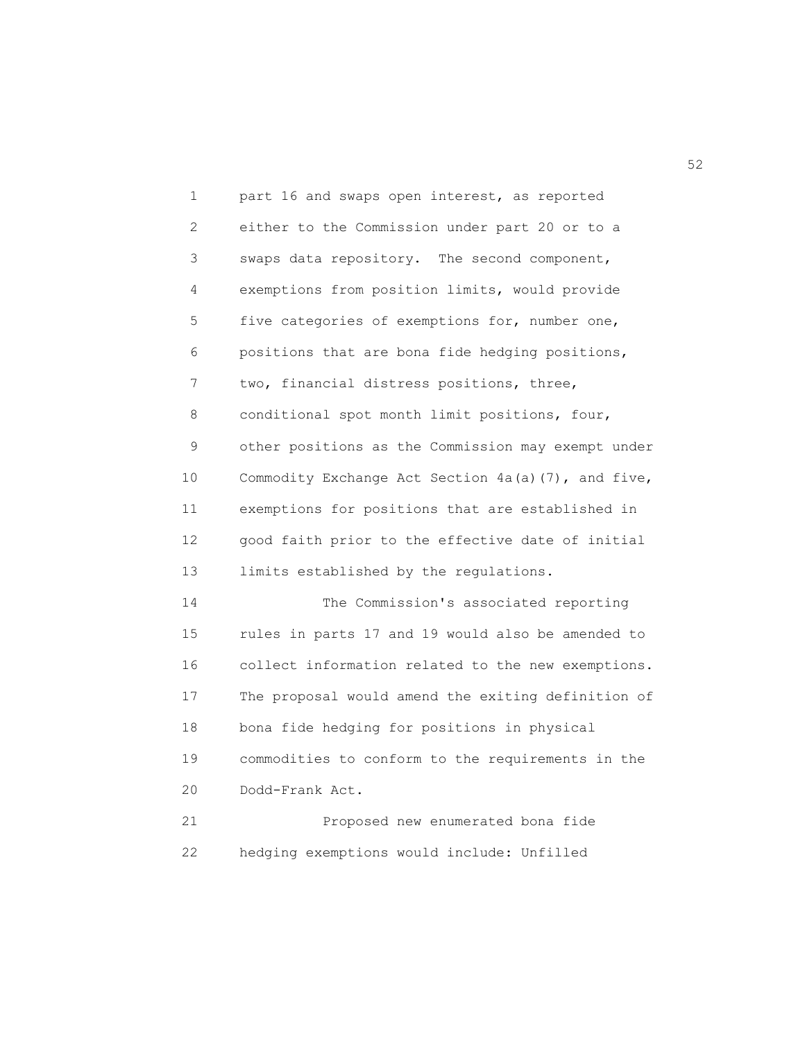1 part 16 and swaps open interest, as reported 2 either to the Commission under part 20 or to a 3 swaps data repository. The second component, 4 exemptions from position limits, would provide 5 five categories of exemptions for, number one, 6 positions that are bona fide hedging positions, 7 two, financial distress positions, three, 8 conditional spot month limit positions, four, 9 other positions as the Commission may exempt under 10 Commodity Exchange Act Section 4a(a)(7), and five, 11 exemptions for positions that are established in 12 good faith prior to the effective date of initial 13 limits established by the regulations. 14 The Commission's associated reporting 15 rules in parts 17 and 19 would also be amended to 16 collect information related to the new exemptions. 17 The proposal would amend the exiting definition of 18 bona fide hedging for positions in physical 19 commodities to conform to the requirements in the 20 Dodd-Frank Act. 21 Proposed new enumerated bona fide

22 hedging exemptions would include: Unfilled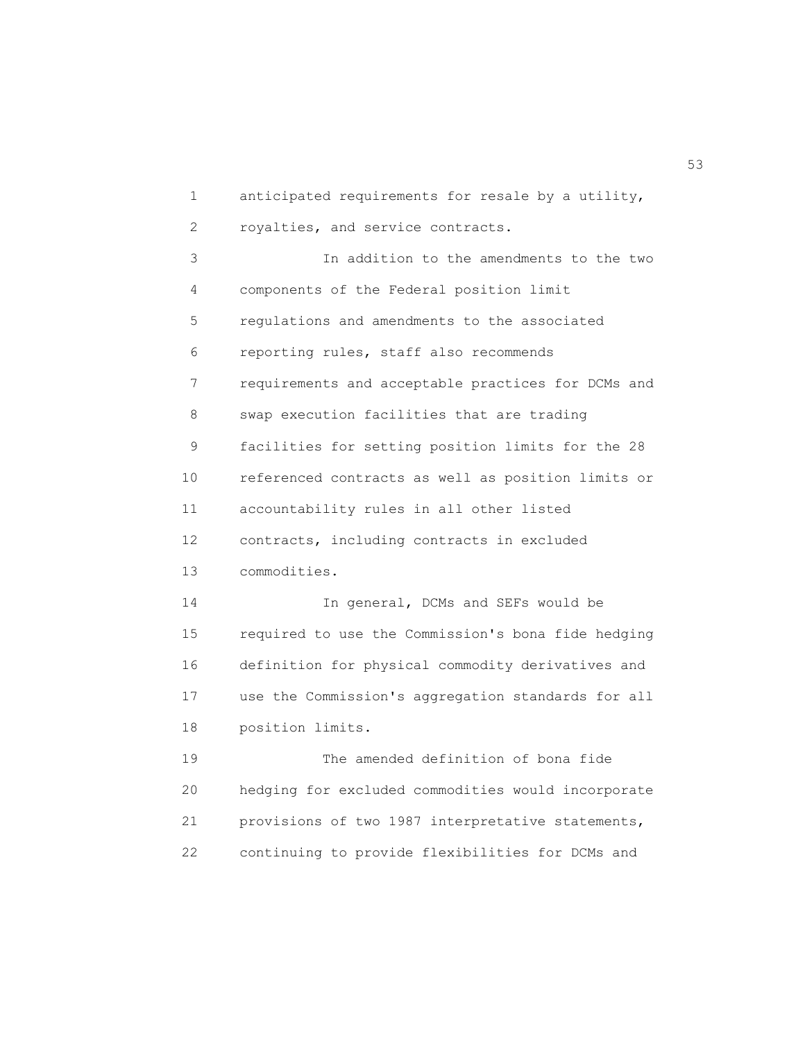1 anticipated requirements for resale by a utility, 2 royalties, and service contracts. 3 In addition to the amendments to the two 4 components of the Federal position limit 5 regulations and amendments to the associated 6 reporting rules, staff also recommends 7 requirements and acceptable practices for DCMs and 8 swap execution facilities that are trading 9 facilities for setting position limits for the 28 10 referenced contracts as well as position limits or 11 accountability rules in all other listed 12 contracts, including contracts in excluded 13 commodities. 14 In general, DCMs and SEFs would be 15 required to use the Commission's bona fide hedging 16 definition for physical commodity derivatives and 17 use the Commission's aggregation standards for all 18 position limits. 19 The amended definition of bona fide 20 hedging for excluded commodities would incorporate 21 provisions of two 1987 interpretative statements, 22 continuing to provide flexibilities for DCMs and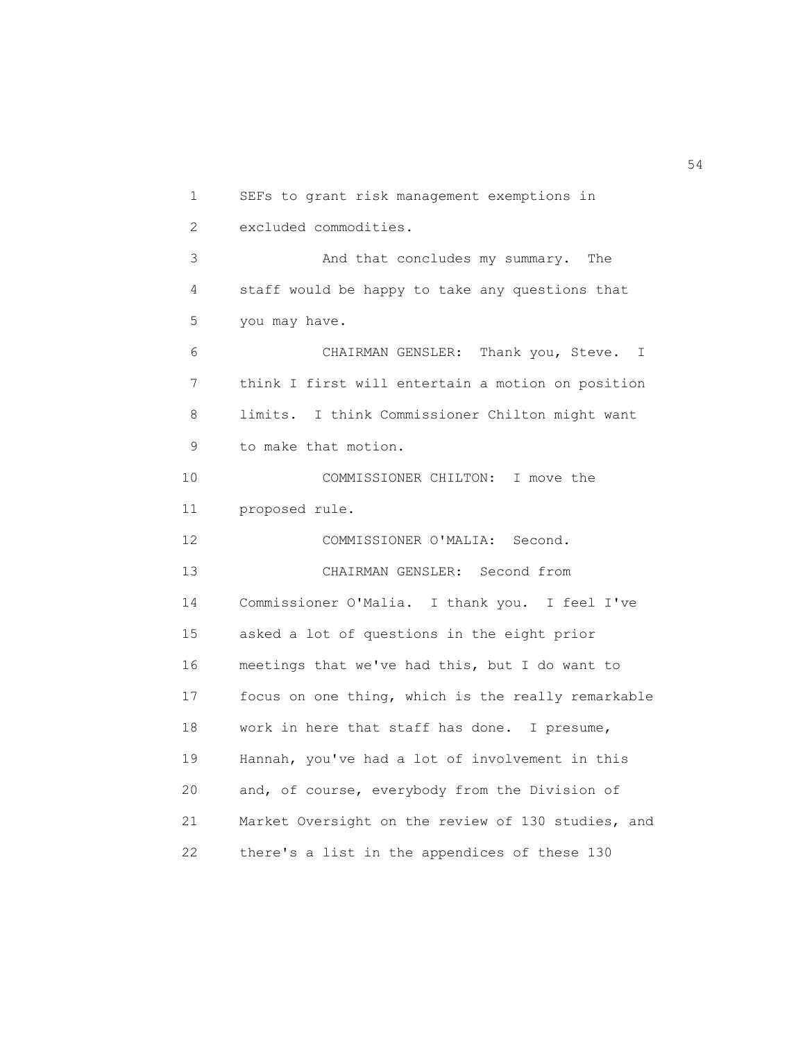1 SEFs to grant risk management exemptions in 2 excluded commodities. 3 And that concludes my summary. The 4 staff would be happy to take any questions that 5 you may have. 6 CHAIRMAN GENSLER: Thank you, Steve. I 7 think I first will entertain a motion on position 8 limits. I think Commissioner Chilton might want 9 to make that motion. 10 COMMISSIONER CHILTON: I move the 11 proposed rule. 12 COMMISSIONER O'MALIA: Second. 13 CHAIRMAN GENSLER: Second from 14 Commissioner O'Malia. I thank you. I feel I've 15 asked a lot of questions in the eight prior 16 meetings that we've had this, but I do want to 17 focus on one thing, which is the really remarkable 18 work in here that staff has done. I presume, 19 Hannah, you've had a lot of involvement in this 20 and, of course, everybody from the Division of 21 Market Oversight on the review of 130 studies, and 22 there's a list in the appendices of these 130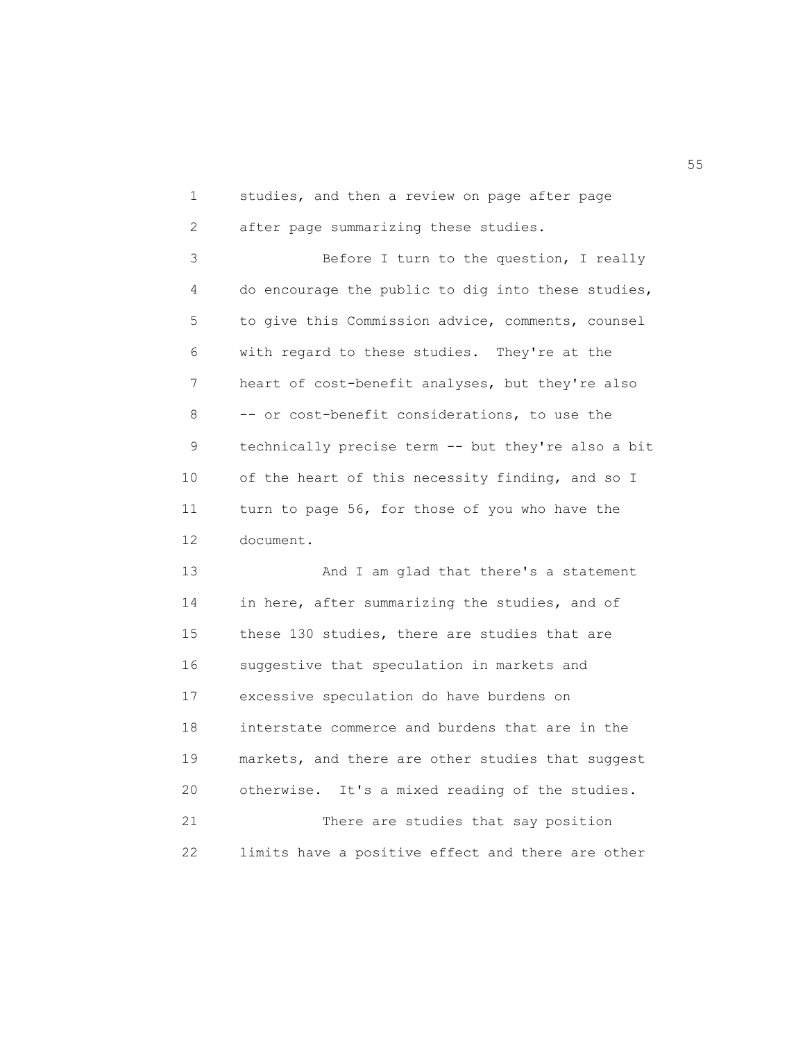1 studies, and then a review on page after page 2 after page summarizing these studies.

 3 Before I turn to the question, I really 4 do encourage the public to dig into these studies, 5 to give this Commission advice, comments, counsel 6 with regard to these studies. They're at the 7 heart of cost-benefit analyses, but they're also 8 -- or cost-benefit considerations, to use the 9 technically precise term -- but they're also a bit 10 of the heart of this necessity finding, and so I 11 turn to page 56, for those of you who have the 12 document.

 13 And I am glad that there's a statement 14 in here, after summarizing the studies, and of 15 these 130 studies, there are studies that are 16 suggestive that speculation in markets and 17 excessive speculation do have burdens on 18 interstate commerce and burdens that are in the 19 markets, and there are other studies that suggest 20 otherwise. It's a mixed reading of the studies. 21 There are studies that say position 22 limits have a positive effect and there are other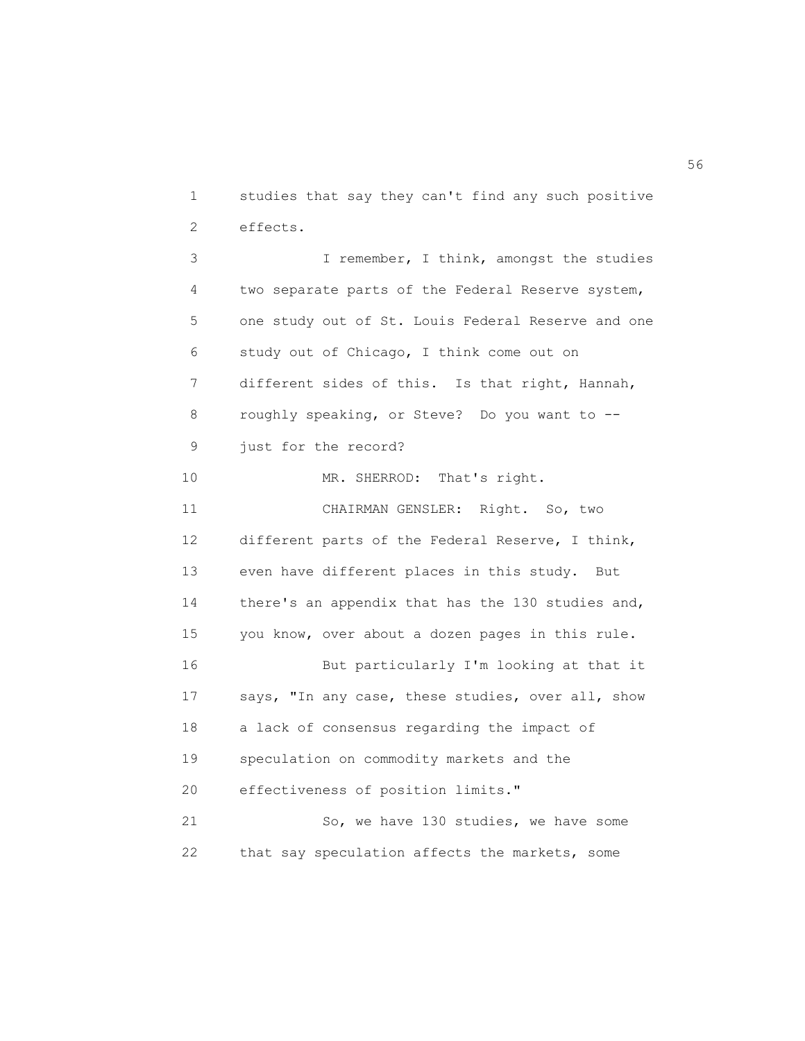1 studies that say they can't find any such positive 2 effects.

 3 I remember, I think, amongst the studies 4 two separate parts of the Federal Reserve system, 5 one study out of St. Louis Federal Reserve and one 6 study out of Chicago, I think come out on 7 different sides of this. Is that right, Hannah, 8 roughly speaking, or Steve? Do you want to -- 9 just for the record? 10 MR. SHERROD: That's right. 11 CHAIRMAN GENSLER: Right. So, two 12 different parts of the Federal Reserve, I think, 13 even have different places in this study. But 14 there's an appendix that has the 130 studies and, 15 you know, over about a dozen pages in this rule. 16 But particularly I'm looking at that it 17 says, "In any case, these studies, over all, show 18 a lack of consensus regarding the impact of 19 speculation on commodity markets and the 20 effectiveness of position limits." 21 So, we have 130 studies, we have some 22 that say speculation affects the markets, some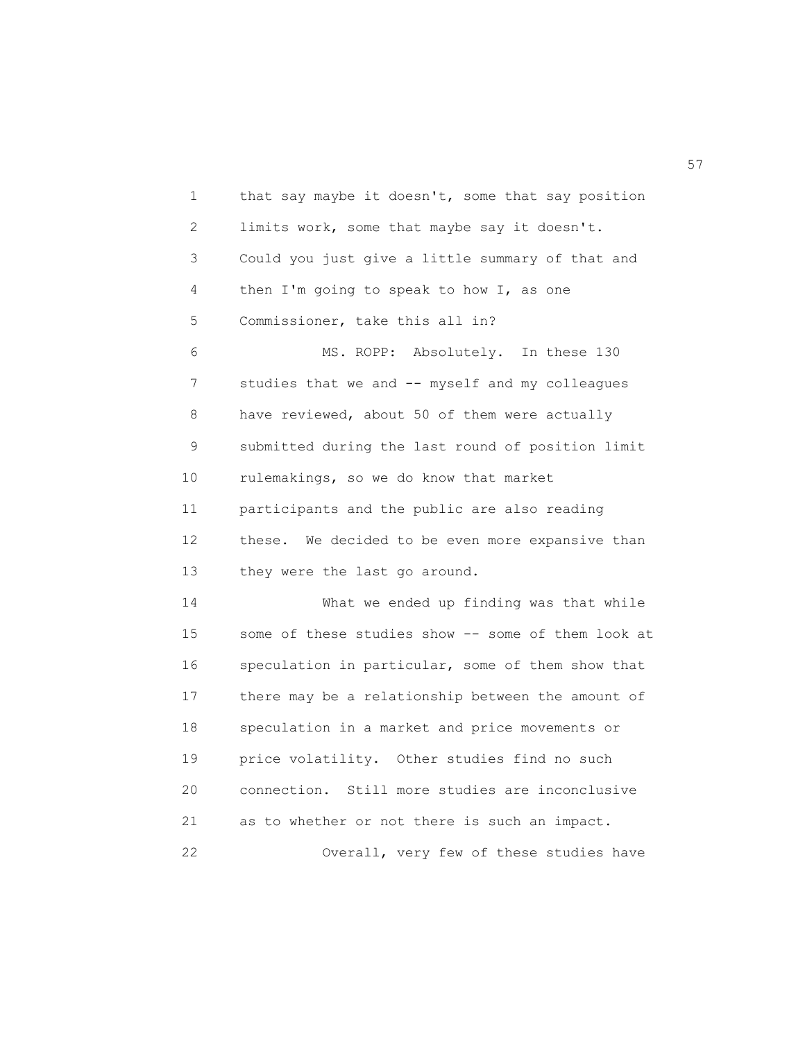1 that say maybe it doesn't, some that say position 2 limits work, some that maybe say it doesn't. 3 Could you just give a little summary of that and 4 then I'm going to speak to how I, as one 5 Commissioner, take this all in? 6 MS. ROPP: Absolutely. In these 130 7 studies that we and -- myself and my colleagues 8 have reviewed, about 50 of them were actually 9 submitted during the last round of position limit 10 rulemakings, so we do know that market 11 participants and the public are also reading 12 these. We decided to be even more expansive than 13 they were the last go around. 14 What we ended up finding was that while 15 some of these studies show -- some of them look at 16 speculation in particular, some of them show that 17 there may be a relationship between the amount of 18 speculation in a market and price movements or 19 price volatility. Other studies find no such 20 connection. Still more studies are inconclusive 21 as to whether or not there is such an impact. 22 Overall, very few of these studies have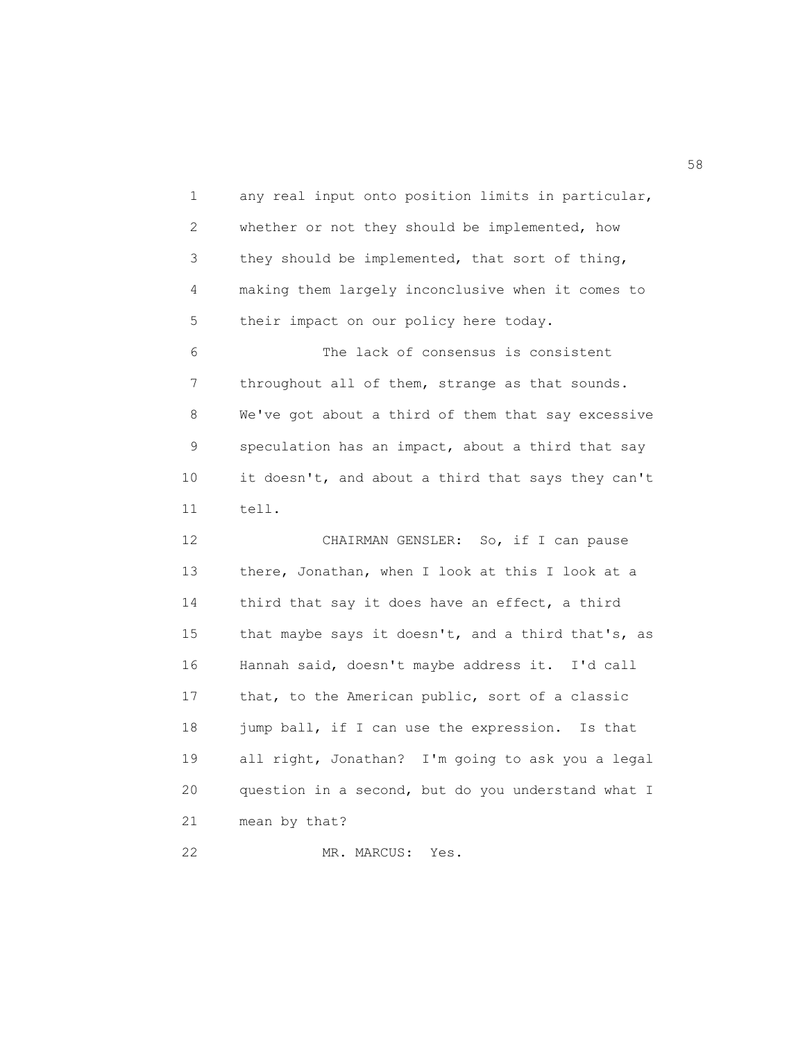1 any real input onto position limits in particular, 2 whether or not they should be implemented, how 3 they should be implemented, that sort of thing, 4 making them largely inconclusive when it comes to 5 their impact on our policy here today. 6 The lack of consensus is consistent 7 throughout all of them, strange as that sounds. 8 We've got about a third of them that say excessive 9 speculation has an impact, about a third that say 10 it doesn't, and about a third that says they can't 11 tell. 12 CHAIRMAN GENSLER: So, if I can pause 13 there, Jonathan, when I look at this I look at a 14 third that say it does have an effect, a third 15 that maybe says it doesn't, and a third that's, as 16 Hannah said, doesn't maybe address it. I'd call 17 that, to the American public, sort of a classic 18 jump ball, if I can use the expression. Is that 19 all right, Jonathan? I'm going to ask you a legal 20 question in a second, but do you understand what I 21 mean by that?

22 MR. MARCUS: Yes.

 $58<sup>th</sup>$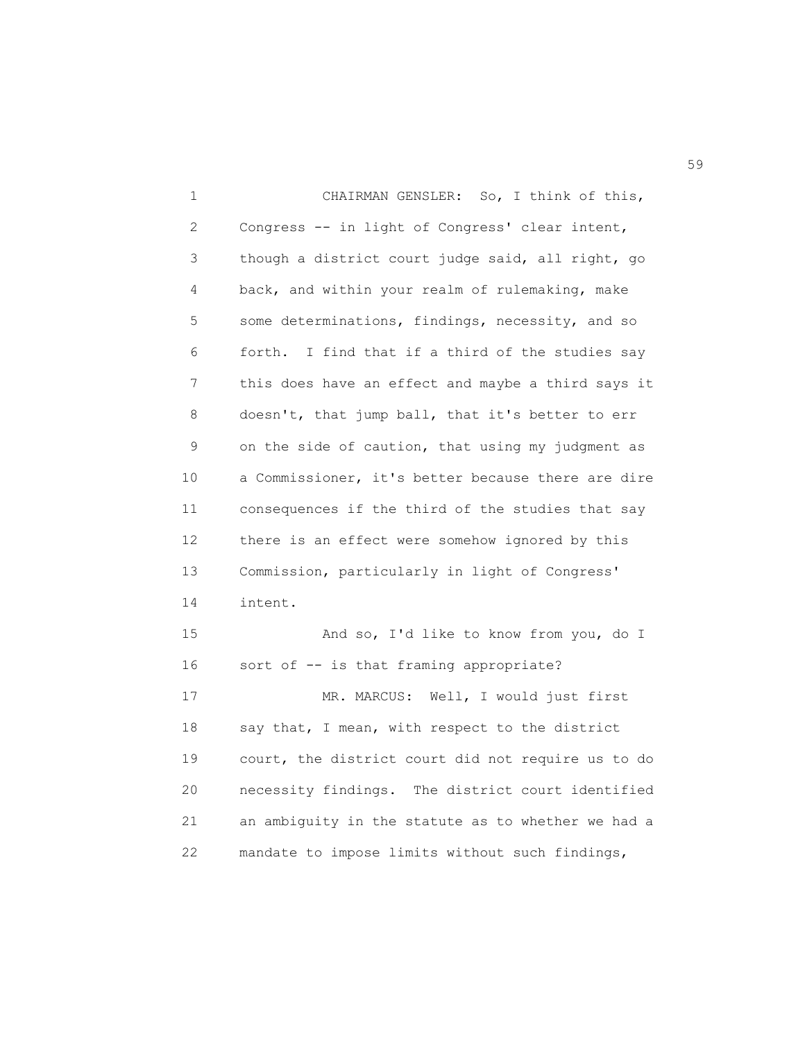1 CHAIRMAN GENSLER: So, I think of this, 2 Congress -- in light of Congress' clear intent, 3 though a district court judge said, all right, go 4 back, and within your realm of rulemaking, make 5 some determinations, findings, necessity, and so 6 forth. I find that if a third of the studies say 7 this does have an effect and maybe a third says it 8 doesn't, that jump ball, that it's better to err 9 on the side of caution, that using my judgment as 10 a Commissioner, it's better because there are dire 11 consequences if the third of the studies that say 12 there is an effect were somehow ignored by this 13 Commission, particularly in light of Congress' 14 intent. 15 And so, I'd like to know from you, do I 16 sort of -- is that framing appropriate? 17 MR. MARCUS: Well, I would just first 18 say that, I mean, with respect to the district 19 court, the district court did not require us to do 20 necessity findings. The district court identified 21 an ambiguity in the statute as to whether we had a 22 mandate to impose limits without such findings,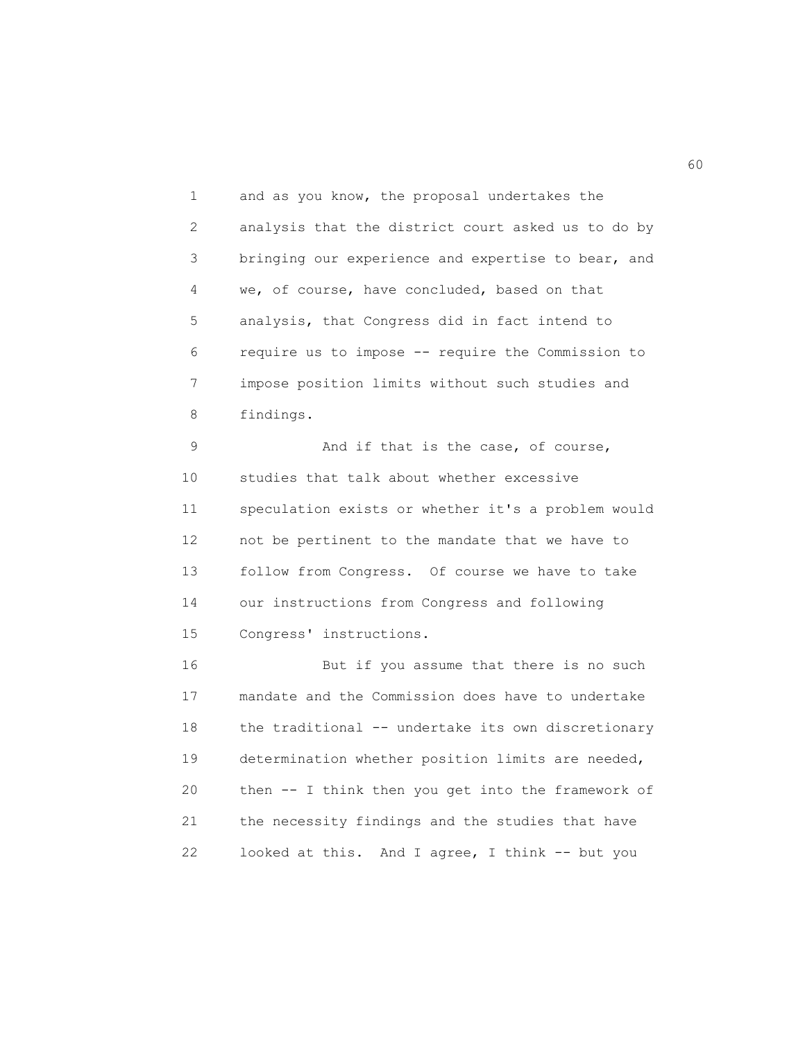1 and as you know, the proposal undertakes the 2 analysis that the district court asked us to do by 3 bringing our experience and expertise to bear, and 4 we, of course, have concluded, based on that 5 analysis, that Congress did in fact intend to 6 require us to impose -- require the Commission to 7 impose position limits without such studies and 8 findings.

9 And if that is the case, of course, 10 studies that talk about whether excessive 11 speculation exists or whether it's a problem would 12 not be pertinent to the mandate that we have to 13 follow from Congress. Of course we have to take 14 our instructions from Congress and following 15 Congress' instructions.

 16 But if you assume that there is no such 17 mandate and the Commission does have to undertake 18 the traditional -- undertake its own discretionary 19 determination whether position limits are needed, 20 then -- I think then you get into the framework of 21 the necessity findings and the studies that have 22 looked at this. And I agree, I think -- but you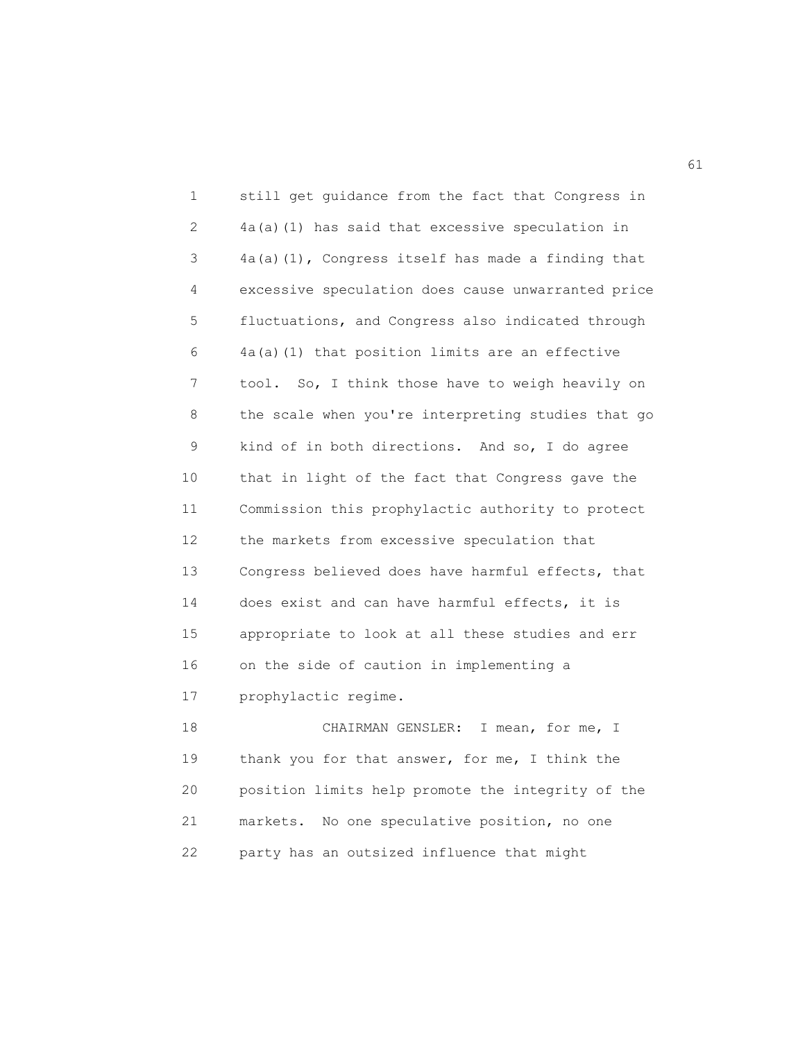1 still get guidance from the fact that Congress in 2 4a(a)(1) has said that excessive speculation in 3 4a(a)(1), Congress itself has made a finding that 4 excessive speculation does cause unwarranted price 5 fluctuations, and Congress also indicated through 6 4a(a)(1) that position limits are an effective 7 tool. So, I think those have to weigh heavily on 8 the scale when you're interpreting studies that go 9 kind of in both directions. And so, I do agree 10 that in light of the fact that Congress gave the 11 Commission this prophylactic authority to protect 12 the markets from excessive speculation that 13 Congress believed does have harmful effects, that 14 does exist and can have harmful effects, it is 15 appropriate to look at all these studies and err 16 on the side of caution in implementing a 17 prophylactic regime. 18 CHAIRMAN GENSLER: I mean, for me, I 19 thank you for that answer, for me, I think the 20 position limits help promote the integrity of the 21 markets. No one speculative position, no one

22 party has an outsized influence that might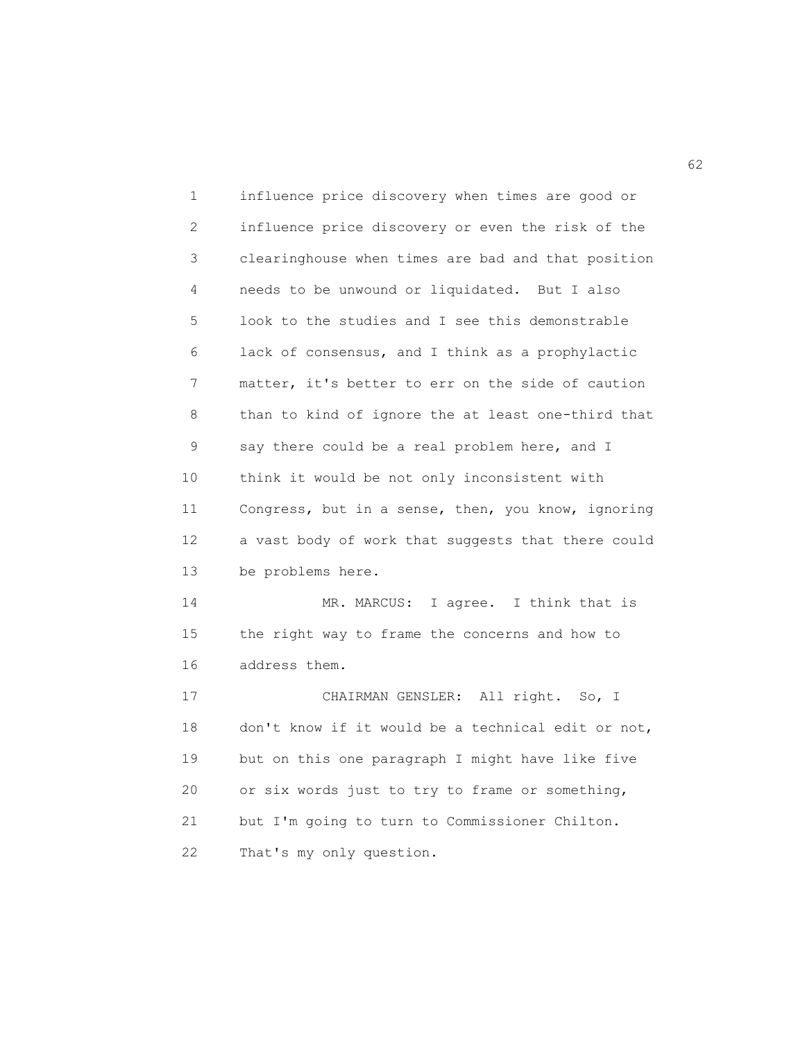1 influence price discovery when times are good or 2 influence price discovery or even the risk of the 3 clearinghouse when times are bad and that position 4 needs to be unwound or liquidated. But I also 5 look to the studies and I see this demonstrable 6 lack of consensus, and I think as a prophylactic 7 matter, it's better to err on the side of caution 8 than to kind of ignore the at least one-third that 9 say there could be a real problem here, and I 10 think it would be not only inconsistent with 11 Congress, but in a sense, then, you know, ignoring 12 a vast body of work that suggests that there could 13 be problems here. 14 MR. MARCUS: I agree. I think that is 15 the right way to frame the concerns and how to 16 address them. 17 CHAIRMAN GENSLER: All right. So, I 18 don't know if it would be a technical edit or not, 19 but on this one paragraph I might have like five 20 or six words just to try to frame or something, 21 but I'm going to turn to Commissioner Chilton. 22 That's my only question.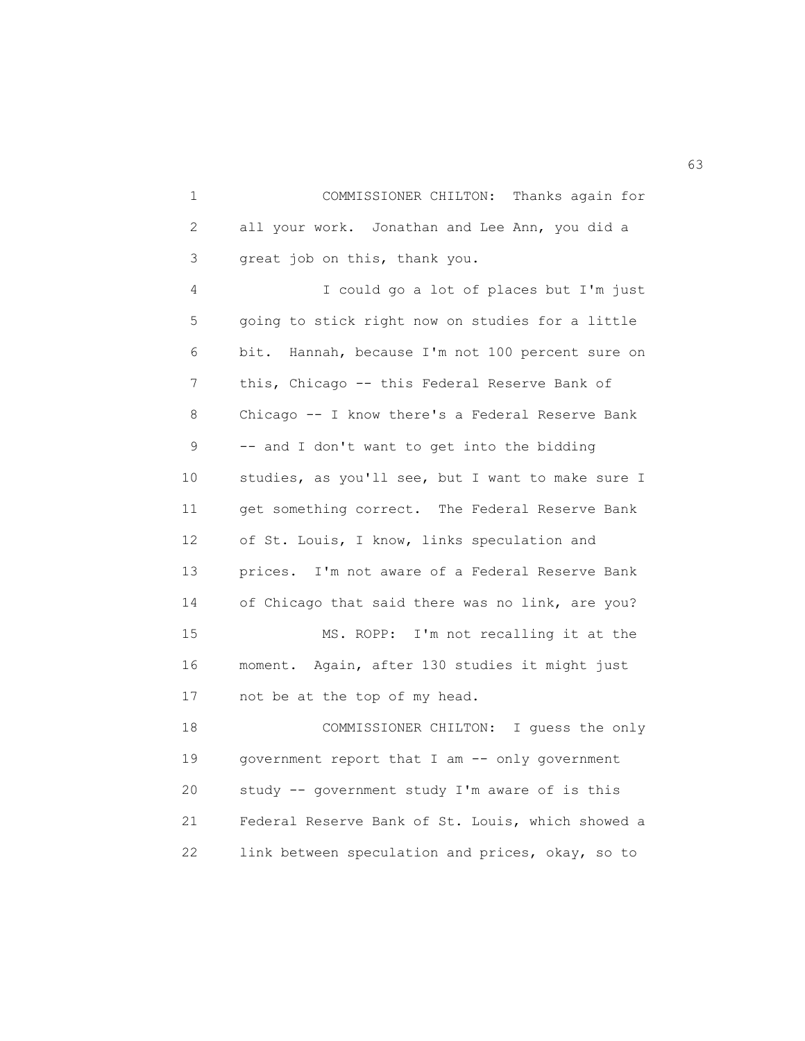1 COMMISSIONER CHILTON: Thanks again for 2 all your work. Jonathan and Lee Ann, you did a 3 great job on this, thank you. 4 I could go a lot of places but I'm just 5 going to stick right now on studies for a little 6 bit. Hannah, because I'm not 100 percent sure on 7 this, Chicago -- this Federal Reserve Bank of 8 Chicago -- I know there's a Federal Reserve Bank 9 -- and I don't want to get into the bidding 10 studies, as you'll see, but I want to make sure I 11 get something correct. The Federal Reserve Bank 12 of St. Louis, I know, links speculation and 13 prices. I'm not aware of a Federal Reserve Bank 14 of Chicago that said there was no link, are you? 15 MS. ROPP: I'm not recalling it at the 16 moment. Again, after 130 studies it might just 17 not be at the top of my head. 18 COMMISSIONER CHILTON: I guess the only 19 government report that I am -- only government 20 study -- government study I'm aware of is this 21 Federal Reserve Bank of St. Louis, which showed a 22 link between speculation and prices, okay, so to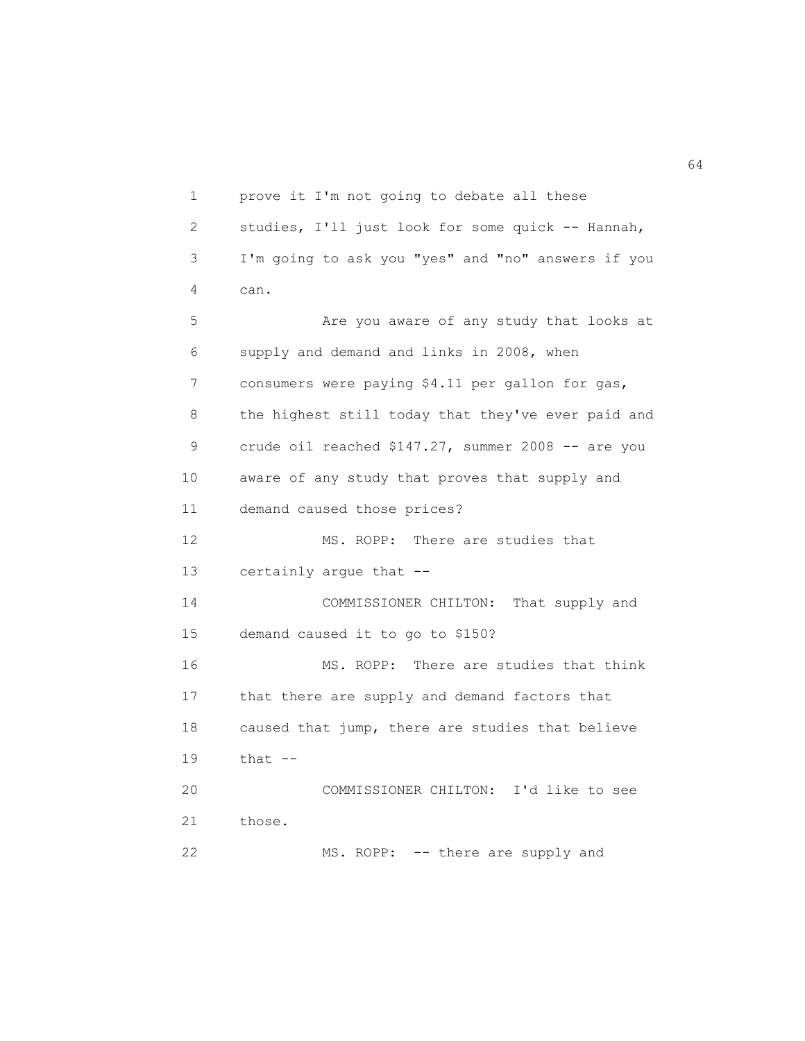1 prove it I'm not going to debate all these 2 studies, I'll just look for some quick -- Hannah, 3 I'm going to ask you "yes" and "no" answers if you 4 can. 5 Are you aware of any study that looks at 6 supply and demand and links in 2008, when 7 consumers were paying \$4.11 per gallon for gas, 8 the highest still today that they've ever paid and 9 crude oil reached \$147.27, summer 2008 -- are you 10 aware of any study that proves that supply and 11 demand caused those prices? 12 MS. ROPP: There are studies that 13 certainly argue that -- 14 COMMISSIONER CHILTON: That supply and 15 demand caused it to go to \$150? 16 MS. ROPP: There are studies that think 17 that there are supply and demand factors that 18 caused that jump, there are studies that believe 19 that -- 20 COMMISSIONER CHILTON: I'd like to see 21 those. 22 MS. ROPP: -- there are supply and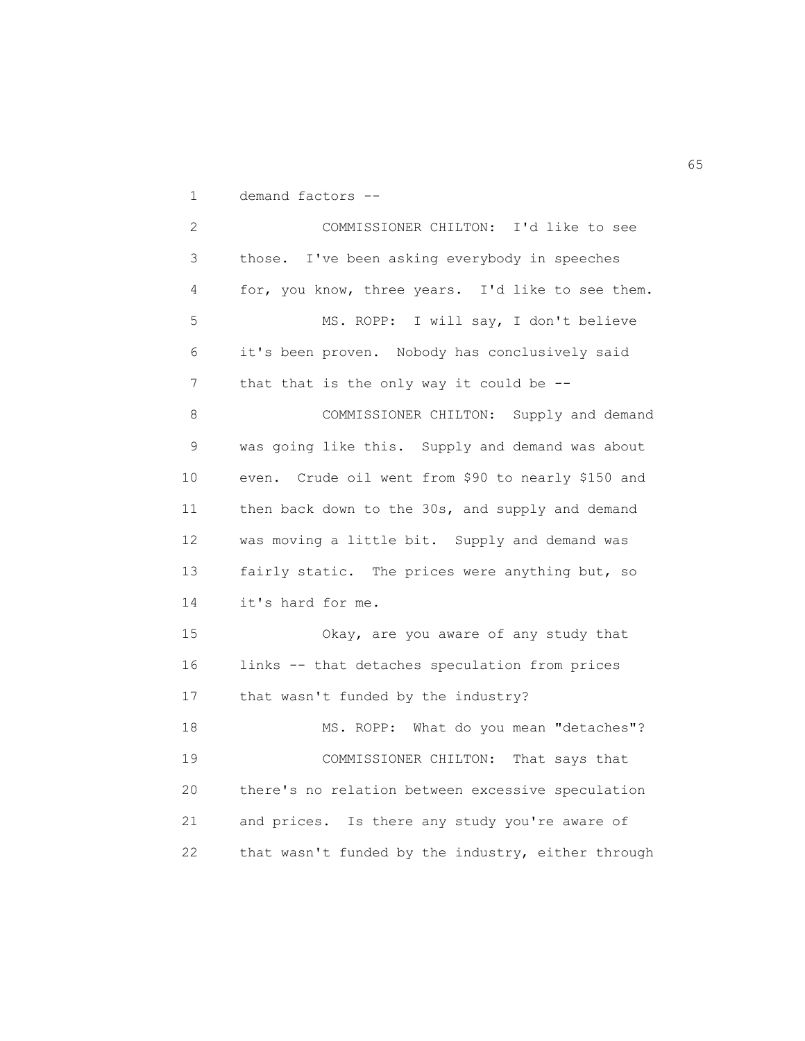1 demand factors --

 2 COMMISSIONER CHILTON: I'd like to see 3 those. I've been asking everybody in speeches 4 for, you know, three years. I'd like to see them. 5 MS. ROPP: I will say, I don't believe 6 it's been proven. Nobody has conclusively said 7 that that is the only way it could be --8 COMMISSIONER CHILTON: Supply and demand 9 was going like this. Supply and demand was about 10 even. Crude oil went from \$90 to nearly \$150 and 11 then back down to the 30s, and supply and demand 12 was moving a little bit. Supply and demand was 13 fairly static. The prices were anything but, so 14 it's hard for me. 15 Okay, are you aware of any study that 16 links -- that detaches speculation from prices 17 that wasn't funded by the industry? 18 MS. ROPP: What do you mean "detaches"? 19 COMMISSIONER CHILTON: That says that 20 there's no relation between excessive speculation 21 and prices. Is there any study you're aware of 22 that wasn't funded by the industry, either through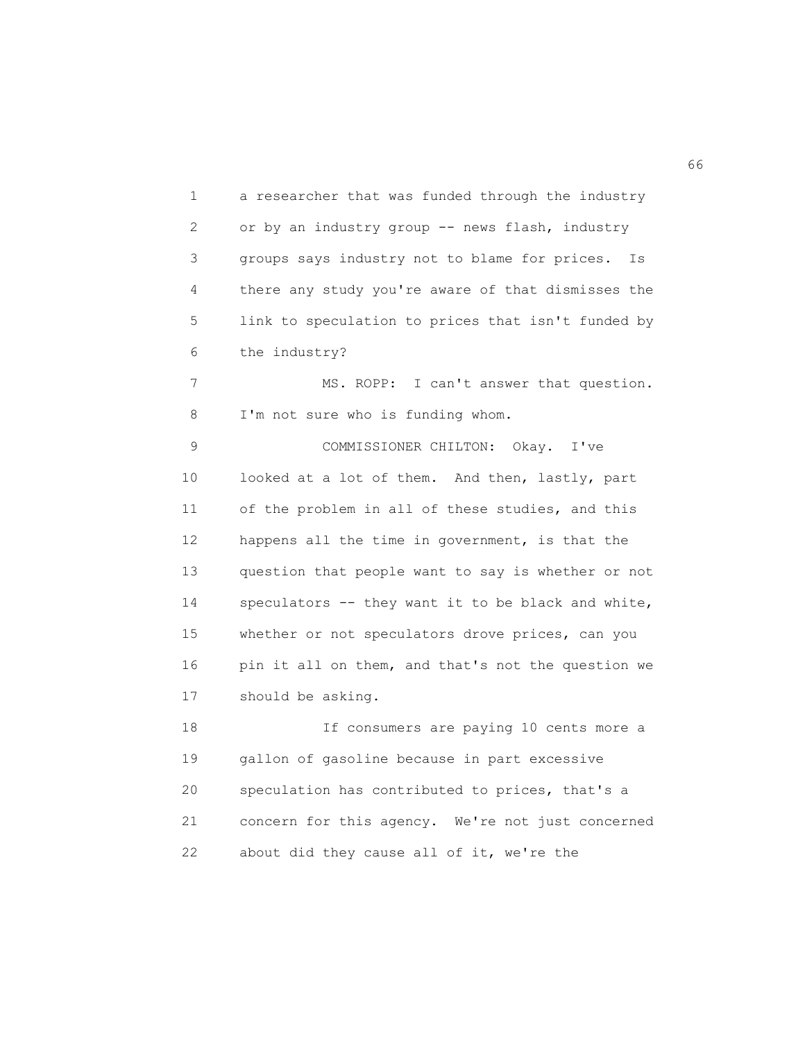1 a researcher that was funded through the industry 2 or by an industry group -- news flash, industry 3 groups says industry not to blame for prices. Is 4 there any study you're aware of that dismisses the 5 link to speculation to prices that isn't funded by 6 the industry? 7 MS. ROPP: I can't answer that question. 8 I'm not sure who is funding whom. 9 COMMISSIONER CHILTON: Okay. I've 10 looked at a lot of them. And then, lastly, part 11 of the problem in all of these studies, and this 12 happens all the time in government, is that the 13 question that people want to say is whether or not 14 speculators -- they want it to be black and white, 15 whether or not speculators drove prices, can you 16 pin it all on them, and that's not the question we 17 should be asking. 18 If consumers are paying 10 cents more a 19 gallon of gasoline because in part excessive 20 speculation has contributed to prices, that's a 21 concern for this agency. We're not just concerned 22 about did they cause all of it, we're the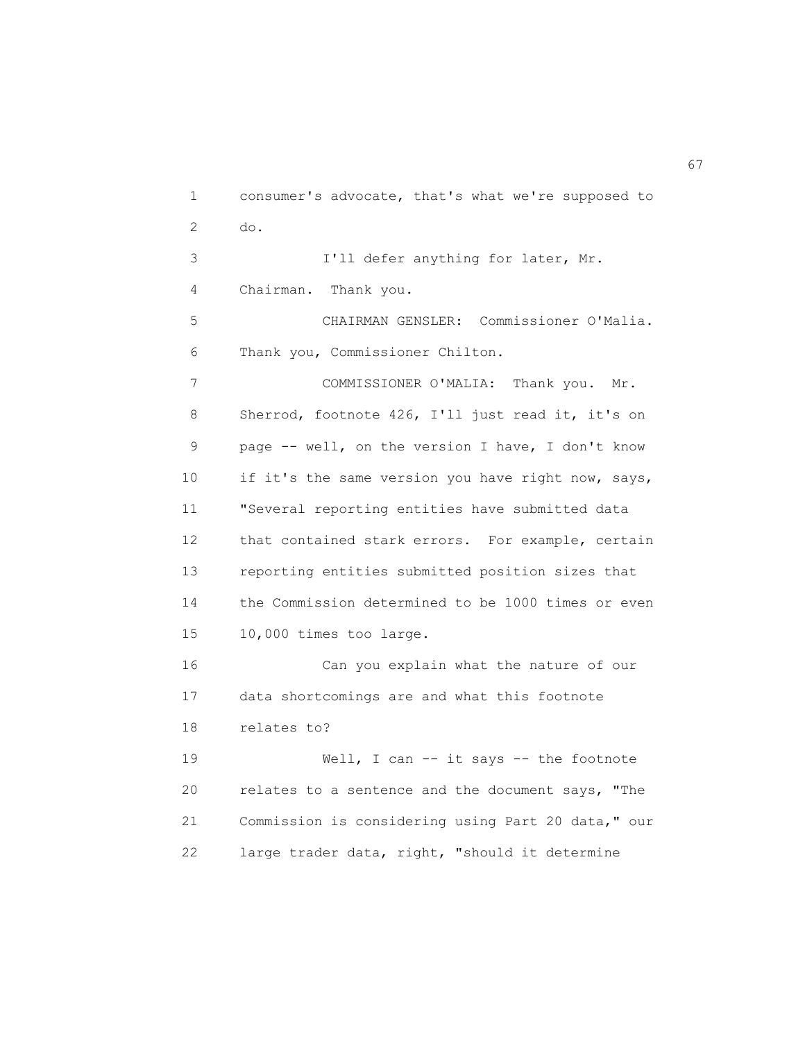1 consumer's advocate, that's what we're supposed to 2 do. 3 I'll defer anything for later, Mr. 4 Chairman. Thank you. 5 CHAIRMAN GENSLER: Commissioner O'Malia. 6 Thank you, Commissioner Chilton. 7 COMMISSIONER O'MALIA: Thank you. Mr. 8 Sherrod, footnote 426, I'll just read it, it's on 9 page -- well, on the version I have, I don't know 10 if it's the same version you have right now, says, 11 "Several reporting entities have submitted data 12 that contained stark errors. For example, certain 13 reporting entities submitted position sizes that 14 the Commission determined to be 1000 times or even 15 10,000 times too large. 16 Can you explain what the nature of our 17 data shortcomings are and what this footnote 18 relates to? 19 Well, I can -- it says -- the footnote 20 relates to a sentence and the document says, "The 21 Commission is considering using Part 20 data," our 22 large trader data, right, "should it determine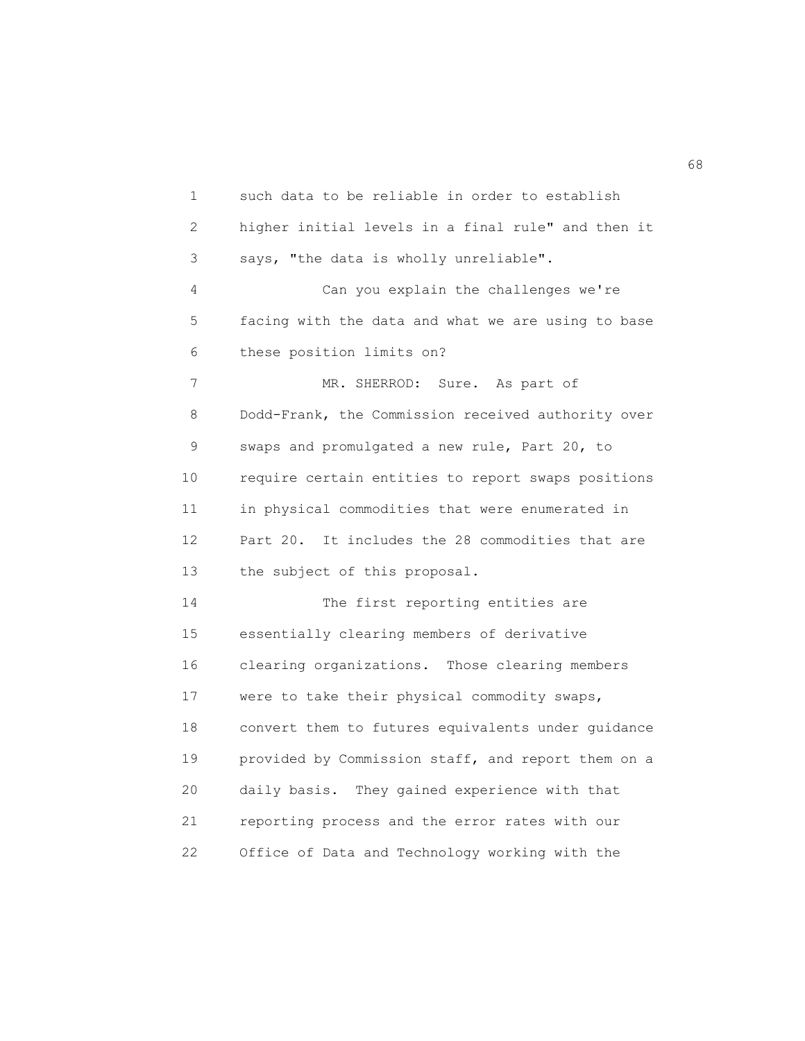1 such data to be reliable in order to establish 2 higher initial levels in a final rule" and then it 3 says, "the data is wholly unreliable". 4 Can you explain the challenges we're 5 facing with the data and what we are using to base 6 these position limits on? 7 MR. SHERROD: Sure. As part of 8 Dodd-Frank, the Commission received authority over 9 swaps and promulgated a new rule, Part 20, to 10 require certain entities to report swaps positions 11 in physical commodities that were enumerated in 12 Part 20. It includes the 28 commodities that are 13 the subject of this proposal. 14 The first reporting entities are 15 essentially clearing members of derivative 16 clearing organizations. Those clearing members 17 were to take their physical commodity swaps, 18 convert them to futures equivalents under guidance 19 provided by Commission staff, and report them on a 20 daily basis. They gained experience with that 21 reporting process and the error rates with our 22 Office of Data and Technology working with the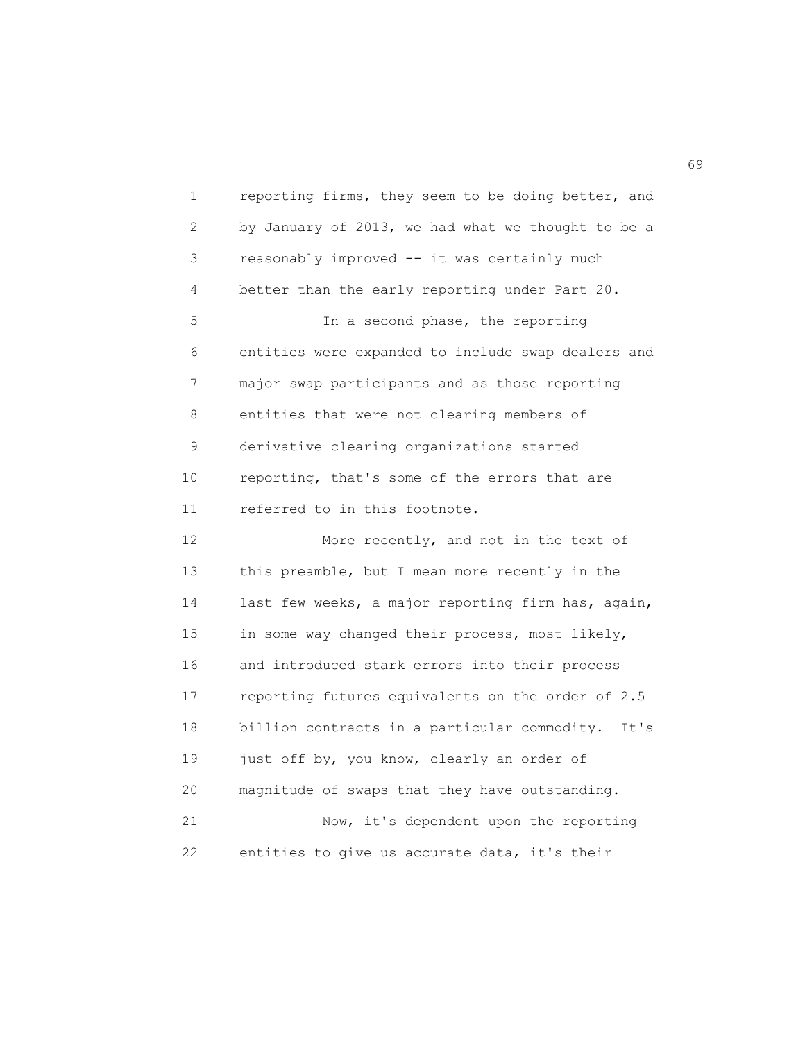1 reporting firms, they seem to be doing better, and 2 by January of 2013, we had what we thought to be a 3 reasonably improved -- it was certainly much 4 better than the early reporting under Part 20. 5 In a second phase, the reporting 6 entities were expanded to include swap dealers and 7 major swap participants and as those reporting 8 entities that were not clearing members of 9 derivative clearing organizations started 10 reporting, that's some of the errors that are 11 referred to in this footnote. 12 More recently, and not in the text of 13 this preamble, but I mean more recently in the 14 last few weeks, a major reporting firm has, again, 15 in some way changed their process, most likely, 16 and introduced stark errors into their process 17 reporting futures equivalents on the order of 2.5 18 billion contracts in a particular commodity. It's 19 just off by, you know, clearly an order of 20 magnitude of swaps that they have outstanding. 21 Now, it's dependent upon the reporting 22 entities to give us accurate data, it's their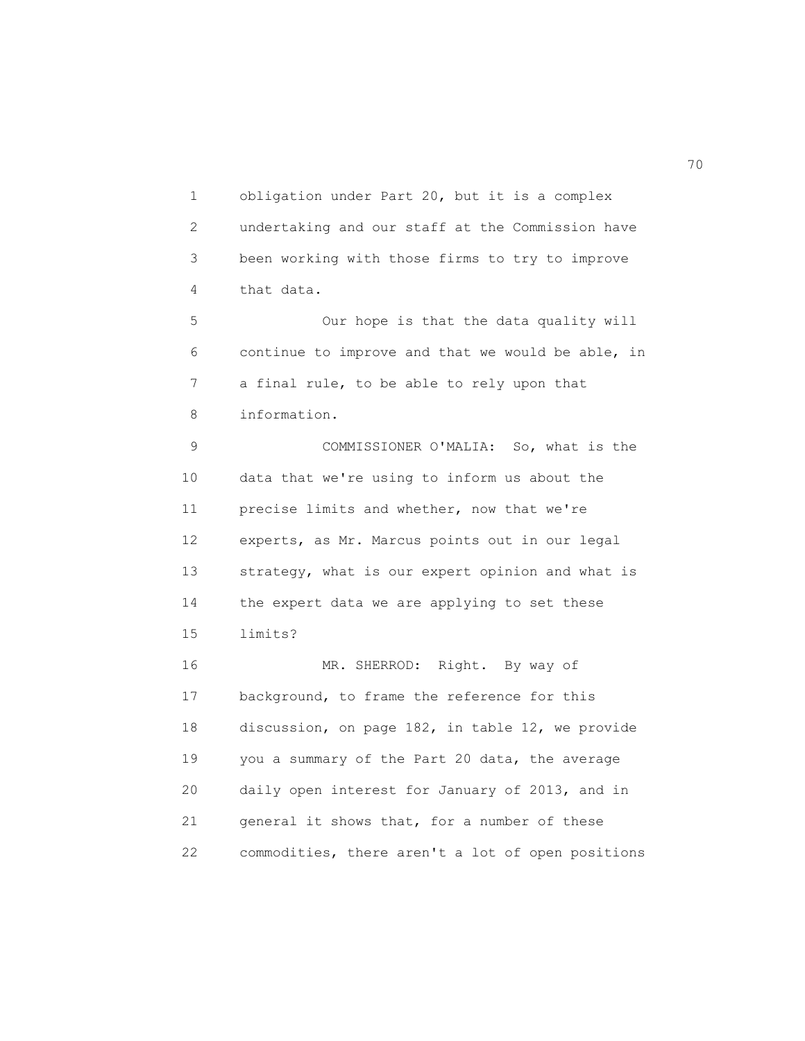1 obligation under Part 20, but it is a complex 2 undertaking and our staff at the Commission have 3 been working with those firms to try to improve 4 that data.

 5 Our hope is that the data quality will 6 continue to improve and that we would be able, in 7 a final rule, to be able to rely upon that 8 information.

 9 COMMISSIONER O'MALIA: So, what is the 10 data that we're using to inform us about the 11 precise limits and whether, now that we're 12 experts, as Mr. Marcus points out in our legal 13 strategy, what is our expert opinion and what is 14 the expert data we are applying to set these 15 limits?

 16 MR. SHERROD: Right. By way of 17 background, to frame the reference for this 18 discussion, on page 182, in table 12, we provide 19 you a summary of the Part 20 data, the average 20 daily open interest for January of 2013, and in 21 general it shows that, for a number of these 22 commodities, there aren't a lot of open positions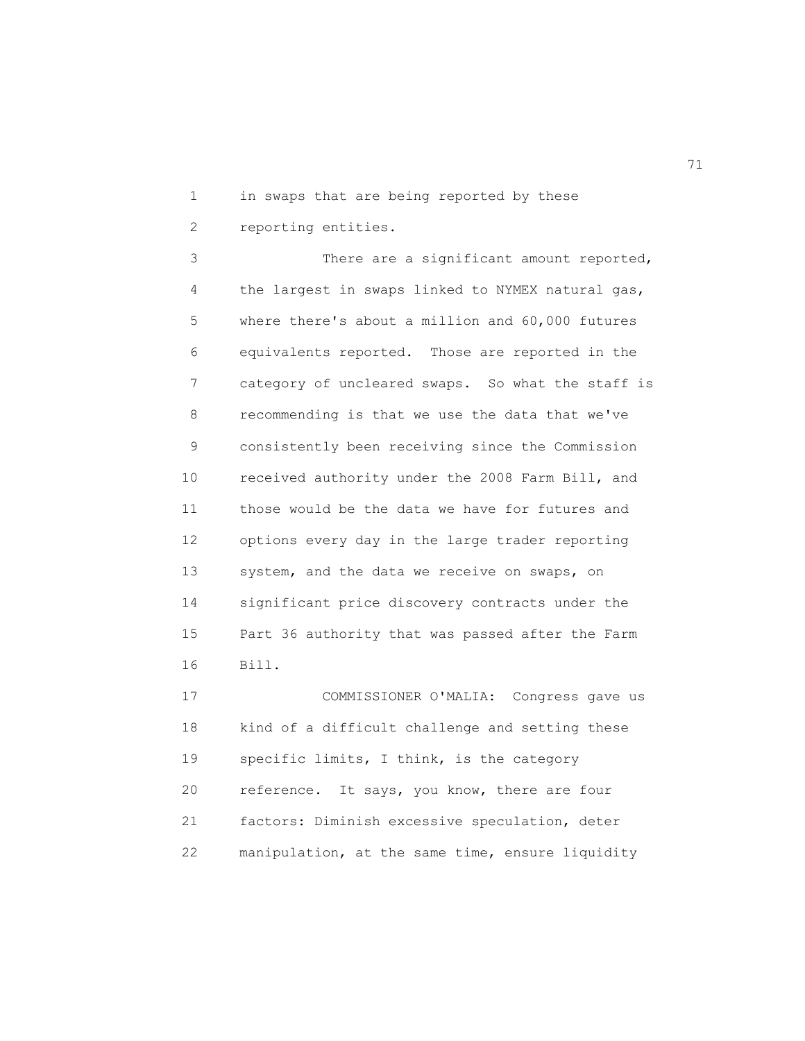1 in swaps that are being reported by these

2 reporting entities.

 3 There are a significant amount reported, 4 the largest in swaps linked to NYMEX natural gas, 5 where there's about a million and 60,000 futures 6 equivalents reported. Those are reported in the 7 category of uncleared swaps. So what the staff is 8 recommending is that we use the data that we've 9 consistently been receiving since the Commission 10 received authority under the 2008 Farm Bill, and 11 those would be the data we have for futures and 12 options every day in the large trader reporting 13 system, and the data we receive on swaps, on 14 significant price discovery contracts under the 15 Part 36 authority that was passed after the Farm 16 Bill.

 17 COMMISSIONER O'MALIA: Congress gave us 18 kind of a difficult challenge and setting these 19 specific limits, I think, is the category 20 reference. It says, you know, there are four 21 factors: Diminish excessive speculation, deter 22 manipulation, at the same time, ensure liquidity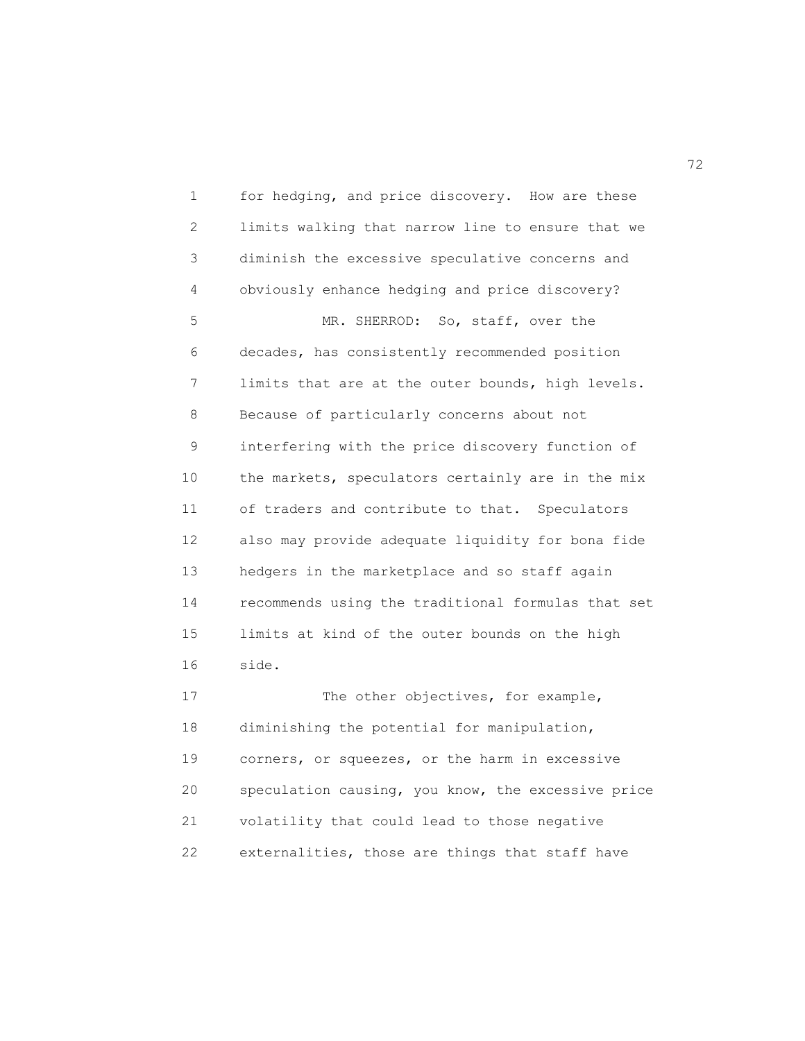1 for hedging, and price discovery. How are these 2 limits walking that narrow line to ensure that we 3 diminish the excessive speculative concerns and 4 obviously enhance hedging and price discovery? 5 MR. SHERROD: So, staff, over the 6 decades, has consistently recommended position 7 limits that are at the outer bounds, high levels. 8 Because of particularly concerns about not 9 interfering with the price discovery function of 10 the markets, speculators certainly are in the mix 11 of traders and contribute to that. Speculators 12 also may provide adequate liquidity for bona fide 13 hedgers in the marketplace and so staff again 14 recommends using the traditional formulas that set 15 limits at kind of the outer bounds on the high 16 side. 17 The other objectives, for example,

 18 diminishing the potential for manipulation, 19 corners, or squeezes, or the harm in excessive 20 speculation causing, you know, the excessive price 21 volatility that could lead to those negative 22 externalities, those are things that staff have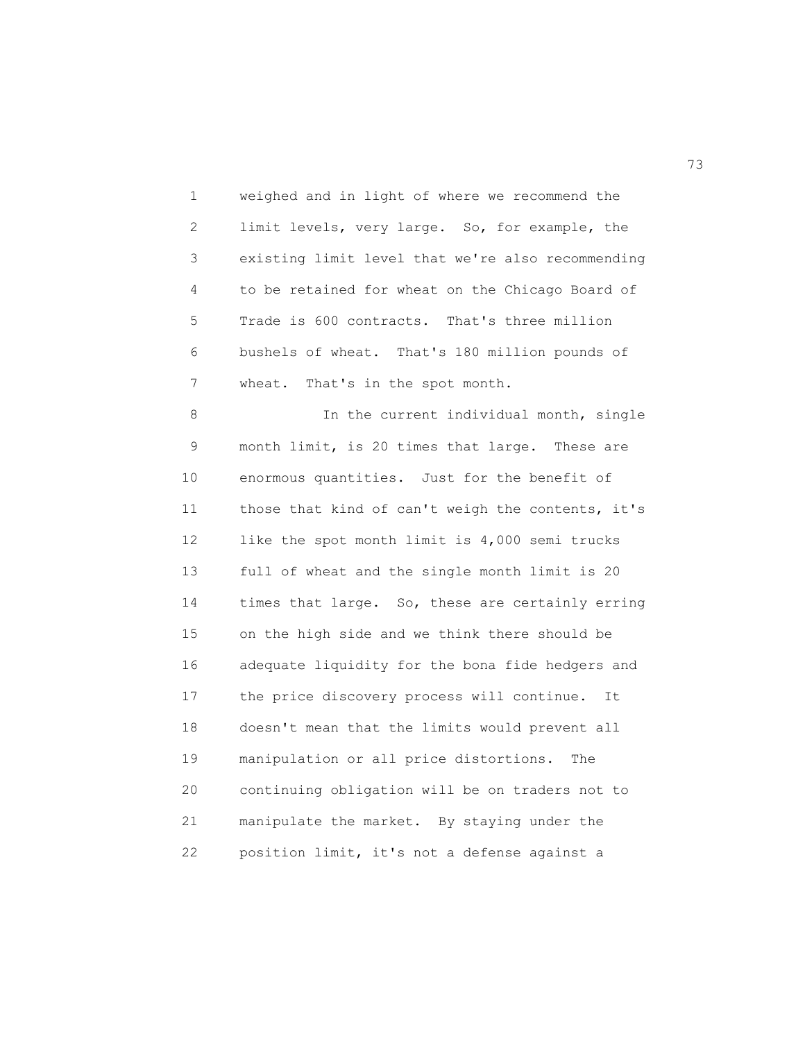1 weighed and in light of where we recommend the 2 limit levels, very large. So, for example, the 3 existing limit level that we're also recommending 4 to be retained for wheat on the Chicago Board of 5 Trade is 600 contracts. That's three million 6 bushels of wheat. That's 180 million pounds of 7 wheat. That's in the spot month.

8 In the current individual month, single 9 month limit, is 20 times that large. These are 10 enormous quantities. Just for the benefit of 11 those that kind of can't weigh the contents, it's 12 like the spot month limit is 4,000 semi trucks 13 full of wheat and the single month limit is 20 14 times that large. So, these are certainly erring 15 on the high side and we think there should be 16 adequate liquidity for the bona fide hedgers and 17 the price discovery process will continue. It 18 doesn't mean that the limits would prevent all 19 manipulation or all price distortions. The 20 continuing obligation will be on traders not to 21 manipulate the market. By staying under the 22 position limit, it's not a defense against a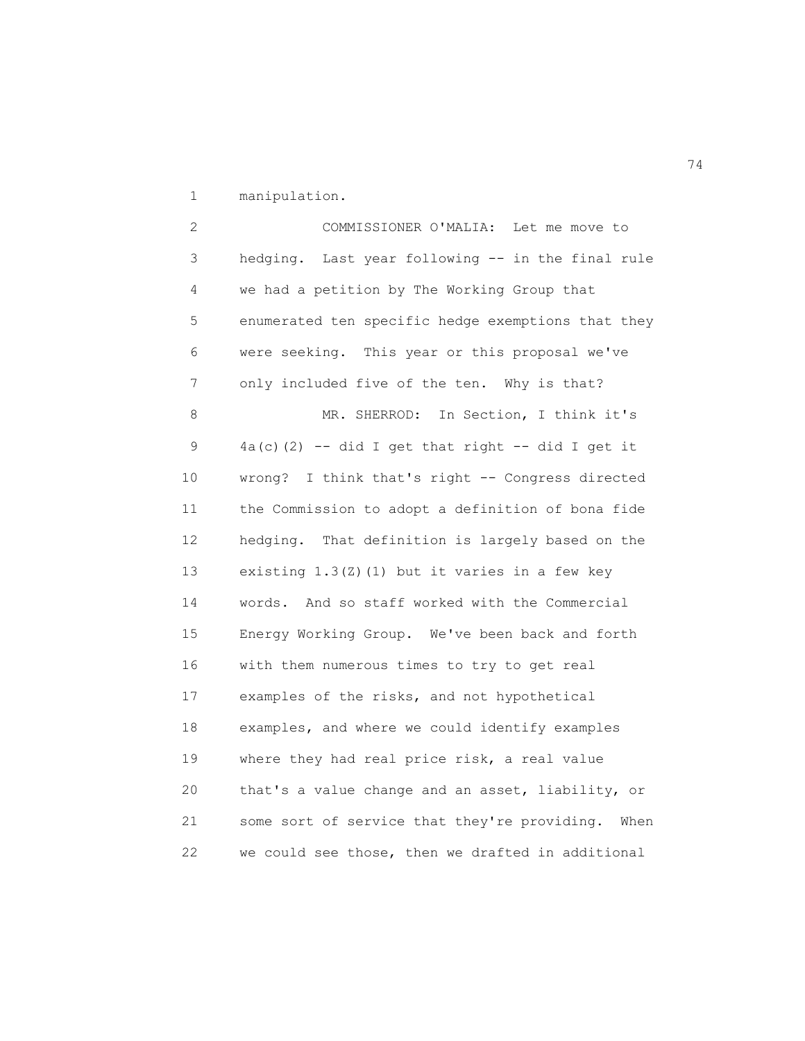1 manipulation.

 2 COMMISSIONER O'MALIA: Let me move to 3 hedging. Last year following -- in the final rule 4 we had a petition by The Working Group that 5 enumerated ten specific hedge exemptions that they 6 were seeking. This year or this proposal we've 7 only included five of the ten. Why is that? 8 MR. SHERROD: In Section, I think it's 9  $4a(c)(2)$  -- did I get that right -- did I get it 10 wrong? I think that's right -- Congress directed 11 the Commission to adopt a definition of bona fide 12 hedging. That definition is largely based on the 13 existing 1.3(Z)(1) but it varies in a few key 14 words. And so staff worked with the Commercial 15 Energy Working Group. We've been back and forth 16 with them numerous times to try to get real 17 examples of the risks, and not hypothetical 18 examples, and where we could identify examples 19 where they had real price risk, a real value 20 that's a value change and an asset, liability, or 21 some sort of service that they're providing. When 22 we could see those, then we drafted in additional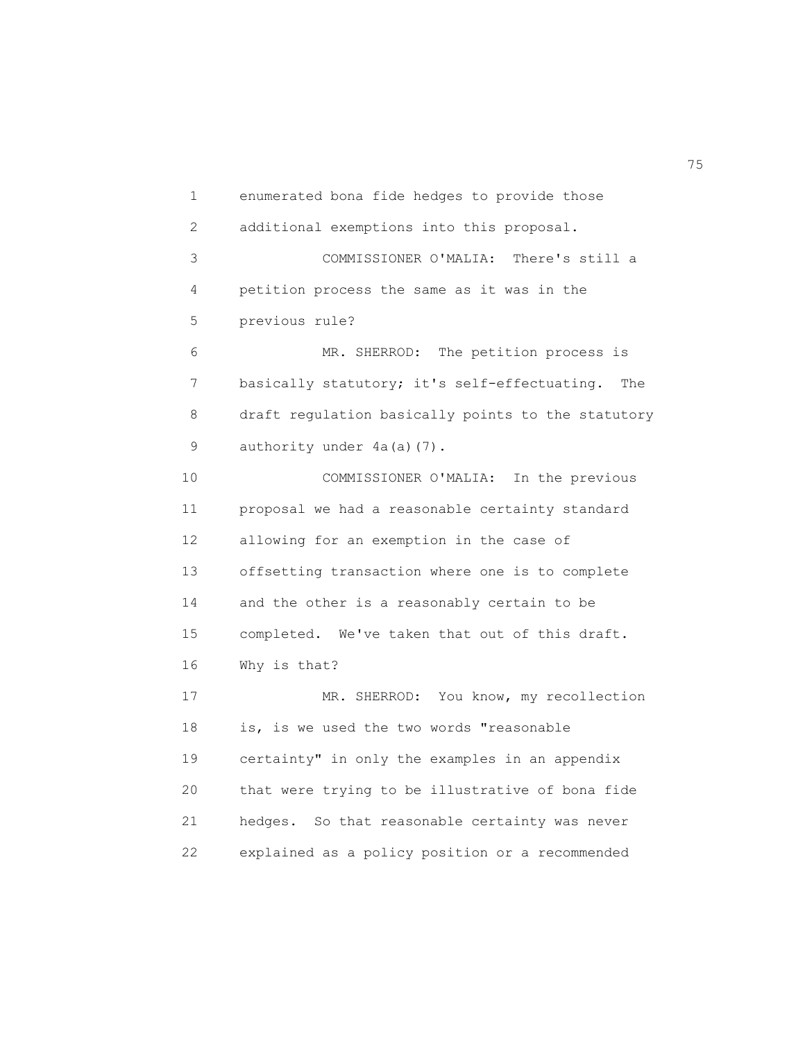1 enumerated bona fide hedges to provide those 2 additional exemptions into this proposal. 3 COMMISSIONER O'MALIA: There's still a 4 petition process the same as it was in the 5 previous rule? 6 MR. SHERROD: The petition process is 7 basically statutory; it's self-effectuating. The 8 draft regulation basically points to the statutory 9 authority under 4a(a)(7). 10 COMMISSIONER O'MALIA: In the previous 11 proposal we had a reasonable certainty standard 12 allowing for an exemption in the case of 13 offsetting transaction where one is to complete 14 and the other is a reasonably certain to be 15 completed. We've taken that out of this draft. 16 Why is that? 17 MR. SHERROD: You know, my recollection 18 is, is we used the two words "reasonable 19 certainty" in only the examples in an appendix 20 that were trying to be illustrative of bona fide 21 hedges. So that reasonable certainty was never

22 explained as a policy position or a recommended

na matsay na matsay na matsay na matsay na matsay na matsay na matsay na matsay na matsay na matsay na matsay<br>Matsay na matsay na matsay na matsay na matsay na matsay na matsay na matsay na matsay na matsay na matsay na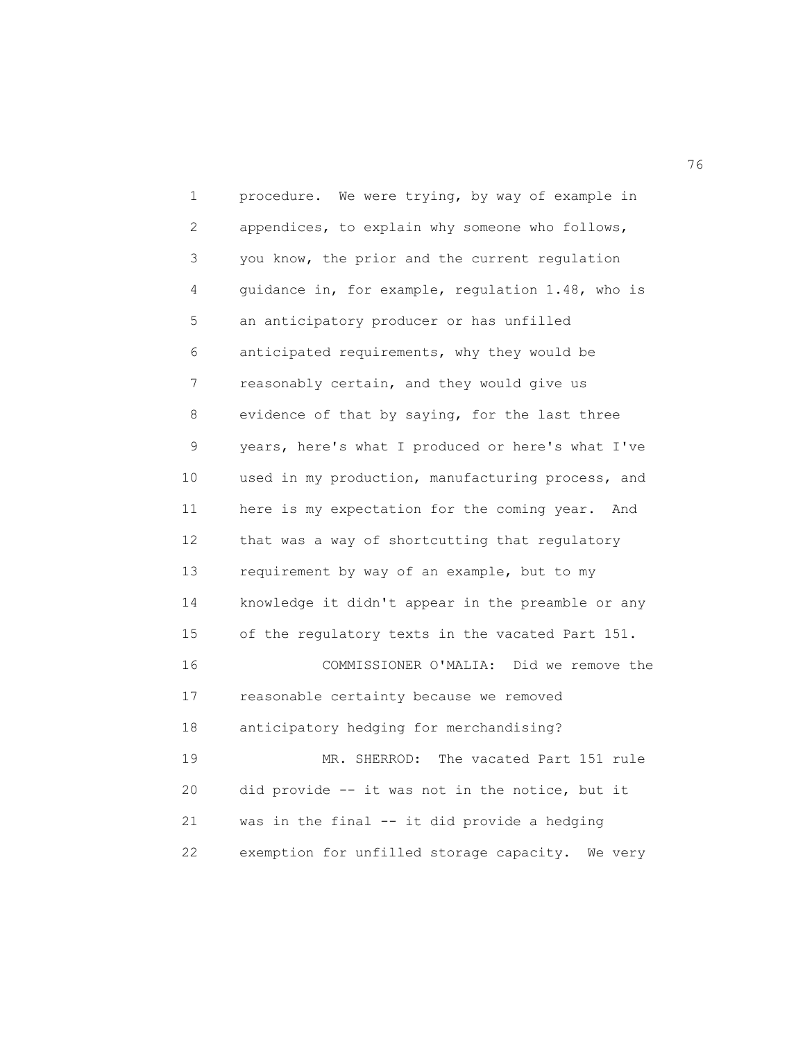1 procedure. We were trying, by way of example in 2 appendices, to explain why someone who follows, 3 you know, the prior and the current regulation 4 guidance in, for example, regulation 1.48, who is 5 an anticipatory producer or has unfilled 6 anticipated requirements, why they would be 7 reasonably certain, and they would give us 8 evidence of that by saying, for the last three 9 years, here's what I produced or here's what I've 10 used in my production, manufacturing process, and 11 here is my expectation for the coming year. And 12 that was a way of shortcutting that regulatory 13 requirement by way of an example, but to my 14 knowledge it didn't appear in the preamble or any 15 of the regulatory texts in the vacated Part 151. 16 COMMISSIONER O'MALIA: Did we remove the 17 reasonable certainty because we removed 18 anticipatory hedging for merchandising? 19 MR. SHERROD: The vacated Part 151 rule 20 did provide -- it was not in the notice, but it 21 was in the final -- it did provide a hedging 22 exemption for unfilled storage capacity. We very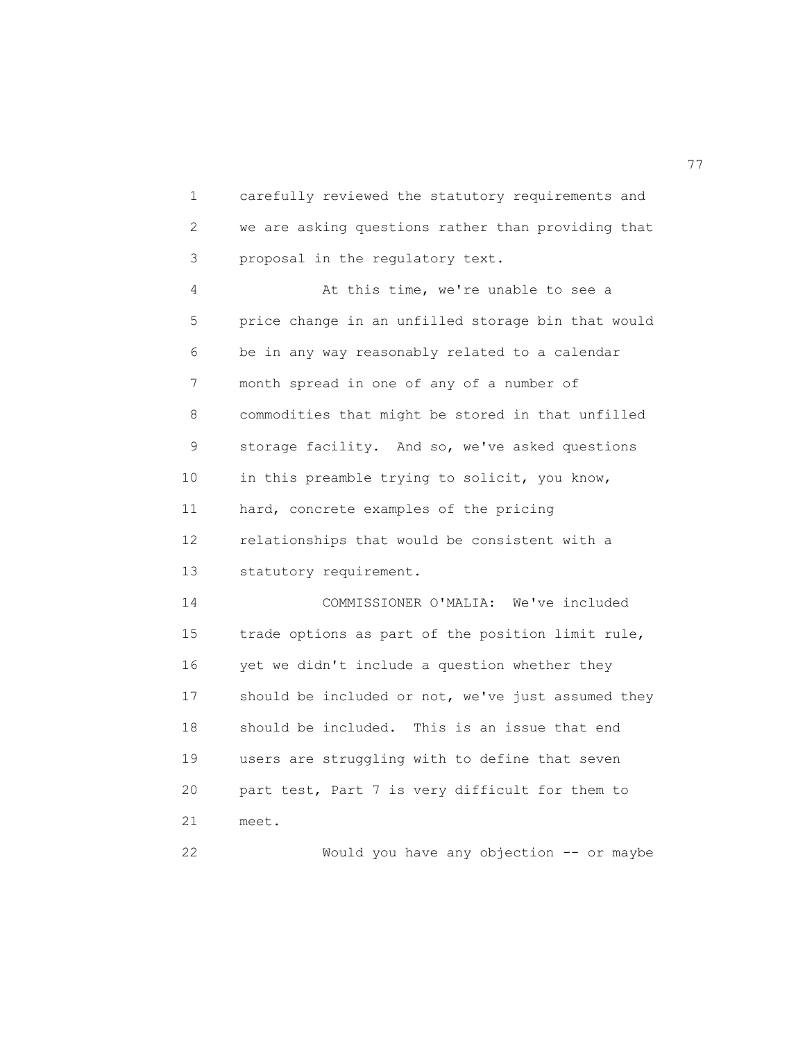1 carefully reviewed the statutory requirements and 2 we are asking questions rather than providing that 3 proposal in the regulatory text.

 4 At this time, we're unable to see a 5 price change in an unfilled storage bin that would 6 be in any way reasonably related to a calendar 7 month spread in one of any of a number of 8 commodities that might be stored in that unfilled 9 storage facility. And so, we've asked questions 10 in this preamble trying to solicit, you know, 11 hard, concrete examples of the pricing 12 relationships that would be consistent with a 13 statutory requirement. 14 COMMISSIONER O'MALIA: We've included 15 trade options as part of the position limit rule, 16 yet we didn't include a question whether they 17 should be included or not, we've just assumed they

 18 should be included. This is an issue that end 19 users are struggling with to define that seven 20 part test, Part 7 is very difficult for them to 21 meet.

22 Would you have any objection -- or maybe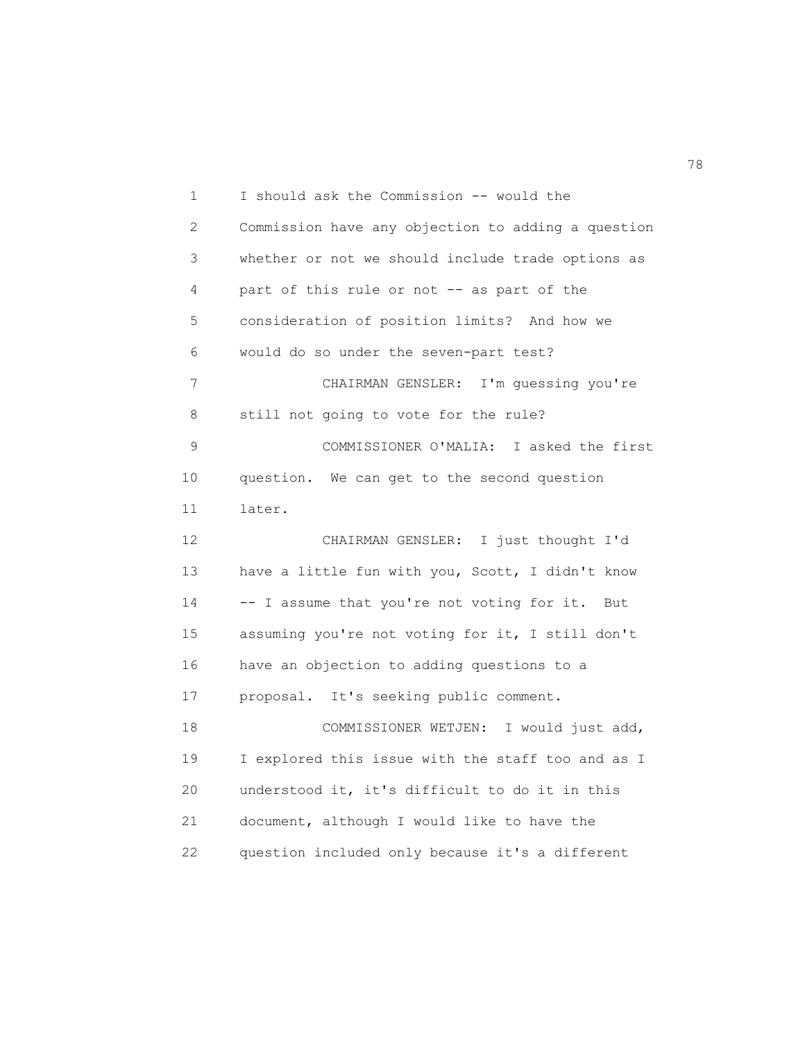1 I should ask the Commission -- would the 2 Commission have any objection to adding a question 3 whether or not we should include trade options as 4 part of this rule or not -- as part of the 5 consideration of position limits? And how we 6 would do so under the seven-part test? 7 CHAIRMAN GENSLER: I'm guessing you're 8 still not going to vote for the rule? 9 COMMISSIONER O'MALIA: I asked the first 10 question. We can get to the second question 11 later. 12 CHAIRMAN GENSLER: I just thought I'd 13 have a little fun with you, Scott, I didn't know 14 -- I assume that you're not voting for it. But 15 assuming you're not voting for it, I still don't 16 have an objection to adding questions to a 17 proposal. It's seeking public comment. 18 COMMISSIONER WETJEN: I would just add, 19 I explored this issue with the staff too and as I 20 understood it, it's difficult to do it in this 21 document, although I would like to have the 22 question included only because it's a different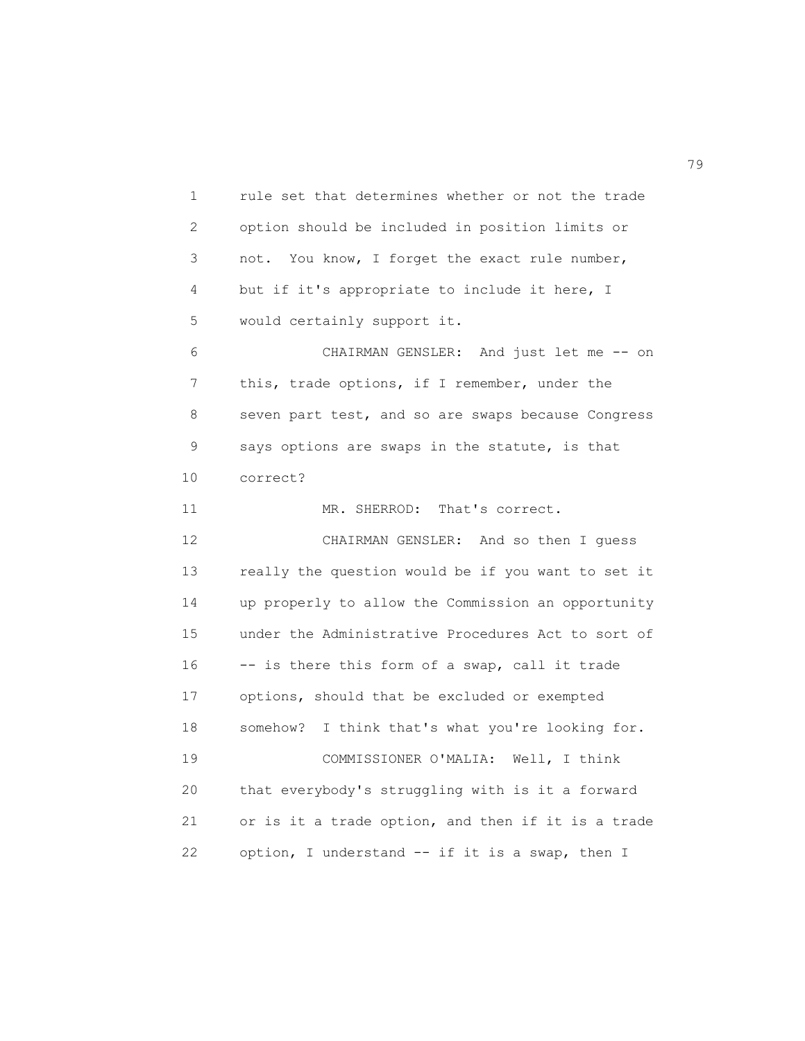1 rule set that determines whether or not the trade 2 option should be included in position limits or 3 not. You know, I forget the exact rule number, 4 but if it's appropriate to include it here, I 5 would certainly support it. 6 CHAIRMAN GENSLER: And just let me -- on 7 this, trade options, if I remember, under the 8 seven part test, and so are swaps because Congress 9 says options are swaps in the statute, is that 10 correct? 11 MR. SHERROD: That's correct. 12 CHAIRMAN GENSLER: And so then I guess 13 really the question would be if you want to set it 14 up properly to allow the Commission an opportunity 15 under the Administrative Procedures Act to sort of 16 -- is there this form of a swap, call it trade 17 options, should that be excluded or exempted 18 somehow? I think that's what you're looking for. 19 COMMISSIONER O'MALIA: Well, I think 20 that everybody's struggling with is it a forward 21 or is it a trade option, and then if it is a trade 22 option, I understand -- if it is a swap, then I

na matsay na matsay na matsay na matsay na matsay na matsay na matsay na matsay na matsay na matsay na matsay<br>Matsay na matsay na matsay na matsay na matsay na matsay na matsay na matsay na matsay na matsay na matsay na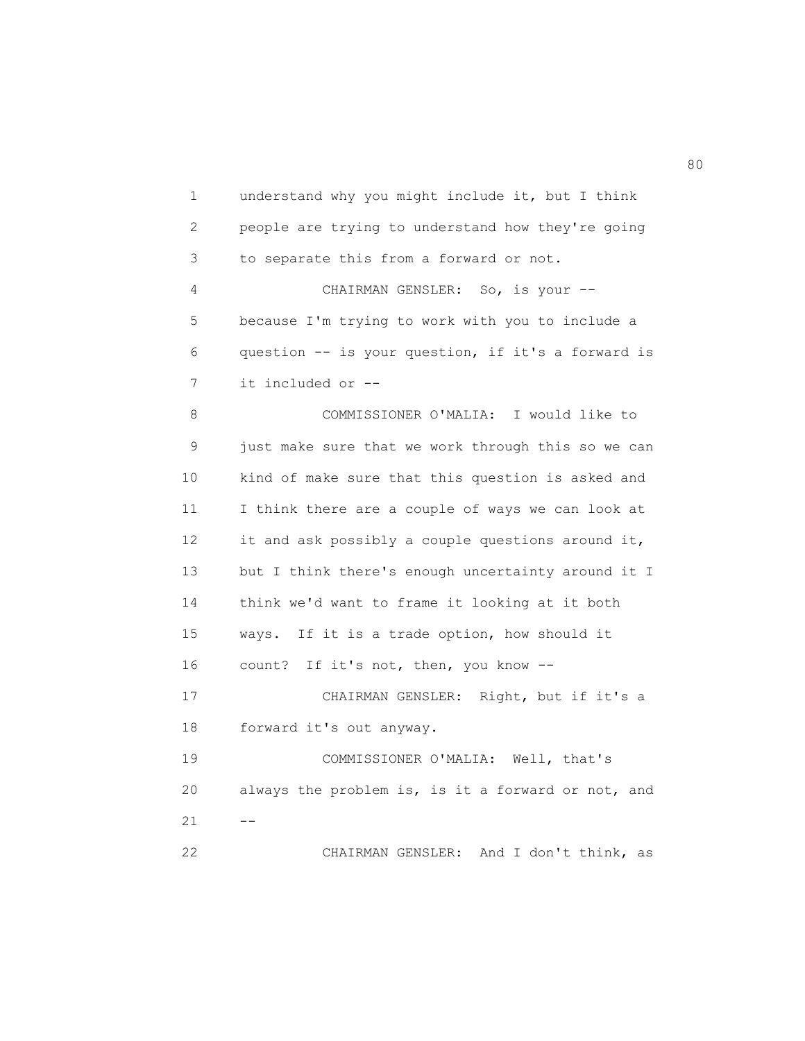1 understand why you might include it, but I think 2 people are trying to understand how they're going 3 to separate this from a forward or not. 4 CHAIRMAN GENSLER: So, is your -- 5 because I'm trying to work with you to include a 6 question -- is your question, if it's a forward is 7 it included or -- 8 COMMISSIONER O'MALIA: I would like to 9 just make sure that we work through this so we can 10 kind of make sure that this question is asked and 11 I think there are a couple of ways we can look at 12 it and ask possibly a couple questions around it, 13 but I think there's enough uncertainty around it I 14 think we'd want to frame it looking at it both 15 ways. If it is a trade option, how should it 16 count? If it's not, then, you know -- 17 CHAIRMAN GENSLER: Right, but if it's a 18 forward it's out anyway. 19 COMMISSIONER O'MALIA: Well, that's 20 always the problem is, is it a forward or not, and  $21 - -$ 22 CHAIRMAN GENSLER: And I don't think, as

en de la construction de la construction de la construction de la construction de la construction de la constr<br>1980 : le construction de la construction de la construction de la construction de la construction de la const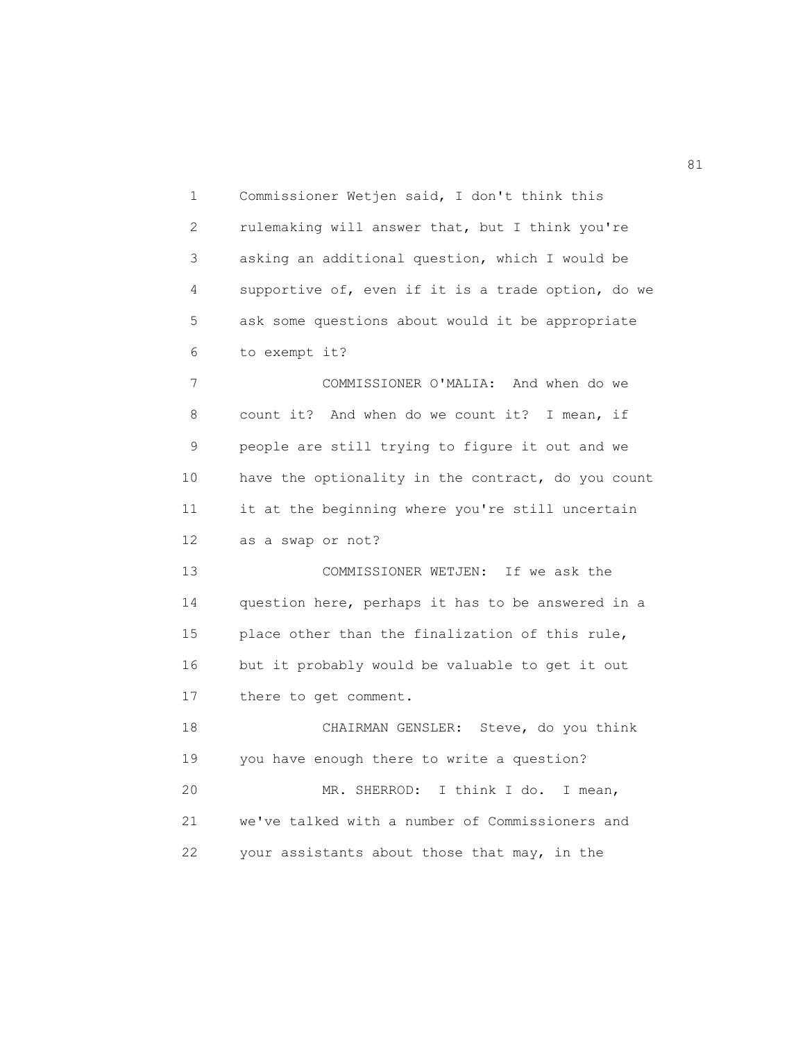1 Commissioner Wetjen said, I don't think this 2 rulemaking will answer that, but I think you're 3 asking an additional question, which I would be 4 supportive of, even if it is a trade option, do we 5 ask some questions about would it be appropriate 6 to exempt it? 7 COMMISSIONER O'MALIA: And when do we 8 count it? And when do we count it? I mean, if 9 people are still trying to figure it out and we 10 have the optionality in the contract, do you count 11 it at the beginning where you're still uncertain 12 as a swap or not? 13 COMMISSIONER WETJEN: If we ask the 14 question here, perhaps it has to be answered in a 15 place other than the finalization of this rule, 16 but it probably would be valuable to get it out 17 there to get comment. 18 CHAIRMAN GENSLER: Steve, do you think 19 you have enough there to write a question? 20 MR. SHERROD: I think I do. I mean, 21 we've talked with a number of Commissioners and 22 your assistants about those that may, in the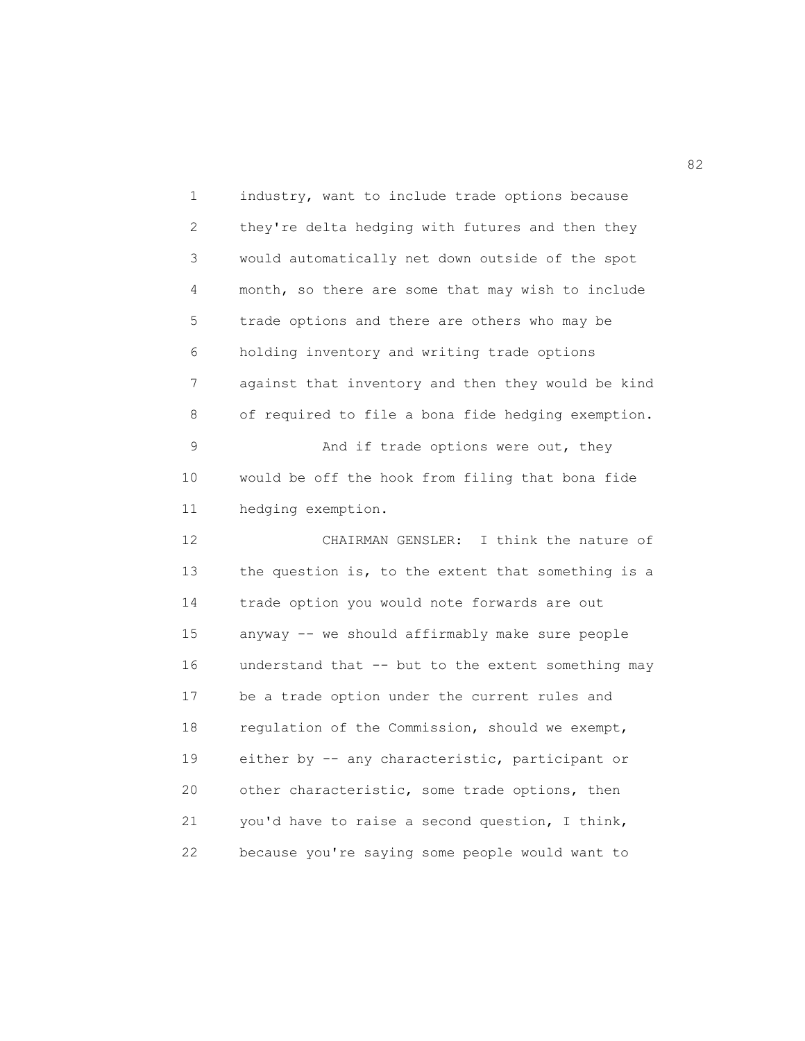1 industry, want to include trade options because 2 they're delta hedging with futures and then they 3 would automatically net down outside of the spot 4 month, so there are some that may wish to include 5 trade options and there are others who may be 6 holding inventory and writing trade options 7 against that inventory and then they would be kind 8 of required to file a bona fide hedging exemption. 9 And if trade options were out, they 10 would be off the hook from filing that bona fide 11 hedging exemption. 12 CHAIRMAN GENSLER: I think the nature of 13 the question is, to the extent that something is a 14 trade option you would note forwards are out 15 anyway -- we should affirmably make sure people 16 understand that -- but to the extent something may 17 be a trade option under the current rules and 18 regulation of the Commission, should we exempt, 19 either by -- any characteristic, participant or 20 other characteristic, some trade options, then 21 you'd have to raise a second question, I think, 22 because you're saying some people would want to

82 and 2012 and 2012 and 2012 and 2012 and 2012 and 2012 and 2012 and 2012 and 2012 and 2012 and 201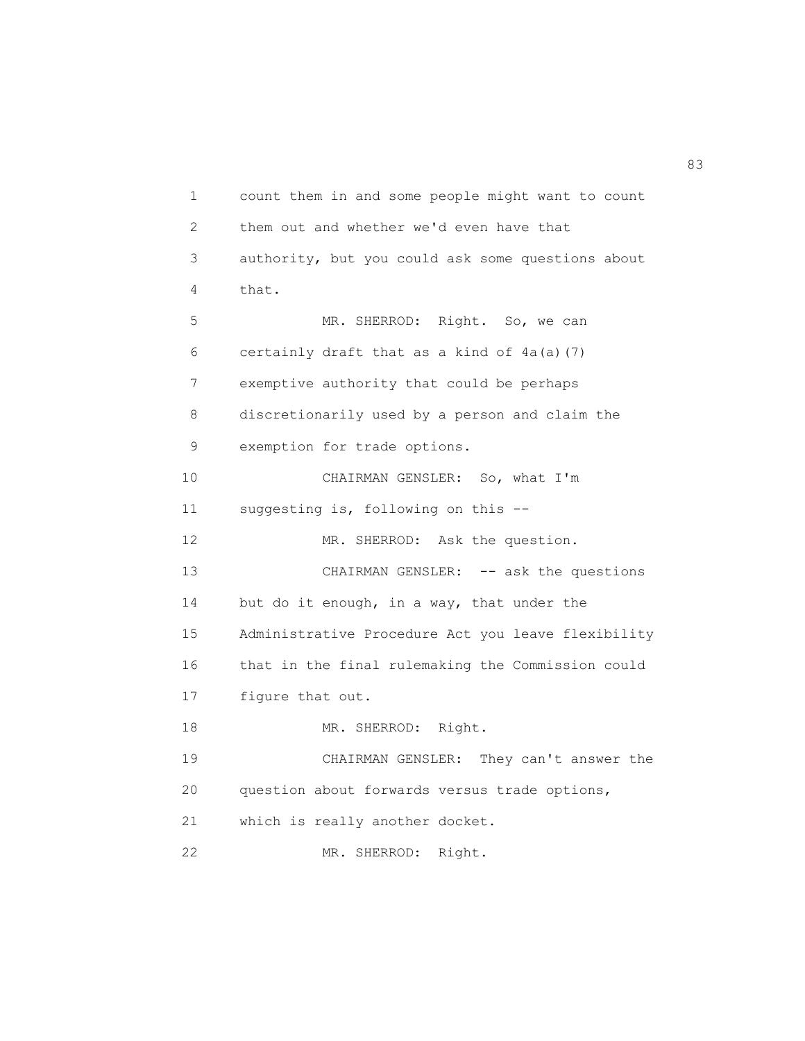1 count them in and some people might want to count 2 them out and whether we'd even have that 3 authority, but you could ask some questions about 4 that. 5 MR. SHERROD: Right. So, we can 6 certainly draft that as a kind of 4a(a)(7) 7 exemptive authority that could be perhaps 8 discretionarily used by a person and claim the 9 exemption for trade options. 10 CHAIRMAN GENSLER: So, what I'm 11 suggesting is, following on this -- 12 MR. SHERROD: Ask the question. 13 CHAIRMAN GENSLER: -- ask the questions 14 but do it enough, in a way, that under the 15 Administrative Procedure Act you leave flexibility 16 that in the final rulemaking the Commission could 17 figure that out. 18 MR. SHERROD: Right. 19 CHAIRMAN GENSLER: They can't answer the 20 question about forwards versus trade options, 21 which is really another docket. 22 MR. SHERROD: Right.

83 and 2012 and 2012 and 2012 and 2012 and 2012 and 2012 and 2012 and 2012 and 2012 and 2013 and 2013 and 2013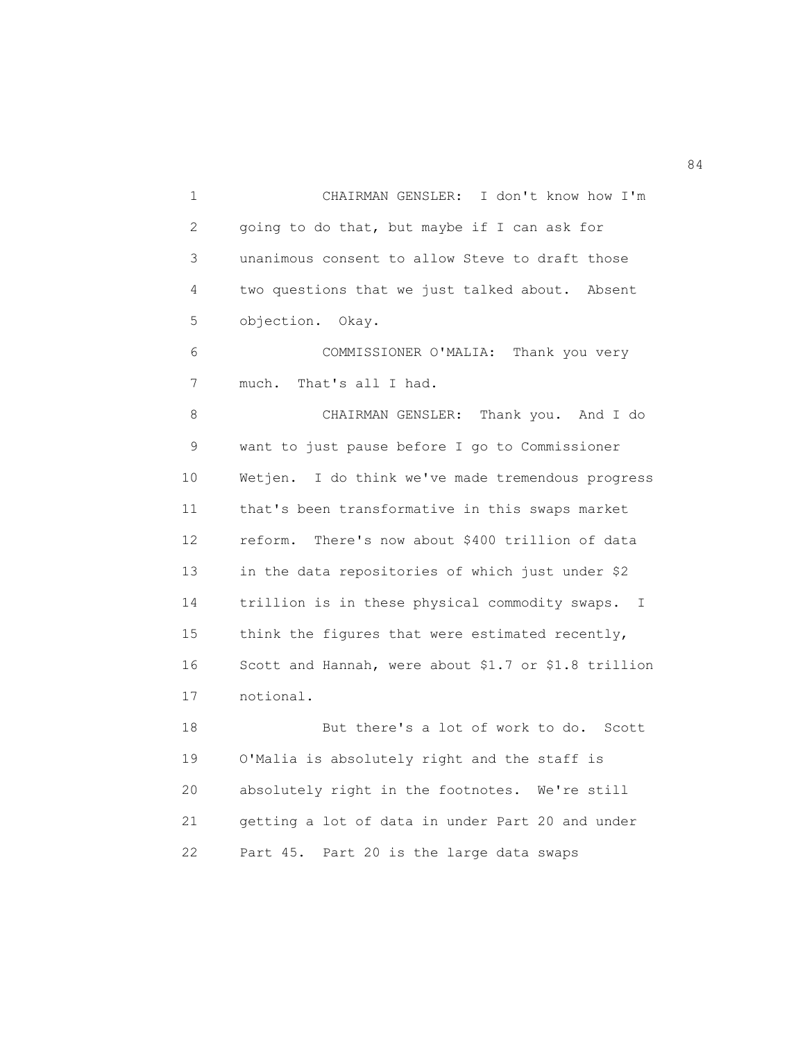1 CHAIRMAN GENSLER: I don't know how I'm 2 going to do that, but maybe if I can ask for 3 unanimous consent to allow Steve to draft those 4 two questions that we just talked about. Absent 5 objection. Okay. 6 COMMISSIONER O'MALIA: Thank you very 7 much. That's all I had. 8 CHAIRMAN GENSLER: Thank you. And I do 9 want to just pause before I go to Commissioner 10 Wetjen. I do think we've made tremendous progress 11 that's been transformative in this swaps market 12 reform. There's now about \$400 trillion of data 13 in the data repositories of which just under \$2 14 trillion is in these physical commodity swaps. I 15 think the figures that were estimated recently, 16 Scott and Hannah, were about \$1.7 or \$1.8 trillion 17 notional. 18 But there's a lot of work to do. Scott 19 O'Malia is absolutely right and the staff is 20 absolutely right in the footnotes. We're still 21 getting a lot of data in under Part 20 and under 22 Part 45. Part 20 is the large data swaps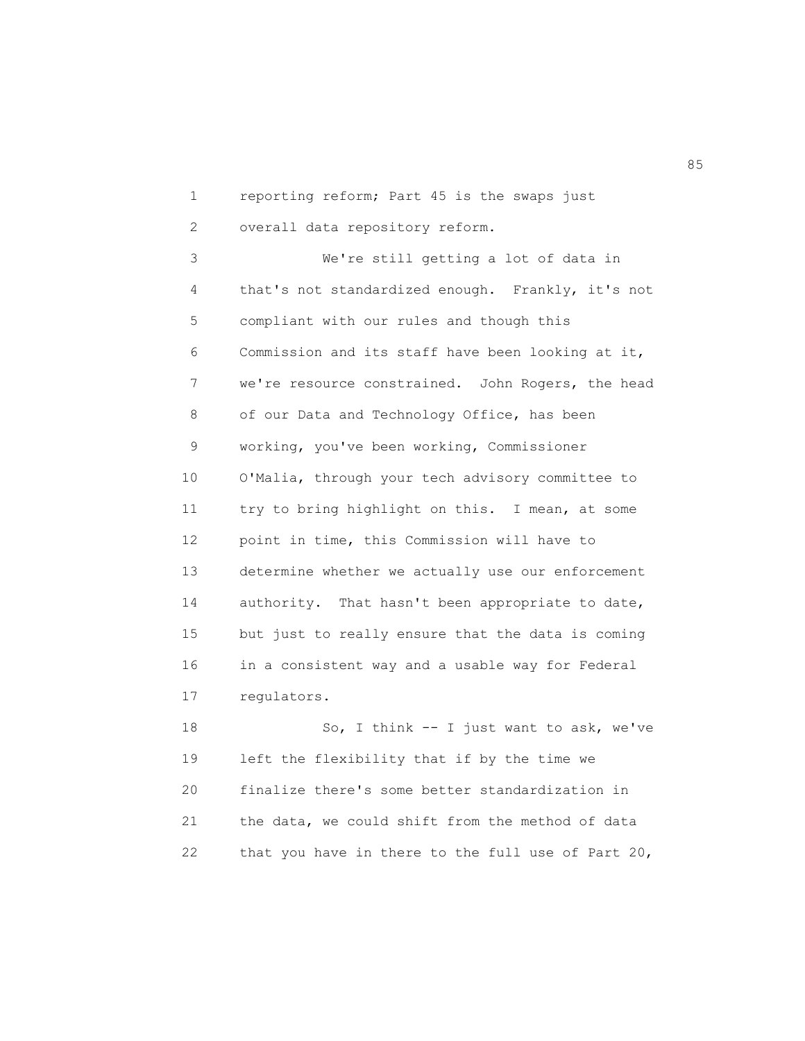1 reporting reform; Part 45 is the swaps just

2 overall data repository reform.

 3 We're still getting a lot of data in 4 that's not standardized enough. Frankly, it's not 5 compliant with our rules and though this 6 Commission and its staff have been looking at it, 7 we're resource constrained. John Rogers, the head 8 of our Data and Technology Office, has been 9 working, you've been working, Commissioner 10 O'Malia, through your tech advisory committee to 11 try to bring highlight on this. I mean, at some 12 point in time, this Commission will have to 13 determine whether we actually use our enforcement 14 authority. That hasn't been appropriate to date, 15 but just to really ensure that the data is coming 16 in a consistent way and a usable way for Federal 17 regulators.

 18 So, I think -- I just want to ask, we've 19 left the flexibility that if by the time we 20 finalize there's some better standardization in 21 the data, we could shift from the method of data 22 that you have in there to the full use of Part 20,

entration of the contract of the contract of the contract of the contract of the contract of the contract of the contract of the contract of the contract of the contract of the contract of the contract of the contract of t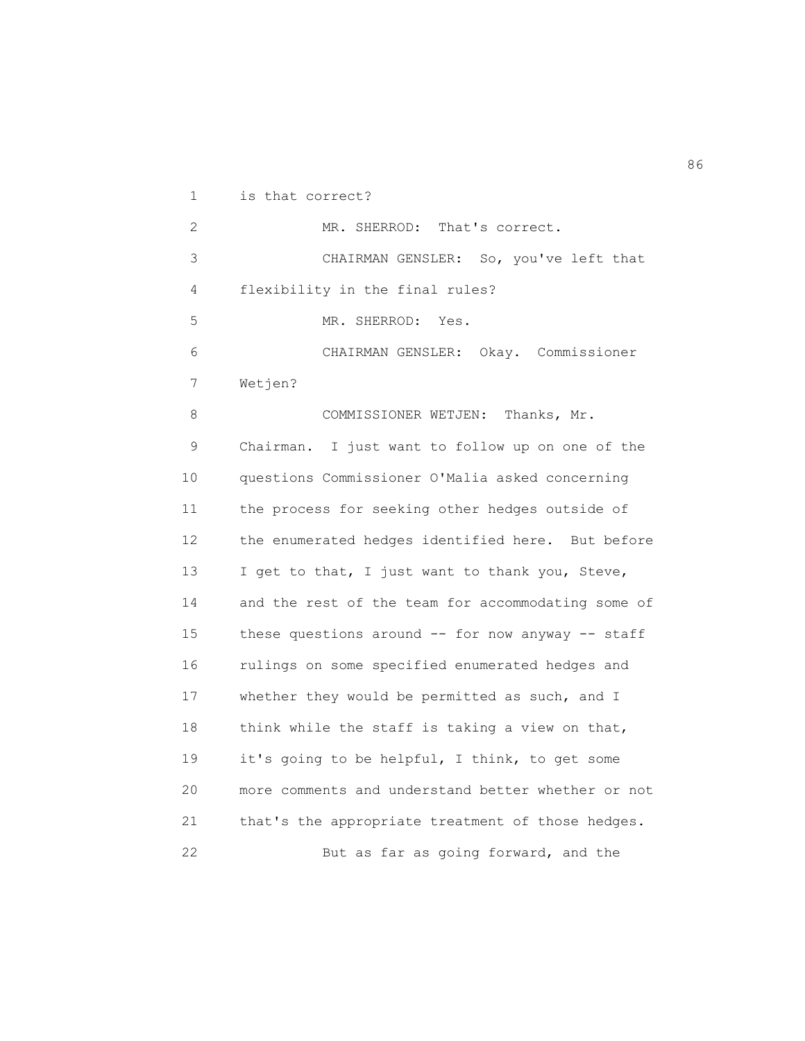1 is that correct?

 2 MR. SHERROD: That's correct. 3 CHAIRMAN GENSLER: So, you've left that 4 flexibility in the final rules? 5 MR. SHERROD: Yes. 6 CHAIRMAN GENSLER: Okay. Commissioner 7 Wetjen? 8 COMMISSIONER WETJEN: Thanks, Mr. 9 Chairman. I just want to follow up on one of the 10 questions Commissioner O'Malia asked concerning 11 the process for seeking other hedges outside of 12 the enumerated hedges identified here. But before 13 I get to that, I just want to thank you, Steve, 14 and the rest of the team for accommodating some of 15 these questions around -- for now anyway -- staff 16 rulings on some specified enumerated hedges and 17 whether they would be permitted as such, and I 18 think while the staff is taking a view on that, 19 it's going to be helpful, I think, to get some 20 more comments and understand better whether or not 21 that's the appropriate treatment of those hedges. 22 But as far as going forward, and the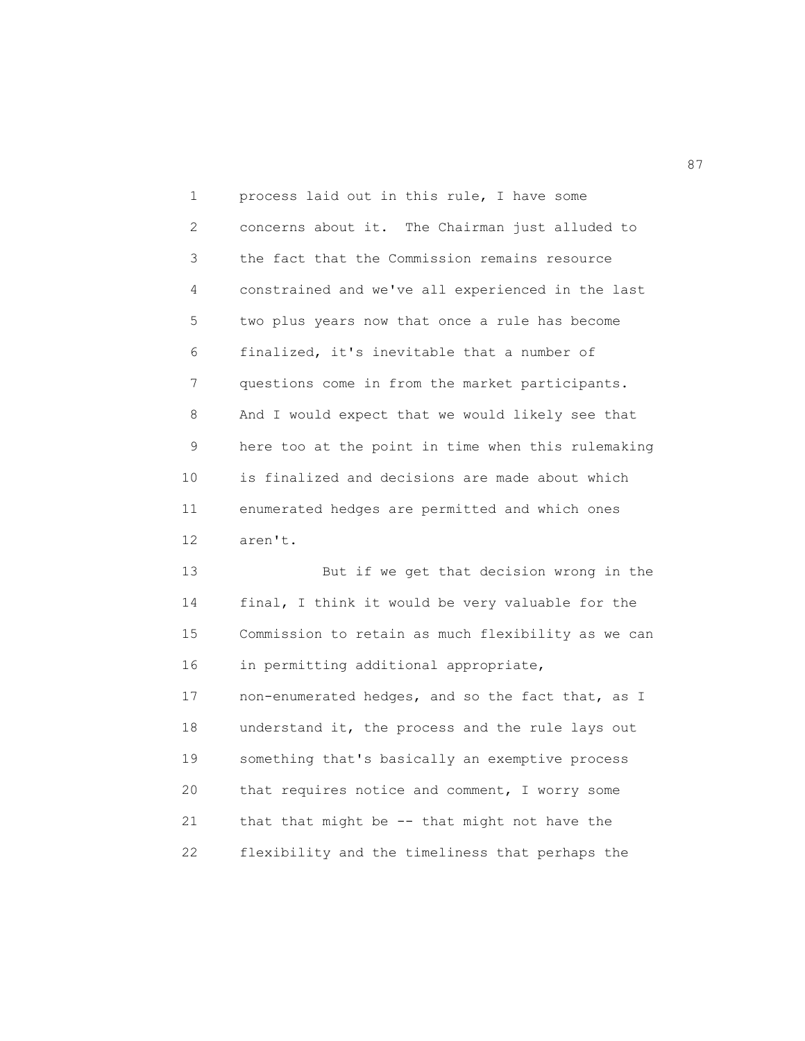1 process laid out in this rule, I have some 2 concerns about it. The Chairman just alluded to 3 the fact that the Commission remains resource 4 constrained and we've all experienced in the last 5 two plus years now that once a rule has become 6 finalized, it's inevitable that a number of 7 questions come in from the market participants. 8 And I would expect that we would likely see that 9 here too at the point in time when this rulemaking 10 is finalized and decisions are made about which 11 enumerated hedges are permitted and which ones 12 aren't.

 13 But if we get that decision wrong in the 14 final, I think it would be very valuable for the 15 Commission to retain as much flexibility as we can 16 in permitting additional appropriate, 17 non-enumerated hedges, and so the fact that, as I 18 understand it, the process and the rule lays out 19 something that's basically an exemptive process 20 that requires notice and comment, I worry some 21 that that might be -- that might not have the 22 flexibility and the timeliness that perhaps the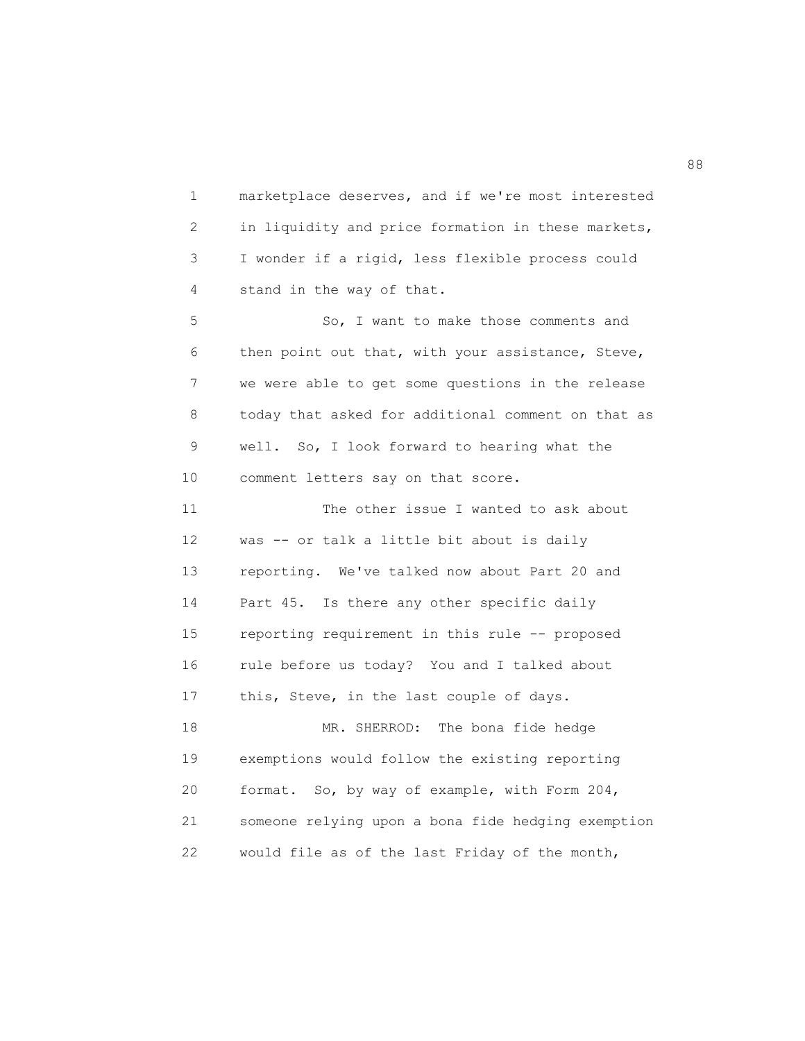1 marketplace deserves, and if we're most interested 2 in liquidity and price formation in these markets, 3 I wonder if a rigid, less flexible process could 4 stand in the way of that. 5 So, I want to make those comments and 6 then point out that, with your assistance, Steve,

 7 we were able to get some questions in the release 8 today that asked for additional comment on that as 9 well. So, I look forward to hearing what the 10 comment letters say on that score.

 11 The other issue I wanted to ask about 12 was -- or talk a little bit about is daily 13 reporting. We've talked now about Part 20 and 14 Part 45. Is there any other specific daily 15 reporting requirement in this rule -- proposed 16 rule before us today? You and I talked about 17 this, Steve, in the last couple of days. 18 MR. SHERROD: The bona fide hedge

 19 exemptions would follow the existing reporting 20 format. So, by way of example, with Form 204, 21 someone relying upon a bona fide hedging exemption 22 would file as of the last Friday of the month,

en de la construction de la construction de la construction de la construction de la construction de la constr<br>1888 : le construction de la construction de la construction de la construction de la construction de la const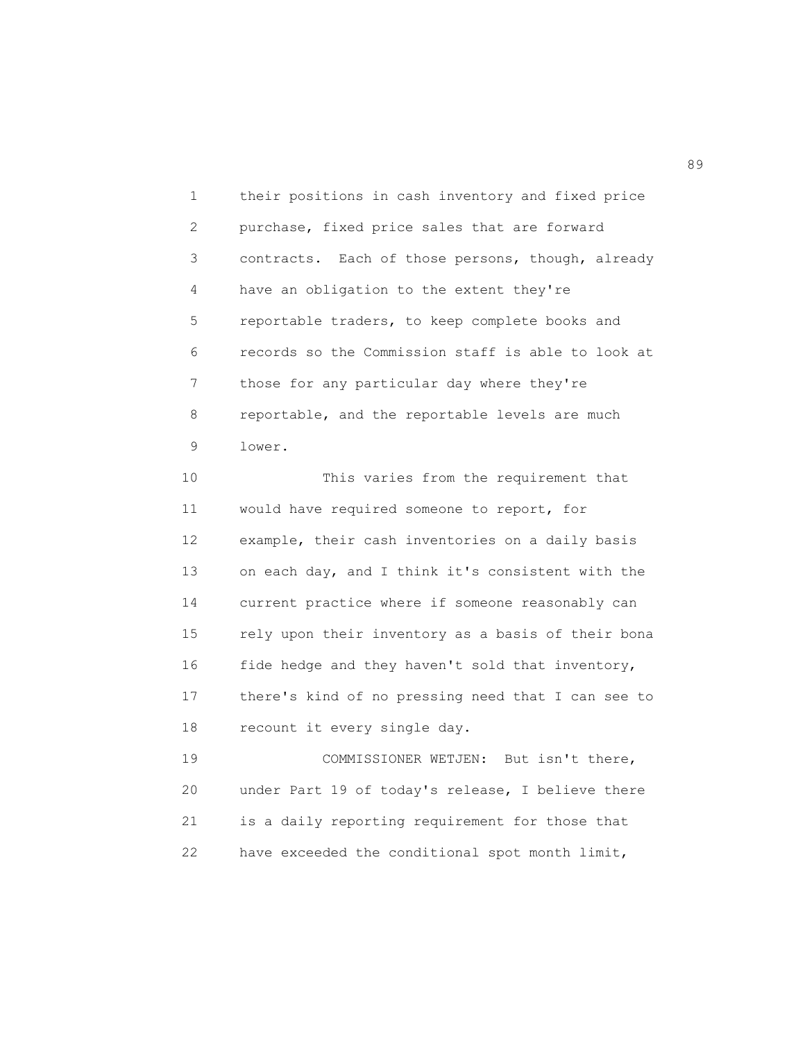1 their positions in cash inventory and fixed price 2 purchase, fixed price sales that are forward 3 contracts. Each of those persons, though, already 4 have an obligation to the extent they're 5 reportable traders, to keep complete books and 6 records so the Commission staff is able to look at 7 those for any particular day where they're 8 reportable, and the reportable levels are much 9 lower.

 10 This varies from the requirement that 11 would have required someone to report, for 12 example, their cash inventories on a daily basis 13 on each day, and I think it's consistent with the 14 current practice where if someone reasonably can 15 rely upon their inventory as a basis of their bona 16 fide hedge and they haven't sold that inventory, 17 there's kind of no pressing need that I can see to 18 recount it every single day.

 19 COMMISSIONER WETJEN: But isn't there, 20 under Part 19 of today's release, I believe there 21 is a daily reporting requirement for those that 22 have exceeded the conditional spot month limit,

en de la construction de la construction de la construction de la construction de la construction de la constr<br>1990 : la construction de la construction de la construction de la construction de la construction de la const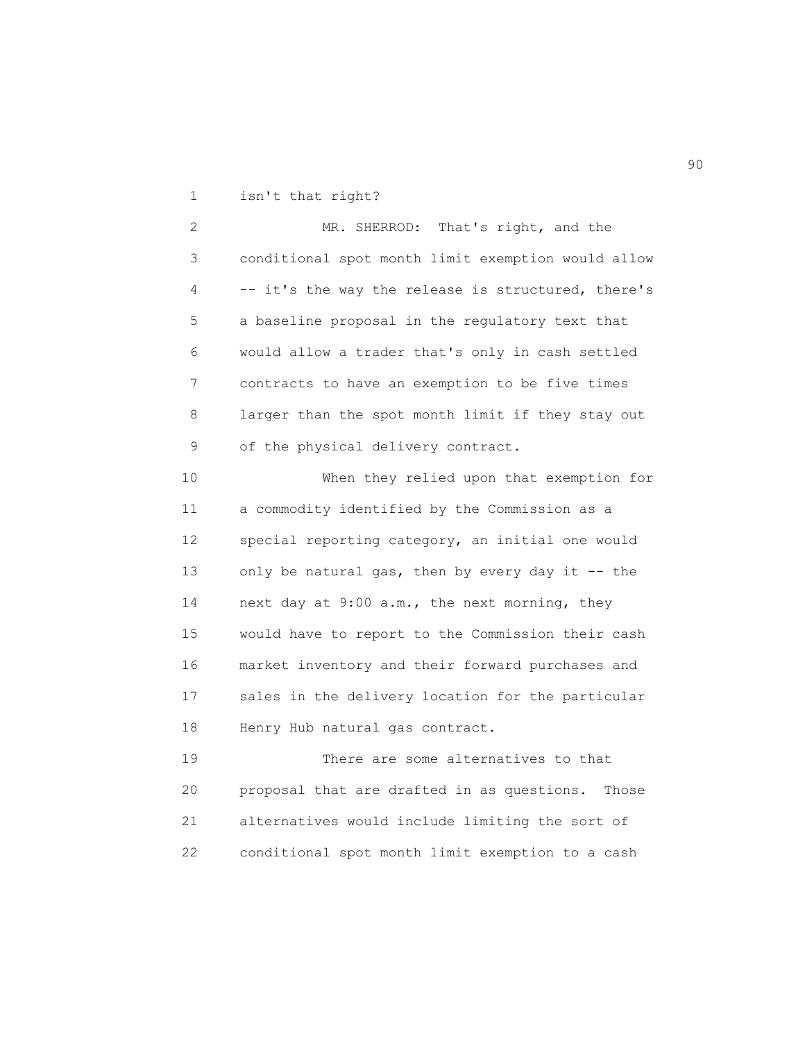1 isn't that right?

 2 MR. SHERROD: That's right, and the 3 conditional spot month limit exemption would allow 4 -- it's the way the release is structured, there's 5 a baseline proposal in the regulatory text that 6 would allow a trader that's only in cash settled 7 contracts to have an exemption to be five times 8 larger than the spot month limit if they stay out 9 of the physical delivery contract.

 10 When they relied upon that exemption for 11 a commodity identified by the Commission as a 12 special reporting category, an initial one would 13 only be natural gas, then by every day it -- the 14 next day at 9:00 a.m., the next morning, they 15 would have to report to the Commission their cash 16 market inventory and their forward purchases and 17 sales in the delivery location for the particular 18 Henry Hub natural gas contract.

 19 There are some alternatives to that 20 proposal that are drafted in as questions. Those 21 alternatives would include limiting the sort of 22 conditional spot month limit exemption to a cash

en 1990 en 1990 en 1990 en 1990 en 1990 en 1990 en 1990 en 1990 en 1990 en 1990 en 1990 en 1990 en 1990 en 19<br>De grote en 1990 en 1990 en 1990 en 1990 en 1990 en 1990 en 1990 en 1990 en 1990 en 1990 en 1990 en 1990 en 19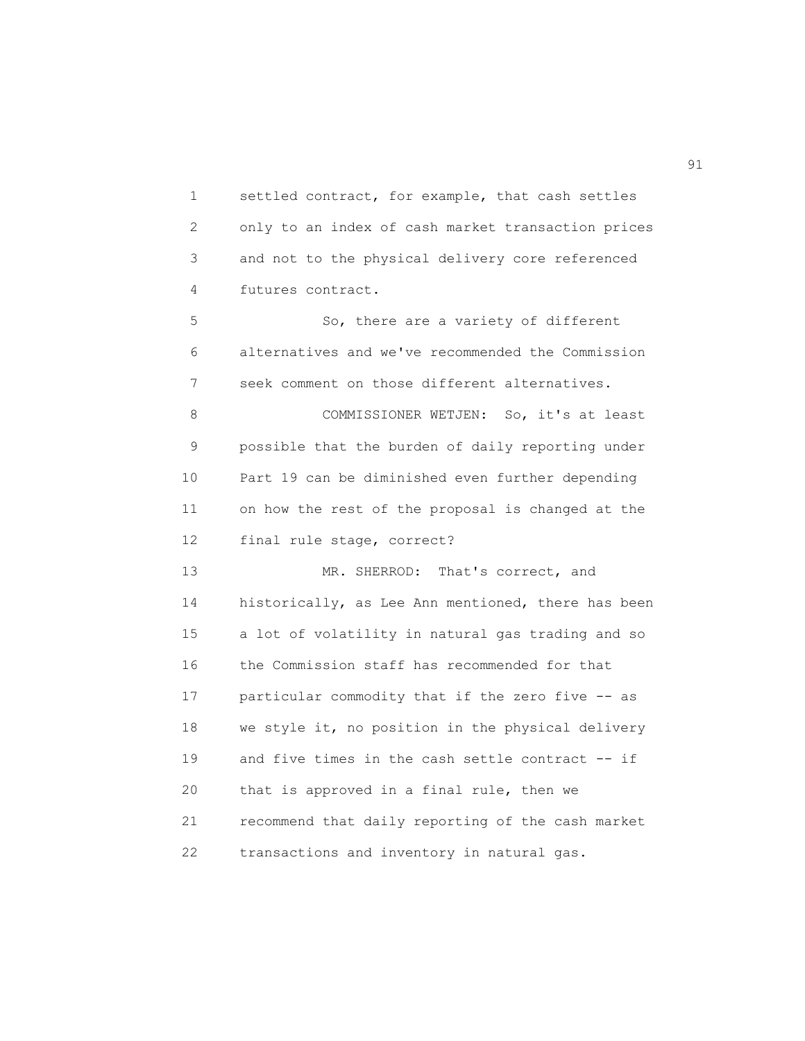1 settled contract, for example, that cash settles 2 only to an index of cash market transaction prices 3 and not to the physical delivery core referenced 4 futures contract.

 5 So, there are a variety of different 6 alternatives and we've recommended the Commission 7 seek comment on those different alternatives.

 8 COMMISSIONER WETJEN: So, it's at least 9 possible that the burden of daily reporting under 10 Part 19 can be diminished even further depending 11 on how the rest of the proposal is changed at the 12 final rule stage, correct?

13 MR. SHERROD: That's correct, and 14 historically, as Lee Ann mentioned, there has been 15 a lot of volatility in natural gas trading and so 16 the Commission staff has recommended for that 17 particular commodity that if the zero five -- as 18 we style it, no position in the physical delivery 19 and five times in the cash settle contract -- if 20 that is approved in a final rule, then we 21 recommend that daily reporting of the cash market 22 transactions and inventory in natural gas.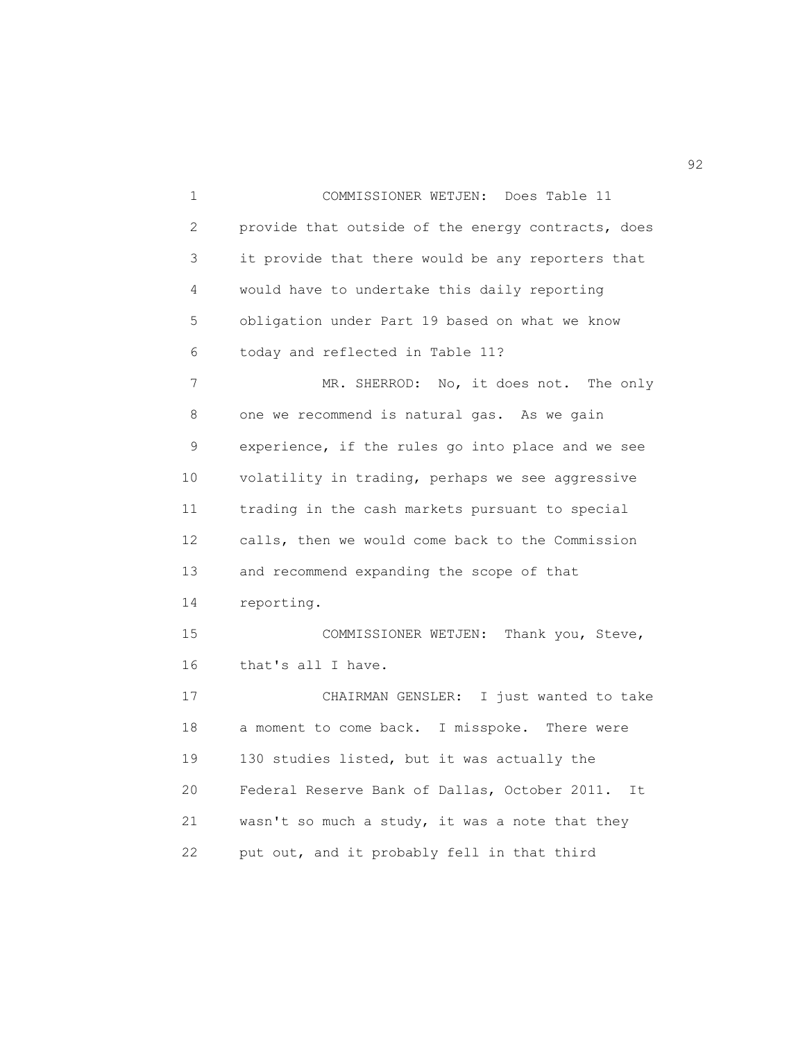1 COMMISSIONER WETJEN: Does Table 11 2 provide that outside of the energy contracts, does 3 it provide that there would be any reporters that 4 would have to undertake this daily reporting 5 obligation under Part 19 based on what we know 6 today and reflected in Table 11? 7 MR. SHERROD: No, it does not. The only 8 one we recommend is natural gas. As we gain 9 experience, if the rules go into place and we see 10 volatility in trading, perhaps we see aggressive 11 trading in the cash markets pursuant to special 12 calls, then we would come back to the Commission 13 and recommend expanding the scope of that 14 reporting. 15 COMMISSIONER WETJEN: Thank you, Steve, 16 that's all I have. 17 CHAIRMAN GENSLER: I just wanted to take 18 a moment to come back. I misspoke. There were 19 130 studies listed, but it was actually the 20 Federal Reserve Bank of Dallas, October 2011. It 21 wasn't so much a study, it was a note that they 22 put out, and it probably fell in that third

 $\sim$  92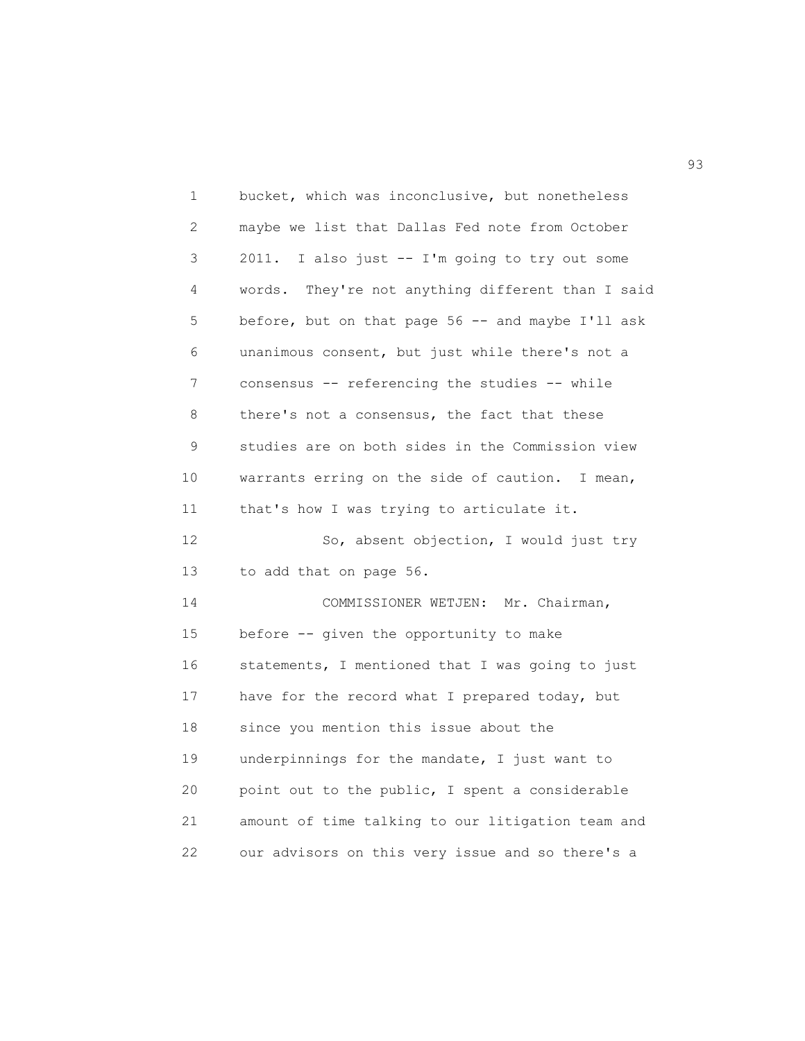1 bucket, which was inconclusive, but nonetheless 2 maybe we list that Dallas Fed note from October 3 2011. I also just -- I'm going to try out some 4 words. They're not anything different than I said 5 before, but on that page 56 -- and maybe I'll ask 6 unanimous consent, but just while there's not a 7 consensus -- referencing the studies -- while 8 there's not a consensus, the fact that these 9 studies are on both sides in the Commission view 10 warrants erring on the side of caution. I mean, 11 that's how I was trying to articulate it. 12 So, absent objection, I would just try 13 to add that on page 56. 14 COMMISSIONER WETJEN: Mr. Chairman, 15 before -- given the opportunity to make 16 statements, I mentioned that I was going to just 17 have for the record what I prepared today, but 18 since you mention this issue about the 19 underpinnings for the mandate, I just want to 20 point out to the public, I spent a considerable 21 amount of time talking to our litigation team and 22 our advisors on this very issue and so there's a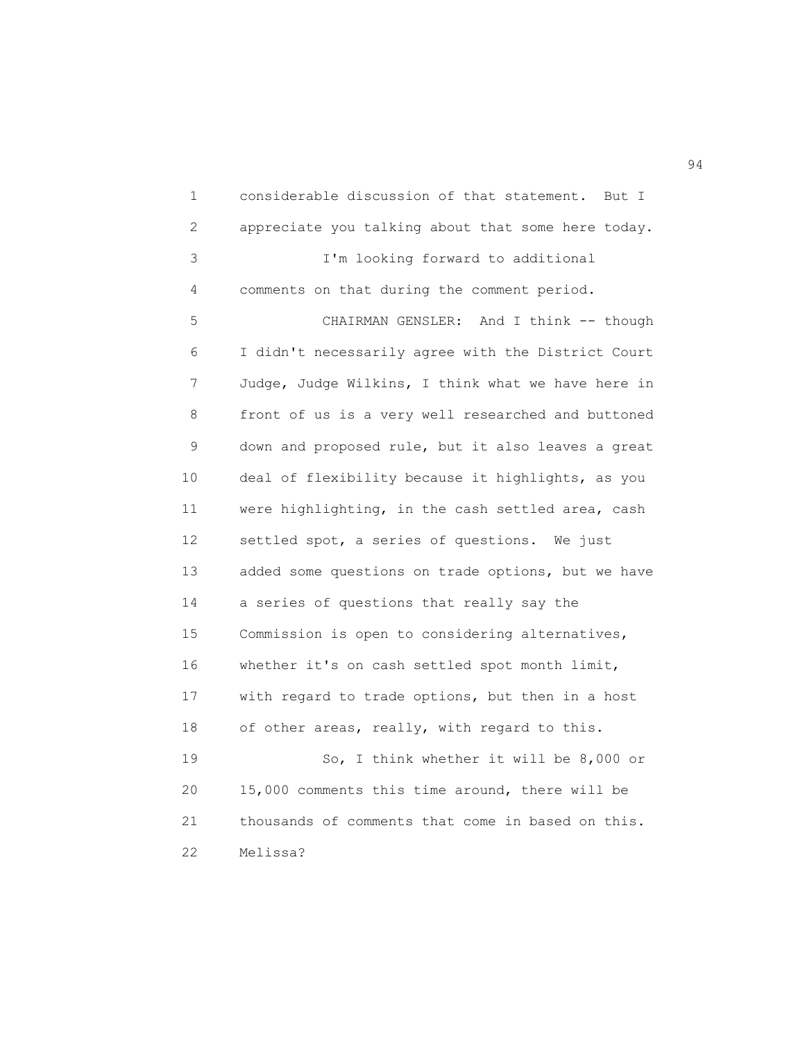1 considerable discussion of that statement. But I 2 appreciate you talking about that some here today. 3 I'm looking forward to additional 4 comments on that during the comment period. 5 CHAIRMAN GENSLER: And I think -- though 6 I didn't necessarily agree with the District Court 7 Judge, Judge Wilkins, I think what we have here in 8 front of us is a very well researched and buttoned 9 down and proposed rule, but it also leaves a great 10 deal of flexibility because it highlights, as you 11 were highlighting, in the cash settled area, cash 12 settled spot, a series of questions. We just 13 added some questions on trade options, but we have 14 a series of questions that really say the 15 Commission is open to considering alternatives, 16 whether it's on cash settled spot month limit, 17 with regard to trade options, but then in a host 18 of other areas, really, with regard to this. 19 So, I think whether it will be 8,000 or 20 15,000 comments this time around, there will be 21 thousands of comments that come in based on this. 22 Melissa?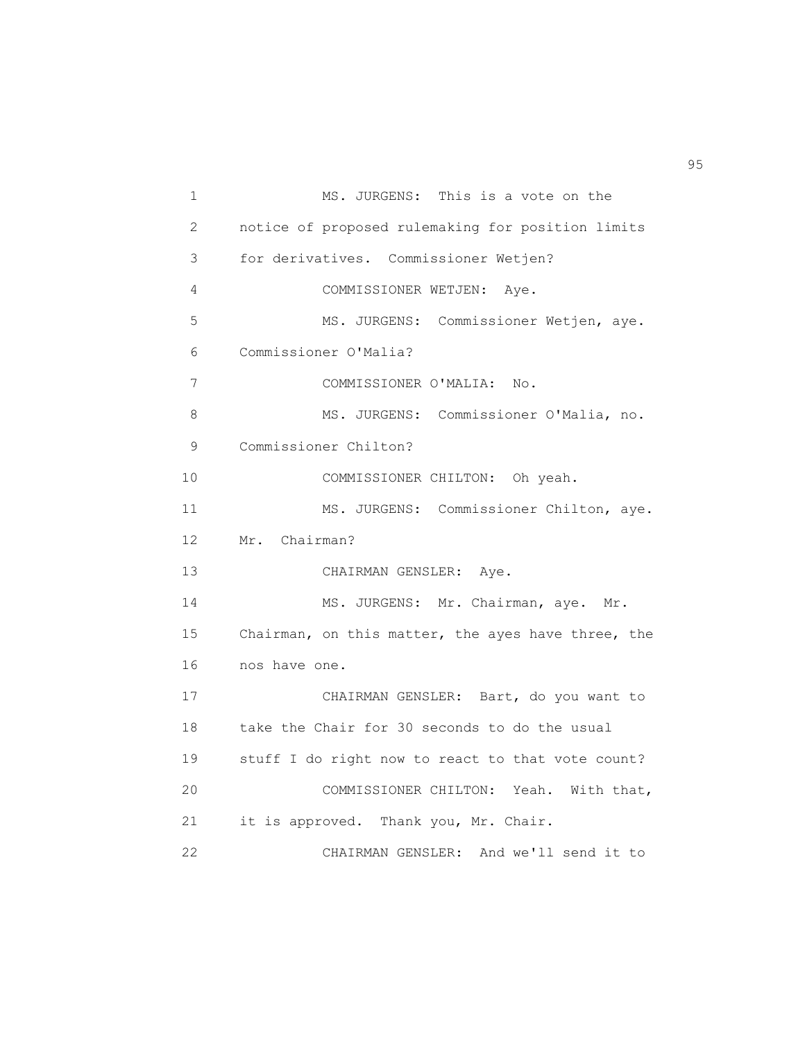```
 1 MS. JURGENS: This is a vote on the
 2 notice of proposed rulemaking for position limits
 3 for derivatives. Commissioner Wetjen?
 4 COMMISSIONER WETJEN: Aye.
 5 MS. JURGENS: Commissioner Wetjen, aye.
 6 Commissioner O'Malia?
 7 COMMISSIONER O'MALIA: No.
 8 MS. JURGENS: Commissioner O'Malia, no.
 9 Commissioner Chilton?
 10 COMMISSIONER CHILTON: Oh yeah.
11 MS. JURGENS: Commissioner Chilton, aye.
 12 Mr. Chairman?
 13 CHAIRMAN GENSLER: Aye.
14 MS. JURGENS: Mr. Chairman, aye. Mr.
 15 Chairman, on this matter, the ayes have three, the
 16 nos have one.
 17 CHAIRMAN GENSLER: Bart, do you want to
 18 take the Chair for 30 seconds to do the usual
 19 stuff I do right now to react to that vote count?
 20 COMMISSIONER CHILTON: Yeah. With that,
 21 it is approved. Thank you, Mr. Chair.
 22 CHAIRMAN GENSLER: And we'll send it to
```
en 1995 en 1996 en 1996 en 1997 en 1998 en 1998 en 1999 en 1999 en 1999 en 1999 en 1999 en 1999 en 1999 en 19<br>De grote en 1999 en 1999 en 1999 en 1999 en 1999 en 1999 en 1999 en 1999 en 1999 en 1999 en 1999 en 1999 en 19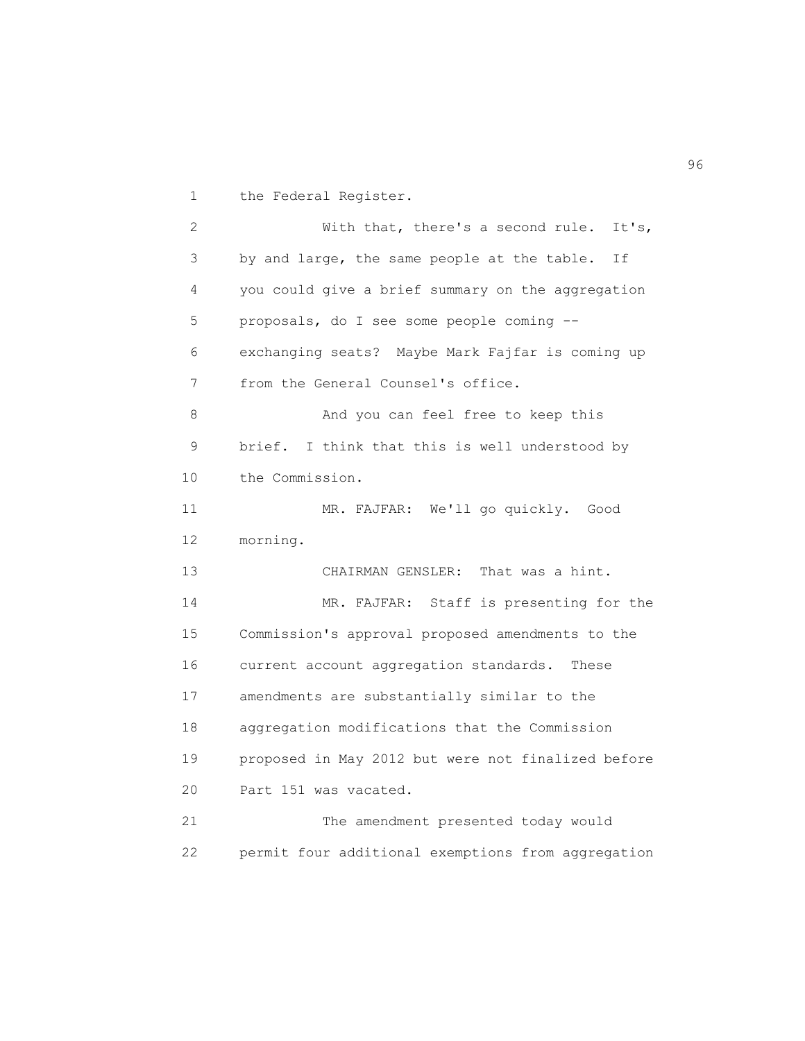1 the Federal Register.

 2 With that, there's a second rule. It's, 3 by and large, the same people at the table. If 4 you could give a brief summary on the aggregation 5 proposals, do I see some people coming -- 6 exchanging seats? Maybe Mark Fajfar is coming up 7 from the General Counsel's office. 8 And you can feel free to keep this 9 brief. I think that this is well understood by 10 the Commission. 11 MR. FAJFAR: We'll go quickly. Good 12 morning. 13 CHAIRMAN GENSLER: That was a hint. 14 MR. FAJFAR: Staff is presenting for the 15 Commission's approval proposed amendments to the 16 current account aggregation standards. These 17 amendments are substantially similar to the 18 aggregation modifications that the Commission 19 proposed in May 2012 but were not finalized before 20 Part 151 was vacated. 21 The amendment presented today would 22 permit four additional exemptions from aggregation

 $\sim$  96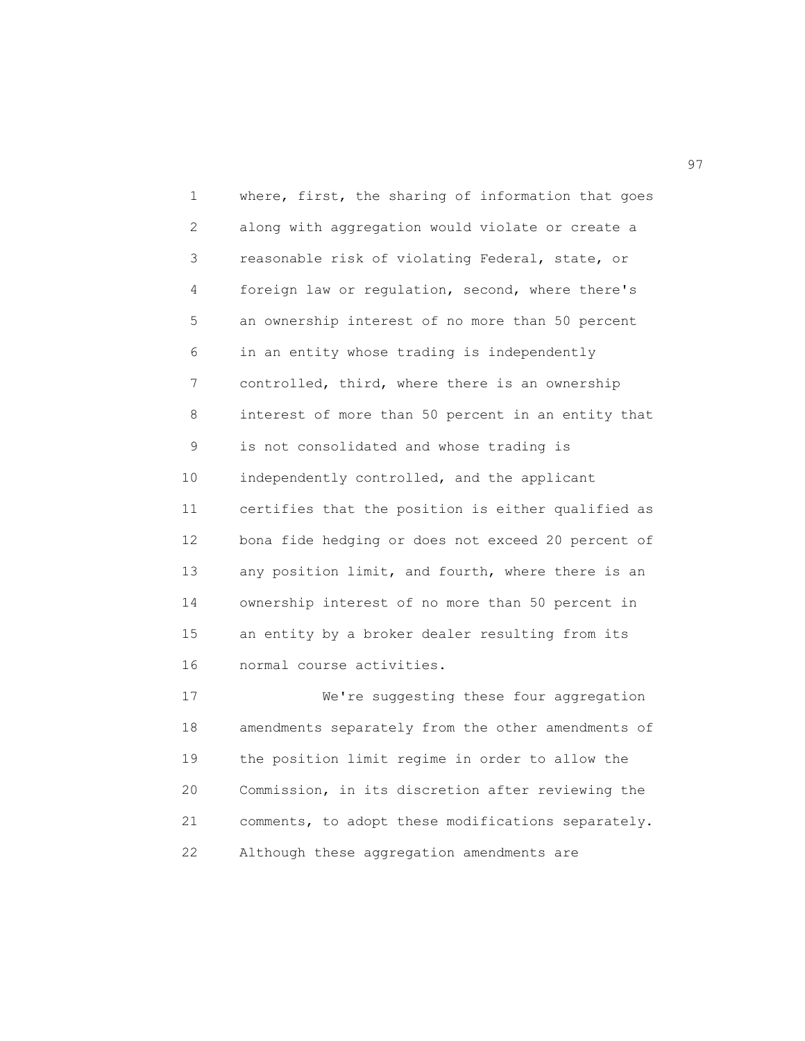1 where, first, the sharing of information that goes 2 along with aggregation would violate or create a 3 reasonable risk of violating Federal, state, or 4 foreign law or regulation, second, where there's 5 an ownership interest of no more than 50 percent 6 in an entity whose trading is independently 7 controlled, third, where there is an ownership 8 interest of more than 50 percent in an entity that 9 is not consolidated and whose trading is 10 independently controlled, and the applicant 11 certifies that the position is either qualified as 12 bona fide hedging or does not exceed 20 percent of 13 any position limit, and fourth, where there is an 14 ownership interest of no more than 50 percent in 15 an entity by a broker dealer resulting from its 16 normal course activities. 17 We're suggesting these four aggregation

 18 amendments separately from the other amendments of 19 the position limit regime in order to allow the 20 Commission, in its discretion after reviewing the 21 comments, to adopt these modifications separately. 22 Although these aggregation amendments are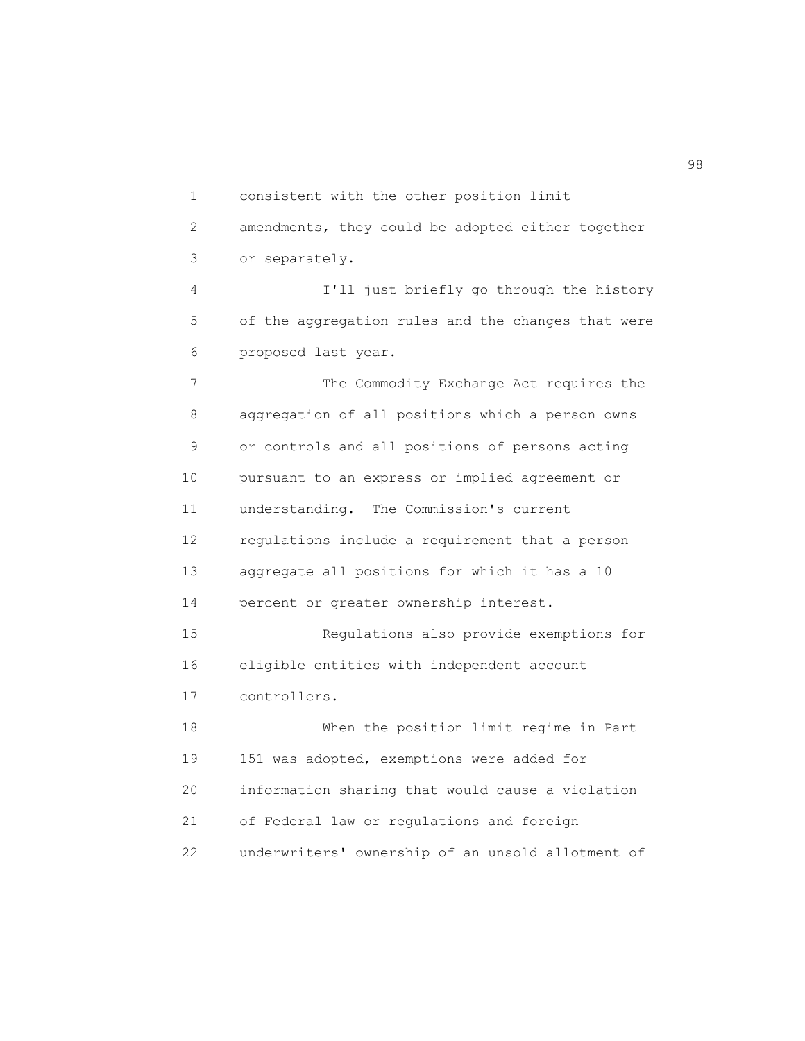1 consistent with the other position limit 2 amendments, they could be adopted either together 3 or separately. 4 I'll just briefly go through the history 5 of the aggregation rules and the changes that were 6 proposed last year. 7 The Commodity Exchange Act requires the 8 aggregation of all positions which a person owns 9 or controls and all positions of persons acting 10 pursuant to an express or implied agreement or 11 understanding. The Commission's current 12 regulations include a requirement that a person 13 aggregate all positions for which it has a 10 14 percent or greater ownership interest. 15 Regulations also provide exemptions for 16 eligible entities with independent account 17 controllers. 18 When the position limit regime in Part 19 151 was adopted, exemptions were added for 20 information sharing that would cause a violation 21 of Federal law or regulations and foreign 22 underwriters' ownership of an unsold allotment of

98 and 200 minutes and 200 minutes and 200 minutes and 200 minutes and 200 minutes and 200 minutes and 200 min<br>1980 - Carl Constantinophysics and 200 minutes and 200 minutes and 200 minutes and 200 minutes and 200 minutes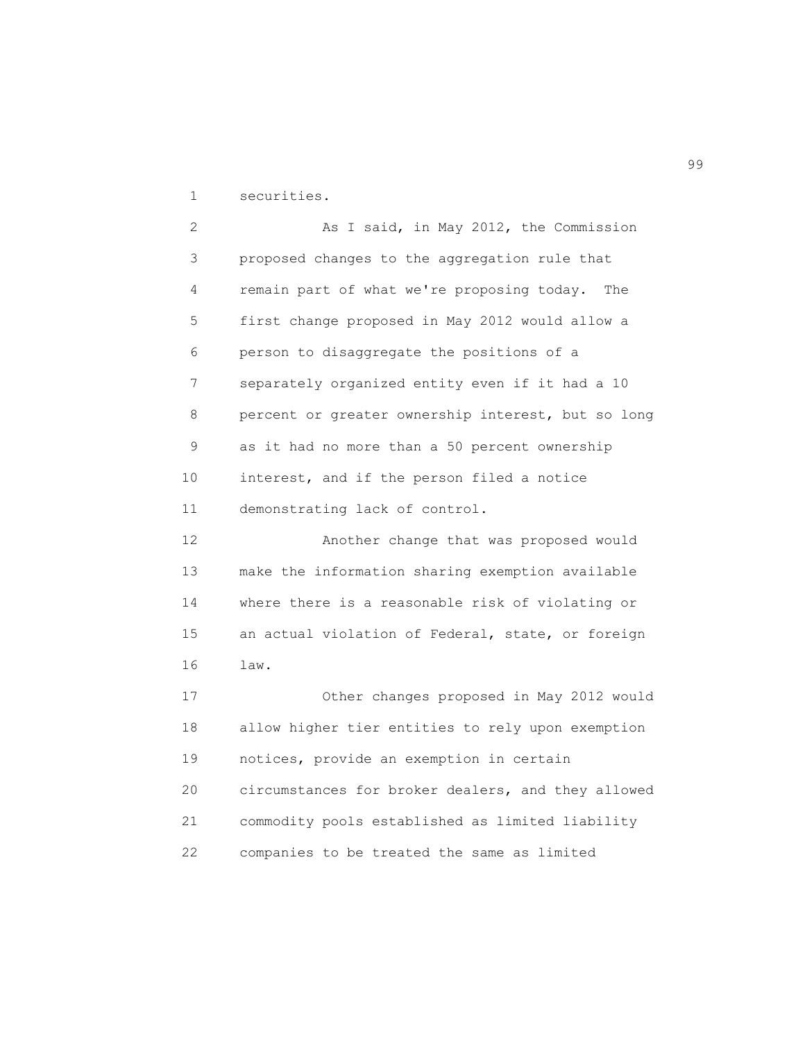1 securities.

2 As I said, in May 2012, the Commission 3 proposed changes to the aggregation rule that 4 remain part of what we're proposing today. The 5 first change proposed in May 2012 would allow a 6 person to disaggregate the positions of a 7 separately organized entity even if it had a 10 8 percent or greater ownership interest, but so long 9 as it had no more than a 50 percent ownership 10 interest, and if the person filed a notice 11 demonstrating lack of control. 12 Another change that was proposed would 13 make the information sharing exemption available 14 where there is a reasonable risk of violating or 15 an actual violation of Federal, state, or foreign 16 law. 17 Other changes proposed in May 2012 would 18 allow higher tier entities to rely upon exemption 19 notices, provide an exemption in certain 20 circumstances for broker dealers, and they allowed 21 commodity pools established as limited liability 22 companies to be treated the same as limited

en 1999 en 1999 en 1999 en 1999 en 1999 en 1999 en 1999 en 1999 en 1999 en 1999 en 1999 en 1999 en 1999 en 19<br>De grote en 1999 en 1999 en 1999 en 1999 en 1999 en 1999 en 1999 en 1999 en 1999 en 1999 en 1999 en 1999 en 19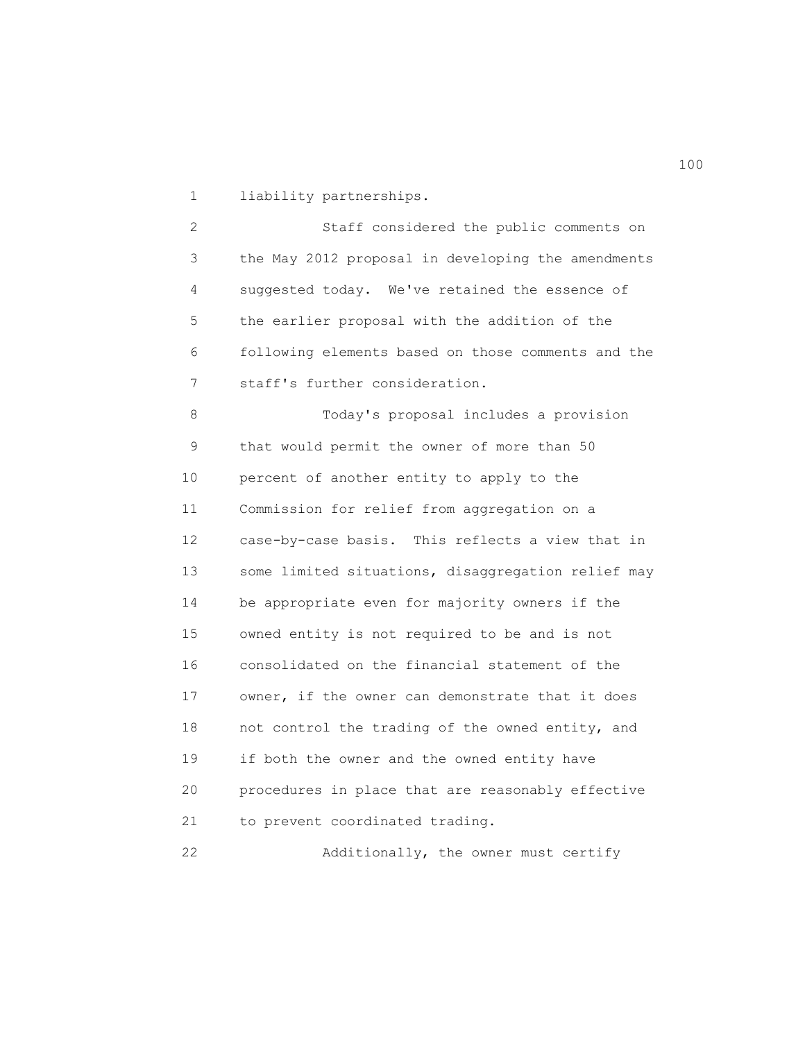1 liability partnerships.

 2 Staff considered the public comments on 3 the May 2012 proposal in developing the amendments 4 suggested today. We've retained the essence of 5 the earlier proposal with the addition of the 6 following elements based on those comments and the 7 staff's further consideration.

 8 Today's proposal includes a provision 9 that would permit the owner of more than 50 10 percent of another entity to apply to the 11 Commission for relief from aggregation on a 12 case-by-case basis. This reflects a view that in 13 some limited situations, disaggregation relief may 14 be appropriate even for majority owners if the 15 owned entity is not required to be and is not 16 consolidated on the financial statement of the 17 owner, if the owner can demonstrate that it does 18 not control the trading of the owned entity, and 19 if both the owner and the owned entity have 20 procedures in place that are reasonably effective 21 to prevent coordinated trading.

22 Additionally, the owner must certify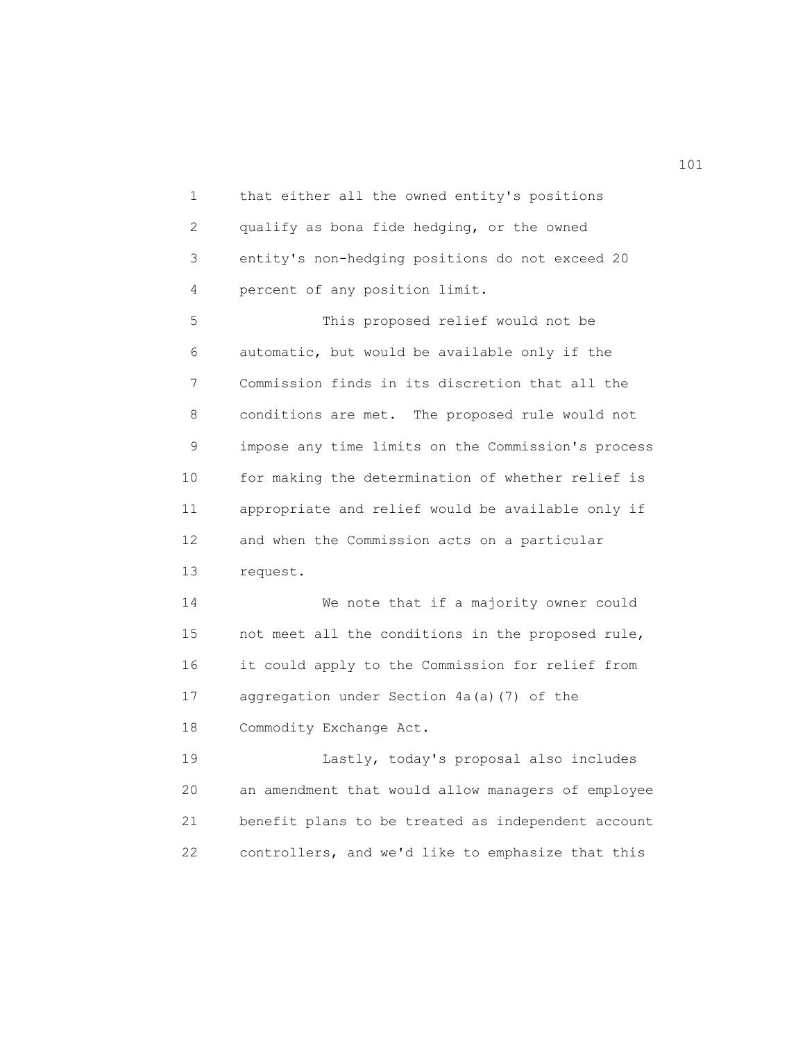1 that either all the owned entity's positions 2 qualify as bona fide hedging, or the owned 3 entity's non-hedging positions do not exceed 20 4 percent of any position limit. 5 This proposed relief would not be 6 automatic, but would be available only if the 7 Commission finds in its discretion that all the 8 conditions are met. The proposed rule would not 9 impose any time limits on the Commission's process 10 for making the determination of whether relief is 11 appropriate and relief would be available only if 12 and when the Commission acts on a particular 13 request. 14 We note that if a majority owner could 15 not meet all the conditions in the proposed rule, 16 it could apply to the Commission for relief from 17 aggregation under Section 4a(a)(7) of the 18 Commodity Exchange Act. 19 Lastly, today's proposal also includes 20 an amendment that would allow managers of employee 21 benefit plans to be treated as independent account

22 controllers, and we'd like to emphasize that this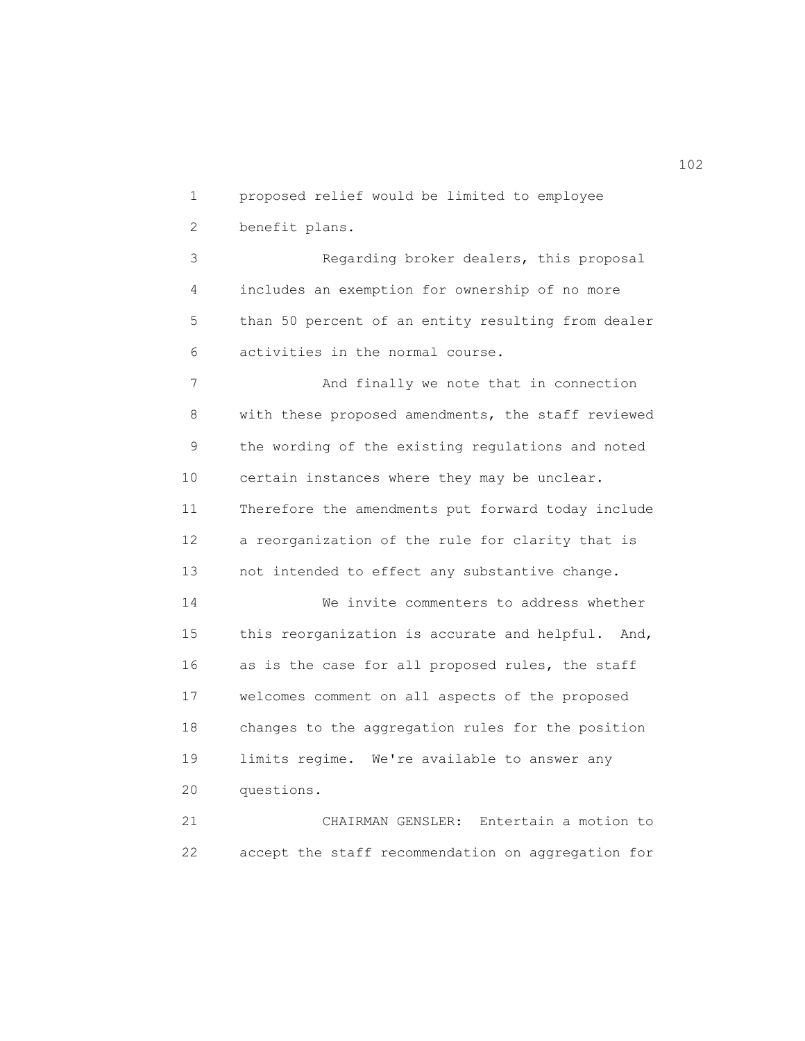1 proposed relief would be limited to employee

2 benefit plans.

 3 Regarding broker dealers, this proposal 4 includes an exemption for ownership of no more 5 than 50 percent of an entity resulting from dealer 6 activities in the normal course.

 7 And finally we note that in connection 8 with these proposed amendments, the staff reviewed 9 the wording of the existing regulations and noted 10 certain instances where they may be unclear. 11 Therefore the amendments put forward today include 12 a reorganization of the rule for clarity that is 13 not intended to effect any substantive change. 14 We invite commenters to address whether 15 this reorganization is accurate and helpful. And, 16 as is the case for all proposed rules, the staff 17 welcomes comment on all aspects of the proposed 18 changes to the aggregation rules for the position 19 limits regime. We're available to answer any 20 questions.

 21 CHAIRMAN GENSLER: Entertain a motion to 22 accept the staff recommendation on aggregation for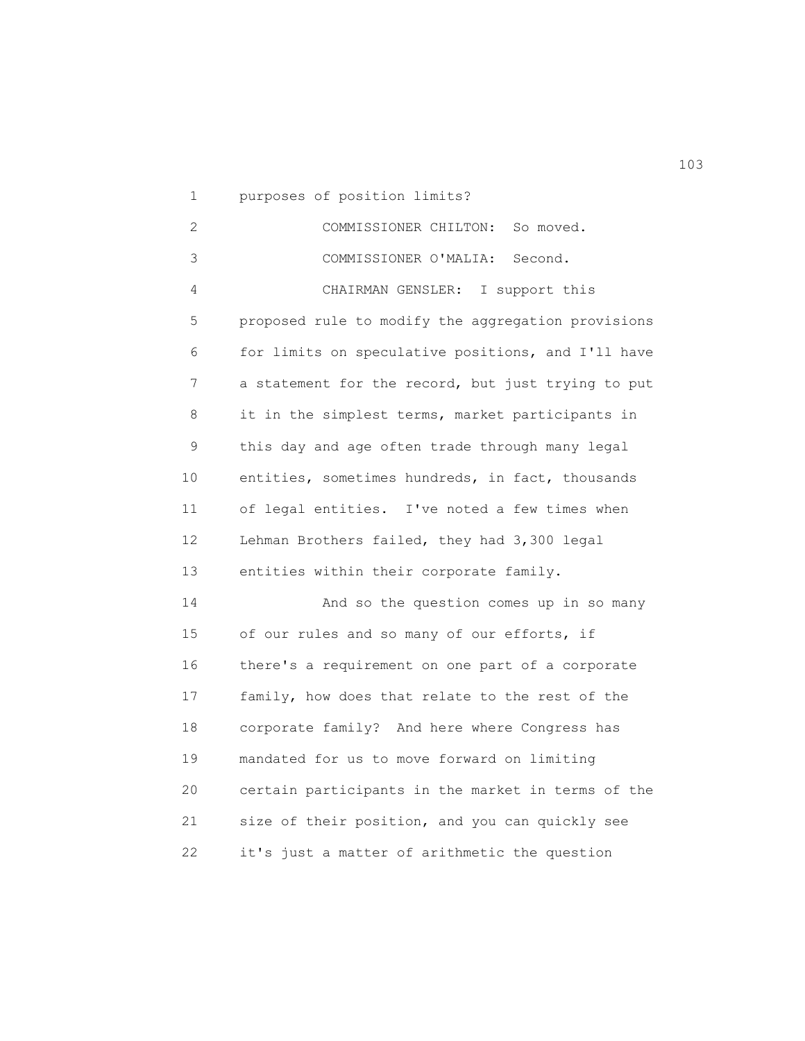1 purposes of position limits?

 2 COMMISSIONER CHILTON: So moved. 3 COMMISSIONER O'MALIA: Second. 4 CHAIRMAN GENSLER: I support this 5 proposed rule to modify the aggregation provisions 6 for limits on speculative positions, and I'll have 7 a statement for the record, but just trying to put 8 it in the simplest terms, market participants in 9 this day and age often trade through many legal 10 entities, sometimes hundreds, in fact, thousands 11 of legal entities. I've noted a few times when 12 Lehman Brothers failed, they had 3,300 legal 13 entities within their corporate family. 14 And so the question comes up in so many 15 of our rules and so many of our efforts, if 16 there's a requirement on one part of a corporate 17 family, how does that relate to the rest of the 18 corporate family? And here where Congress has 19 mandated for us to move forward on limiting 20 certain participants in the market in terms of the 21 size of their position, and you can quickly see 22 it's just a matter of arithmetic the question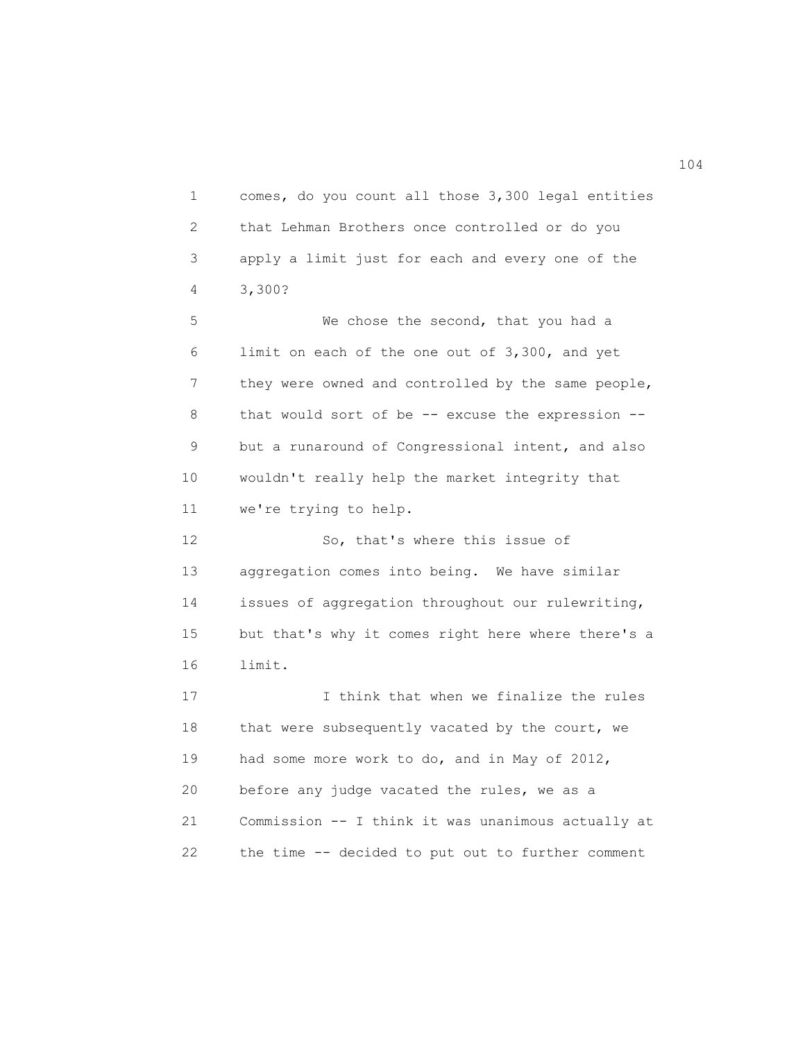1 comes, do you count all those 3,300 legal entities 2 that Lehman Brothers once controlled or do you 3 apply a limit just for each and every one of the 4 3,300? 5 We chose the second, that you had a 6 limit on each of the one out of 3,300, and yet 7 they were owned and controlled by the same people, 8 that would sort of be -- excuse the expression -- 9 but a runaround of Congressional intent, and also 10 wouldn't really help the market integrity that 11 we're trying to help. 12 So, that's where this issue of 13 aggregation comes into being. We have similar 14 issues of aggregation throughout our rulewriting, 15 but that's why it comes right here where there's a 16 limit. 17 I think that when we finalize the rules 18 that were subsequently vacated by the court, we 19 had some more work to do, and in May of 2012, 20 before any judge vacated the rules, we as a 21 Commission -- I think it was unanimous actually at 22 the time -- decided to put out to further comment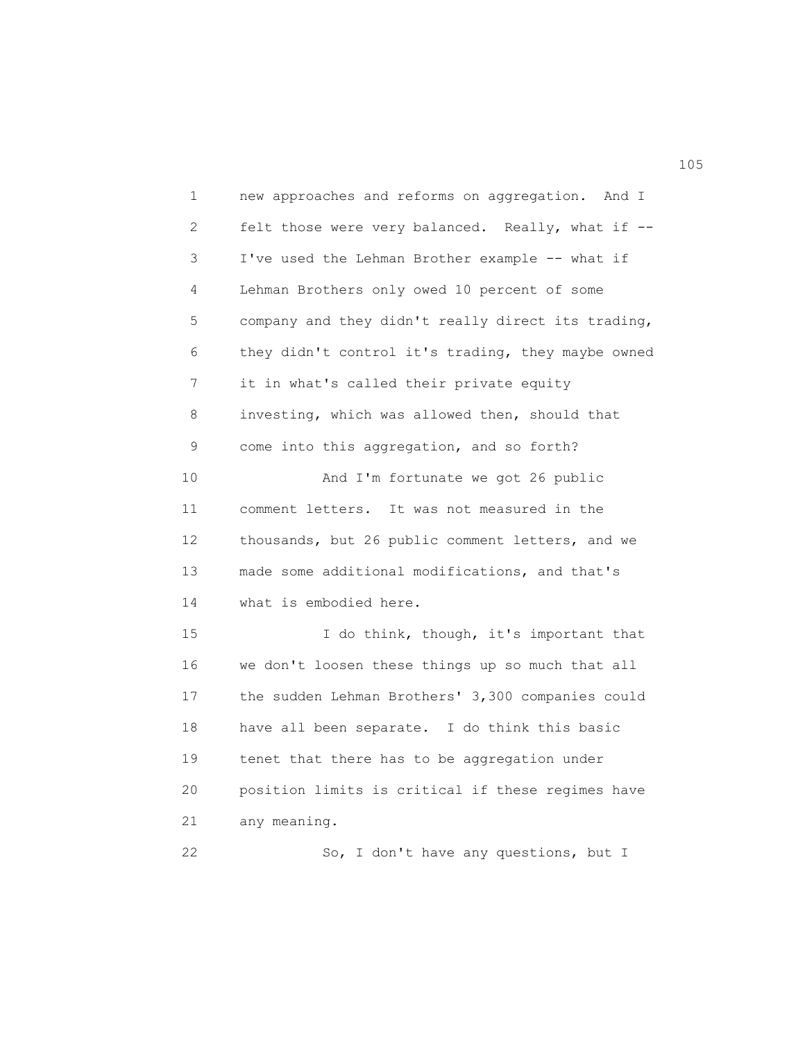1 new approaches and reforms on aggregation. And I 2 felt those were very balanced. Really, what if -- 3 I've used the Lehman Brother example -- what if 4 Lehman Brothers only owed 10 percent of some 5 company and they didn't really direct its trading, 6 they didn't control it's trading, they maybe owned 7 it in what's called their private equity 8 investing, which was allowed then, should that 9 come into this aggregation, and so forth? 10 And I'm fortunate we got 26 public 11 comment letters. It was not measured in the 12 thousands, but 26 public comment letters, and we 13 made some additional modifications, and that's 14 what is embodied here. 15 I do think, though, it's important that 16 we don't loosen these things up so much that all 17 the sudden Lehman Brothers' 3,300 companies could 18 have all been separate. I do think this basic 19 tenet that there has to be aggregation under 20 position limits is critical if these regimes have 21 any meaning. 22 So, I don't have any questions, but I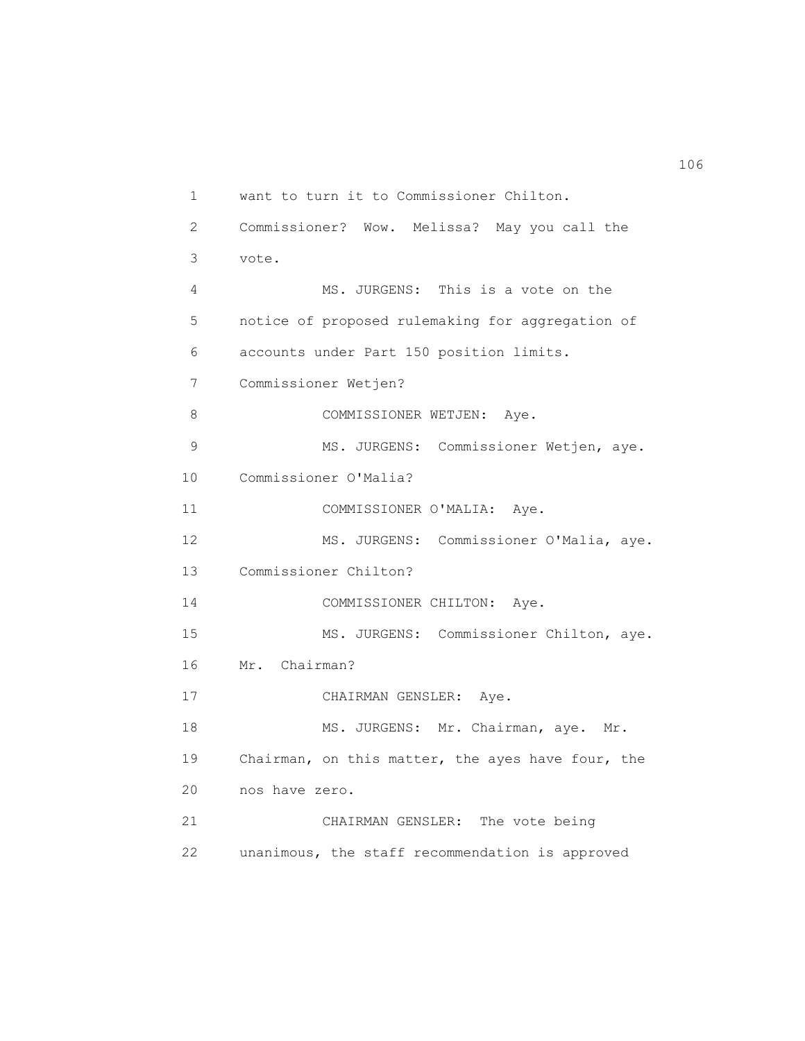1 want to turn it to Commissioner Chilton. 2 Commissioner? Wow. Melissa? May you call the 3 vote. 4 MS. JURGENS: This is a vote on the 5 notice of proposed rulemaking for aggregation of 6 accounts under Part 150 position limits. 7 Commissioner Wetjen? 8 COMMISSIONER WETJEN: Aye. 9 MS. JURGENS: Commissioner Wetjen, aye. 10 Commissioner O'Malia? 11 COMMISSIONER O'MALIA: Aye. 12 MS. JURGENS: Commissioner O'Malia, aye. 13 Commissioner Chilton? 14 COMMISSIONER CHILTON: Aye. 15 MS. JURGENS: Commissioner Chilton, aye. 16 Mr. Chairman? 17 CHAIRMAN GENSLER: Aye. 18 MS. JURGENS: Mr. Chairman, aye. Mr. 19 Chairman, on this matter, the ayes have four, the 20 nos have zero. 21 CHAIRMAN GENSLER: The vote being 22 unanimous, the staff recommendation is approved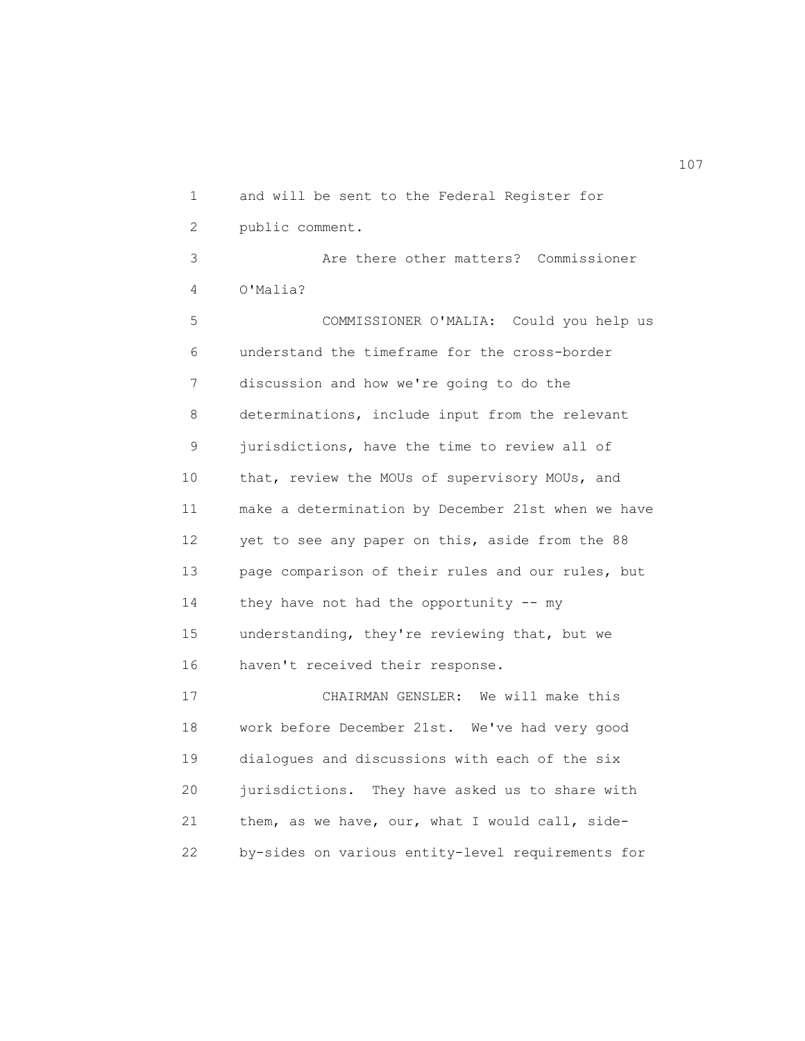1 and will be sent to the Federal Register for 2 public comment. 3 Are there other matters? Commissioner 4 O'Malia? 5 COMMISSIONER O'MALIA: Could you help us 6 understand the timeframe for the cross-border 7 discussion and how we're going to do the 8 determinations, include input from the relevant 9 jurisdictions, have the time to review all of 10 that, review the MOUs of supervisory MOUs, and 11 make a determination by December 21st when we have 12 yet to see any paper on this, aside from the 88 13 page comparison of their rules and our rules, but 14 they have not had the opportunity -- my 15 understanding, they're reviewing that, but we 16 haven't received their response. 17 CHAIRMAN GENSLER: We will make this 18 work before December 21st. We've had very good 19 dialogues and discussions with each of the six 20 jurisdictions. They have asked us to share with 21 them, as we have, our, what I would call, side-

22 by-sides on various entity-level requirements for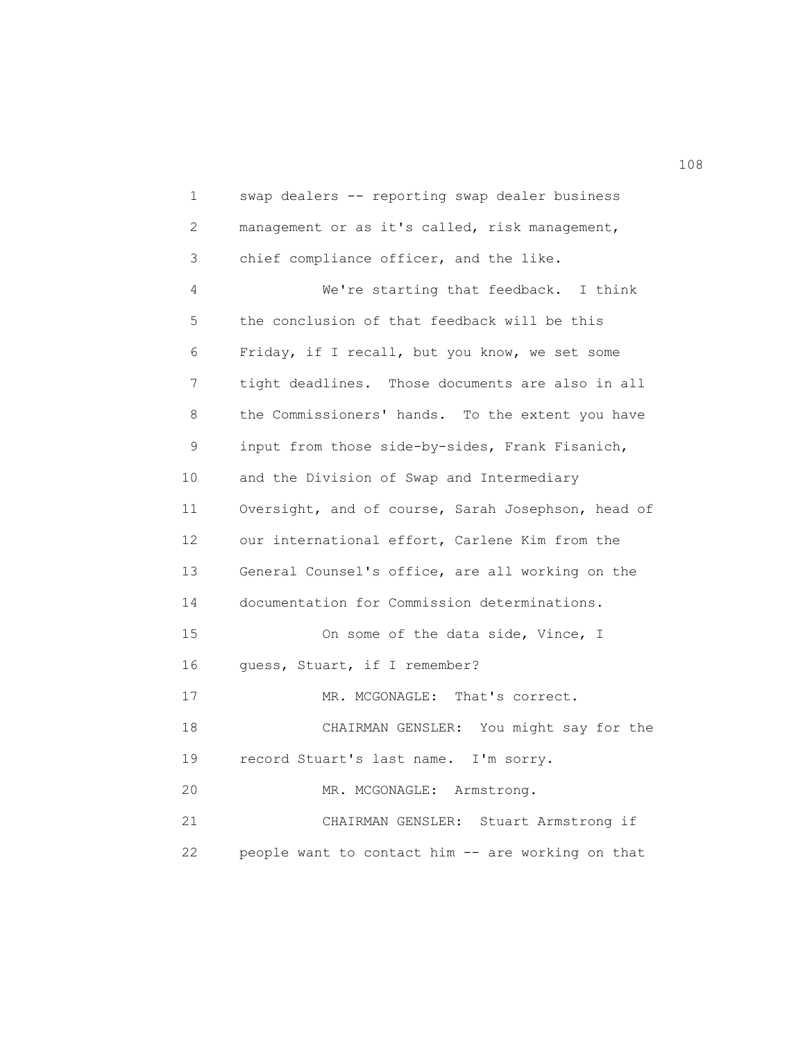1 swap dealers -- reporting swap dealer business 2 management or as it's called, risk management, 3 chief compliance officer, and the like. 4 We're starting that feedback. I think 5 the conclusion of that feedback will be this 6 Friday, if I recall, but you know, we set some 7 tight deadlines. Those documents are also in all 8 the Commissioners' hands. To the extent you have 9 input from those side-by-sides, Frank Fisanich, 10 and the Division of Swap and Intermediary 11 Oversight, and of course, Sarah Josephson, head of 12 our international effort, Carlene Kim from the 13 General Counsel's office, are all working on the 14 documentation for Commission determinations. 15 On some of the data side, Vince, I 16 guess, Stuart, if I remember? 17 MR. MCGONAGLE: That's correct. 18 CHAIRMAN GENSLER: You might say for the 19 record Stuart's last name. I'm sorry. 20 MR. MCGONAGLE: Armstrong. 21 CHAIRMAN GENSLER: Stuart Armstrong if 22 people want to contact him -- are working on that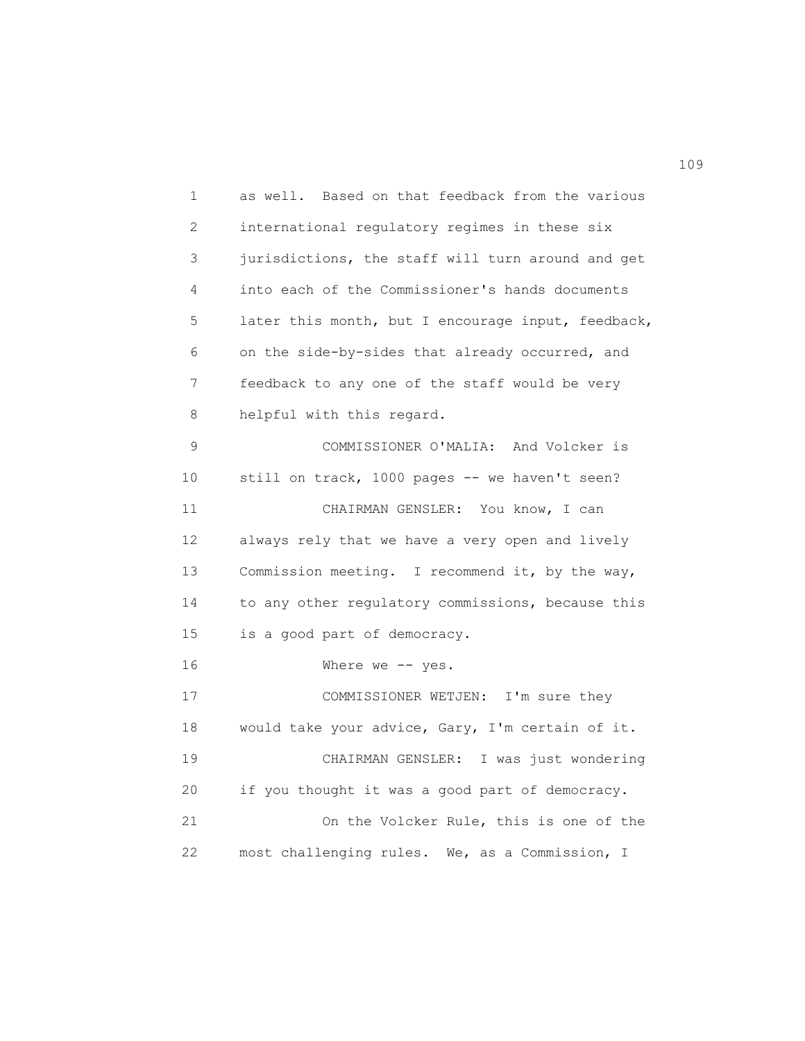1 as well. Based on that feedback from the various 2 international regulatory regimes in these six 3 jurisdictions, the staff will turn around and get 4 into each of the Commissioner's hands documents 5 later this month, but I encourage input, feedback, 6 on the side-by-sides that already occurred, and 7 feedback to any one of the staff would be very 8 helpful with this regard. 9 COMMISSIONER O'MALIA: And Volcker is 10 still on track, 1000 pages -- we haven't seen? 11 CHAIRMAN GENSLER: You know, I can 12 always rely that we have a very open and lively 13 Commission meeting. I recommend it, by the way, 14 to any other regulatory commissions, because this 15 is a good part of democracy. 16 Where we -- yes. 17 COMMISSIONER WETJEN: I'm sure they 18 would take your advice, Gary, I'm certain of it. 19 CHAIRMAN GENSLER: I was just wondering 20 if you thought it was a good part of democracy. 21 On the Volcker Rule, this is one of the 22 most challenging rules. We, as a Commission, I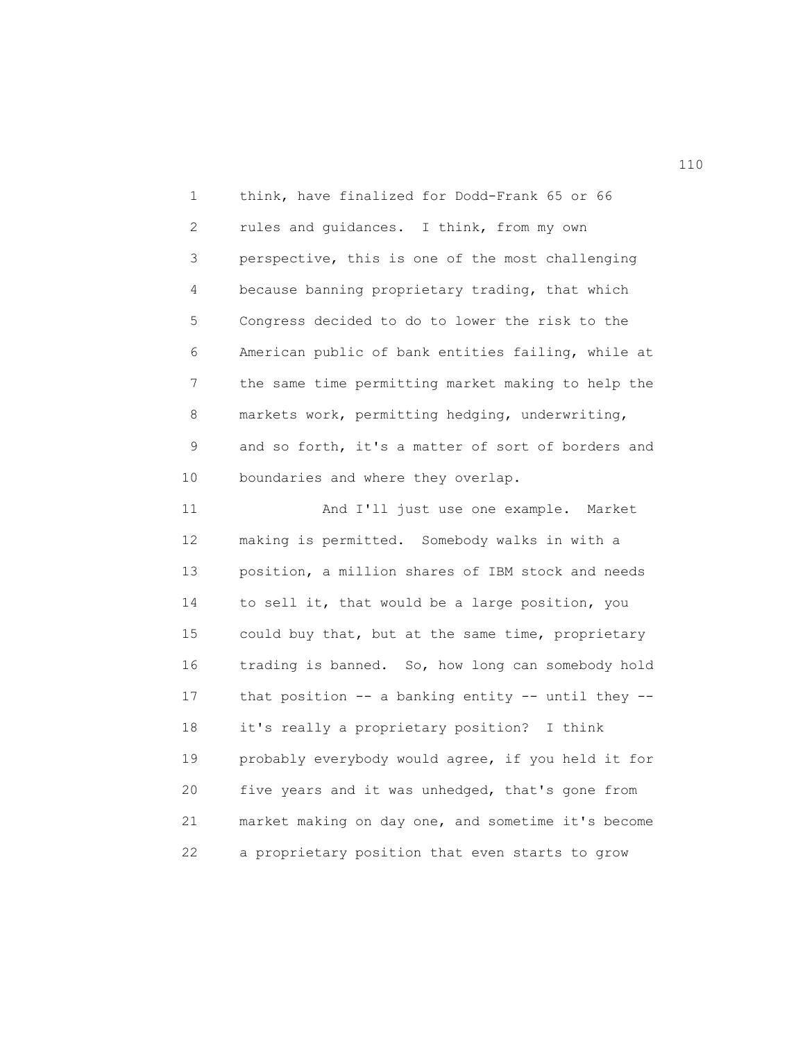1 think, have finalized for Dodd-Frank 65 or 66 2 rules and guidances. I think, from my own 3 perspective, this is one of the most challenging 4 because banning proprietary trading, that which 5 Congress decided to do to lower the risk to the 6 American public of bank entities failing, while at 7 the same time permitting market making to help the 8 markets work, permitting hedging, underwriting, 9 and so forth, it's a matter of sort of borders and 10 boundaries and where they overlap.

 11 And I'll just use one example. Market 12 making is permitted. Somebody walks in with a 13 position, a million shares of IBM stock and needs 14 to sell it, that would be a large position, you 15 could buy that, but at the same time, proprietary 16 trading is banned. So, how long can somebody hold 17 that position -- a banking entity -- until they -- 18 it's really a proprietary position? I think 19 probably everybody would agree, if you held it for 20 five years and it was unhedged, that's gone from 21 market making on day one, and sometime it's become 22 a proprietary position that even starts to grow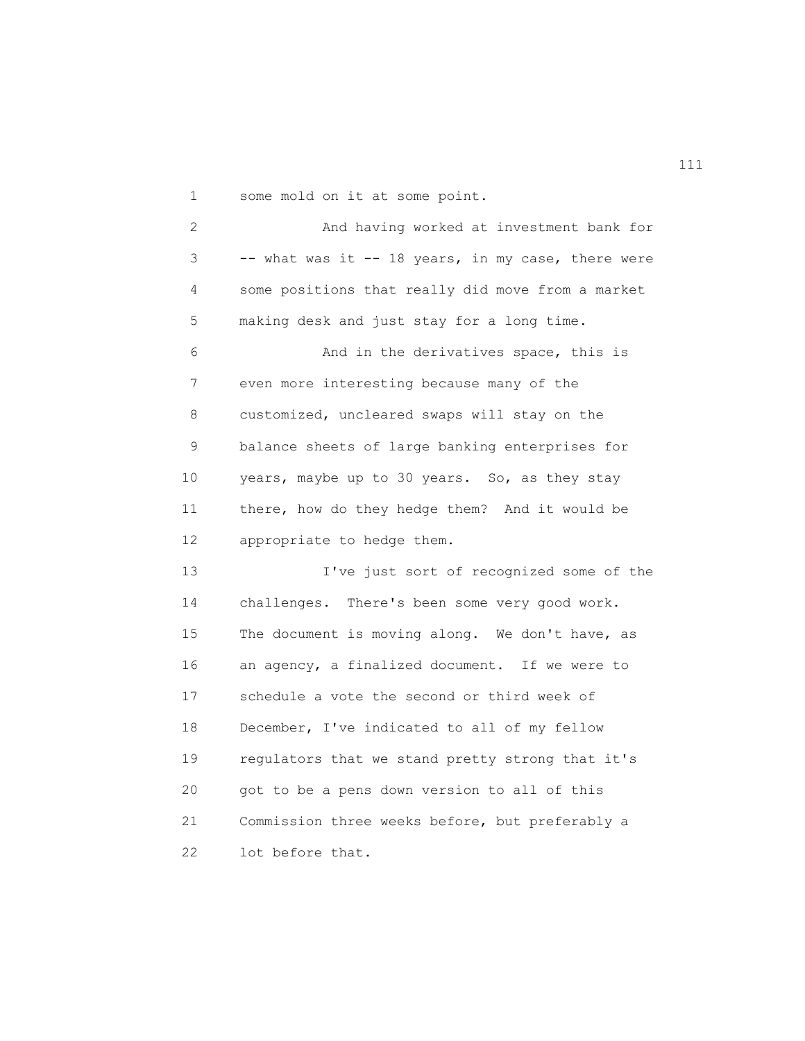1 some mold on it at some point.

 2 And having worked at investment bank for 3 -- what was it -- 18 years, in my case, there were 4 some positions that really did move from a market 5 making desk and just stay for a long time. 6 And in the derivatives space, this is 7 even more interesting because many of the 8 customized, uncleared swaps will stay on the 9 balance sheets of large banking enterprises for 10 years, maybe up to 30 years. So, as they stay 11 there, how do they hedge them? And it would be 12 appropriate to hedge them. 13 I've just sort of recognized some of the 14 challenges. There's been some very good work. 15 The document is moving along. We don't have, as 16 an agency, a finalized document. If we were to 17 schedule a vote the second or third week of 18 December, I've indicated to all of my fellow 19 regulators that we stand pretty strong that it's 20 got to be a pens down version to all of this 21 Commission three weeks before, but preferably a 22 lot before that.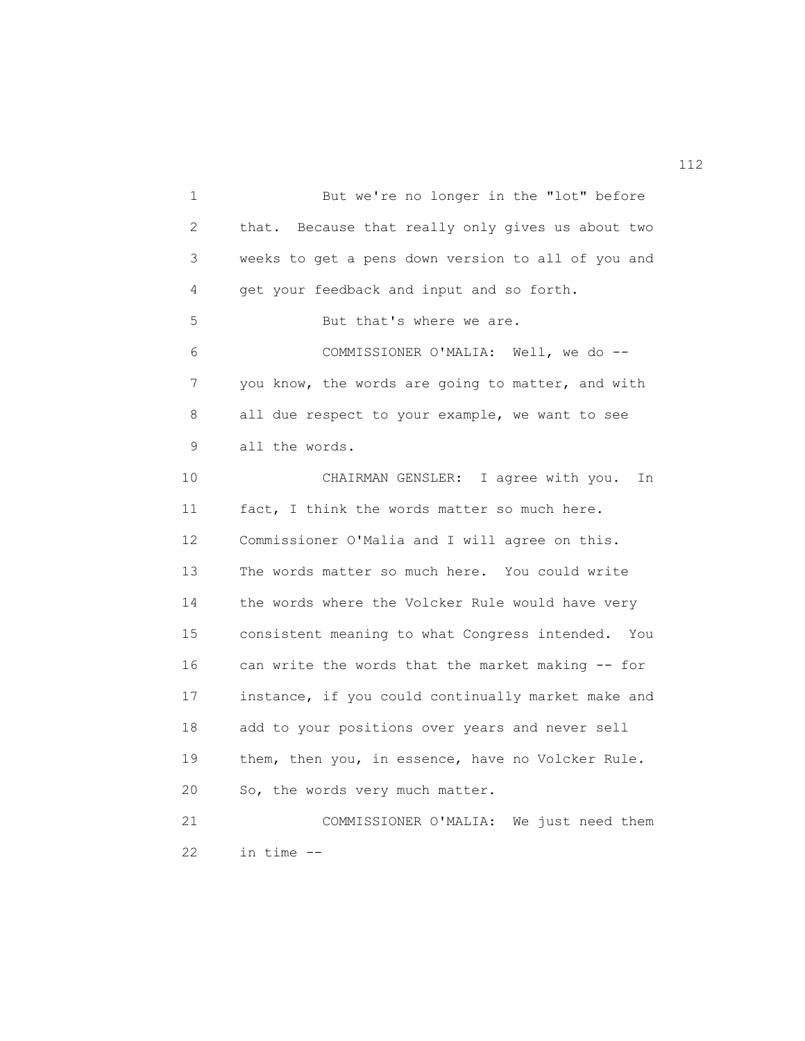1 But we're no longer in the "lot" before 2 that. Because that really only gives us about two 3 weeks to get a pens down version to all of you and 4 get your feedback and input and so forth. 5 But that's where we are. 6 COMMISSIONER O'MALIA: Well, we do -- 7 you know, the words are going to matter, and with 8 all due respect to your example, we want to see 9 all the words. 10 CHAIRMAN GENSLER: I agree with you. In 11 fact, I think the words matter so much here. 12 Commissioner O'Malia and I will agree on this. 13 The words matter so much here. You could write 14 the words where the Volcker Rule would have very 15 consistent meaning to what Congress intended. You 16 can write the words that the market making -- for 17 instance, if you could continually market make and 18 add to your positions over years and never sell 19 them, then you, in essence, have no Volcker Rule. 20 So, the words very much matter. 21 COMMISSIONER O'MALIA: We just need them 22 in time --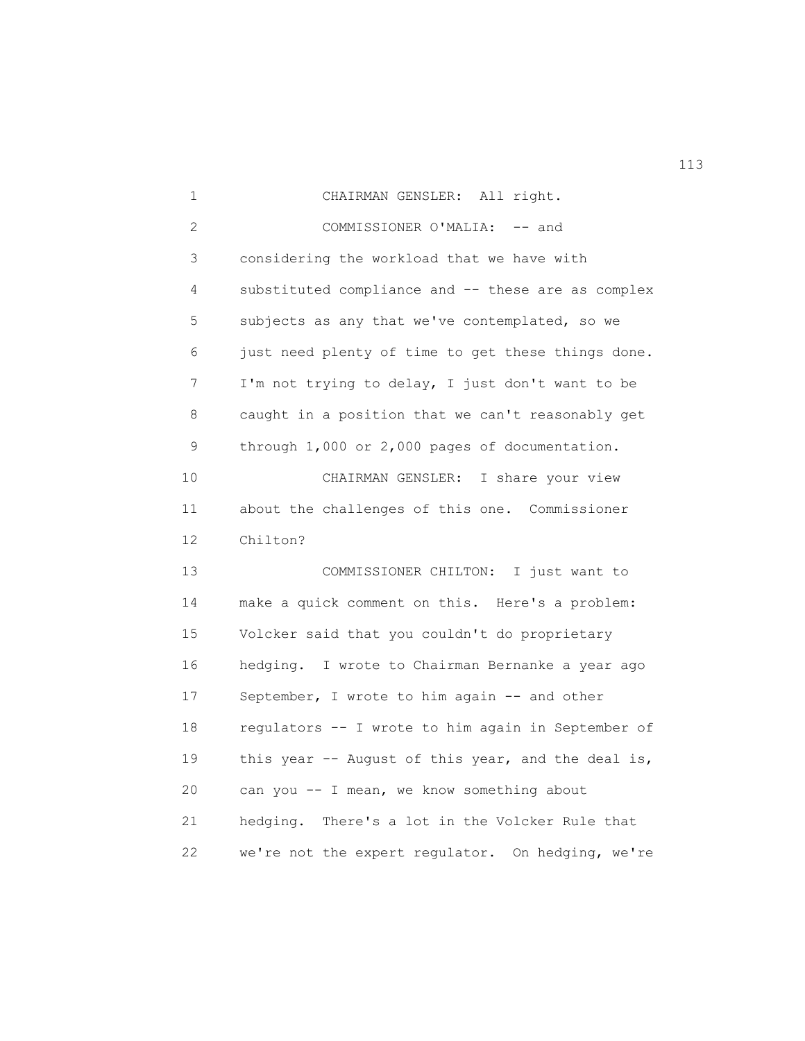1 CHAIRMAN GENSLER: All right. 2 COMMISSIONER O'MALIA: -- and 3 considering the workload that we have with 4 substituted compliance and -- these are as complex 5 subjects as any that we've contemplated, so we 6 just need plenty of time to get these things done. 7 I'm not trying to delay, I just don't want to be 8 caught in a position that we can't reasonably get 9 through 1,000 or 2,000 pages of documentation. 10 CHAIRMAN GENSLER: I share your view 11 about the challenges of this one. Commissioner 12 Chilton? 13 COMMISSIONER CHILTON: I just want to 14 make a quick comment on this. Here's a problem: 15 Volcker said that you couldn't do proprietary 16 hedging. I wrote to Chairman Bernanke a year ago 17 September, I wrote to him again -- and other 18 regulators -- I wrote to him again in September of 19 this year -- August of this year, and the deal is, 20 can you -- I mean, we know something about 21 hedging. There's a lot in the Volcker Rule that 22 we're not the expert regulator. On hedging, we're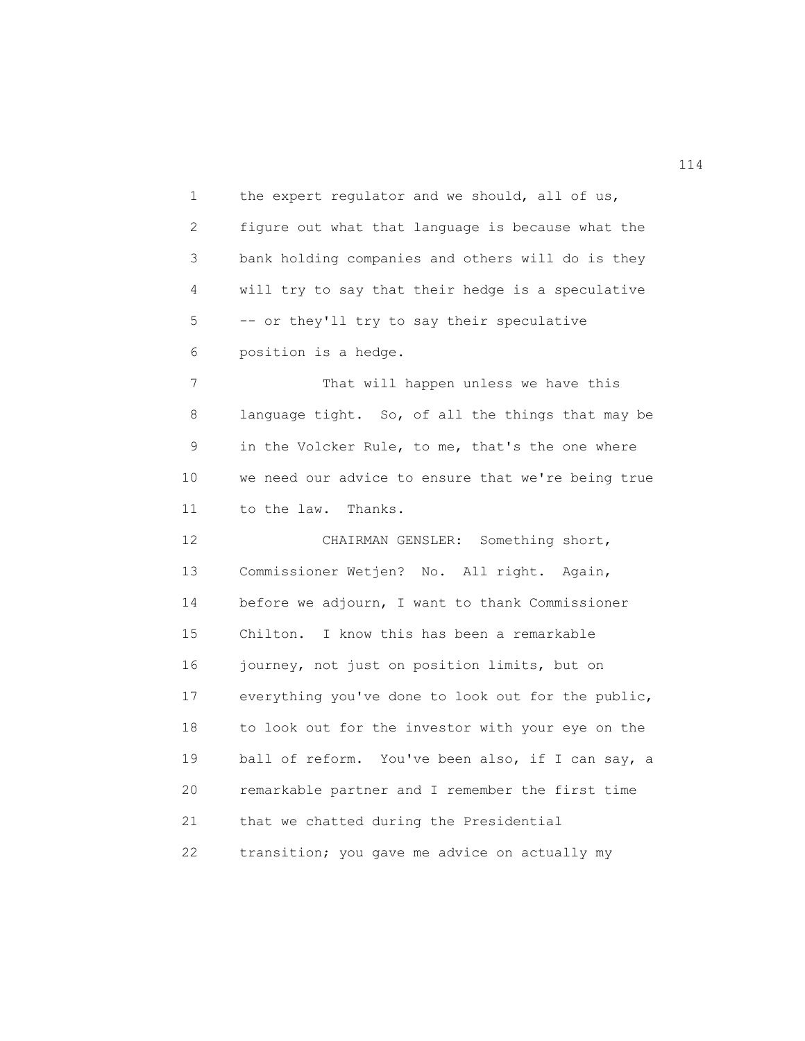1 the expert regulator and we should, all of us, 2 figure out what that language is because what the 3 bank holding companies and others will do is they 4 will try to say that their hedge is a speculative 5 -- or they'll try to say their speculative 6 position is a hedge. 7 That will happen unless we have this 8 language tight. So, of all the things that may be 9 in the Volcker Rule, to me, that's the one where 10 we need our advice to ensure that we're being true 11 to the law. Thanks. 12 CHAIRMAN GENSLER: Something short, 13 Commissioner Wetjen? No. All right. Again, 14 before we adjourn, I want to thank Commissioner 15 Chilton. I know this has been a remarkable 16 journey, not just on position limits, but on 17 everything you've done to look out for the public, 18 to look out for the investor with your eye on the 19 ball of reform. You've been also, if I can say, a

 20 remarkable partner and I remember the first time 21 that we chatted during the Presidential 22 transition; you gave me advice on actually my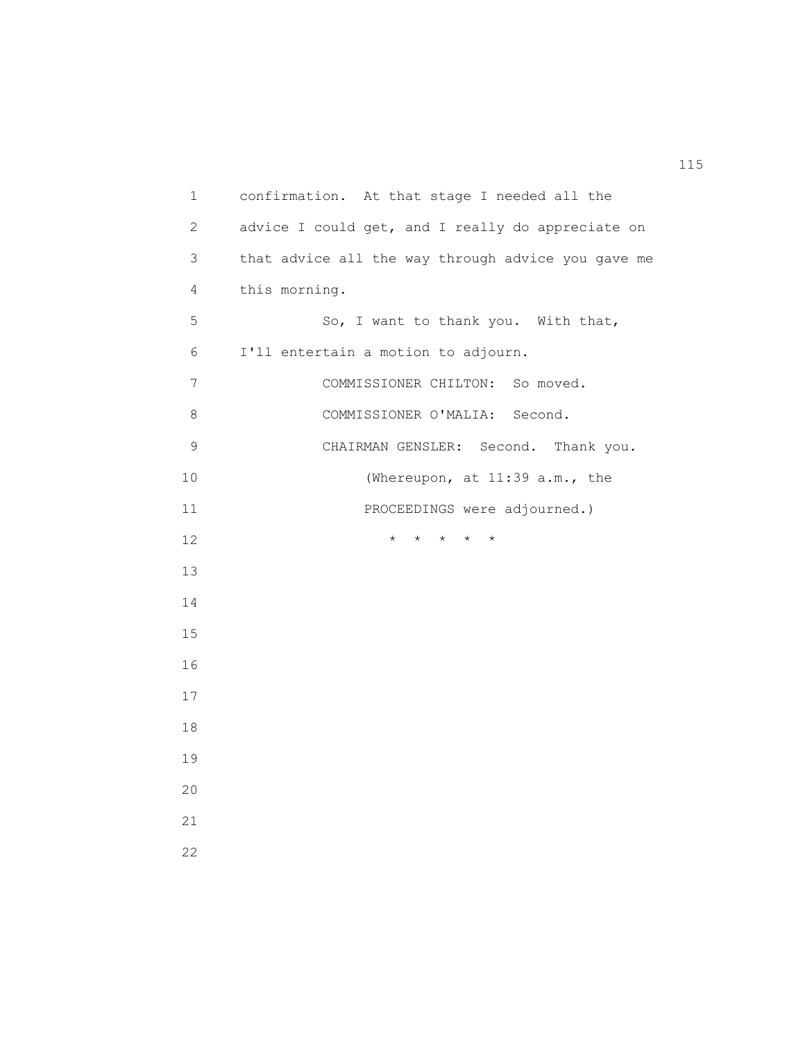1 confirmation. At that stage I needed all the 2 advice I could get, and I really do appreciate on 3 that advice all the way through advice you gave me 4 this morning. 5 So, I want to thank you. With that, 6 I'll entertain a motion to adjourn. 7 COMMISSIONER CHILTON: So moved. 8 COMMISSIONER O'MALIA: Second. 9 CHAIRMAN GENSLER: Second. Thank you. 10 (Whereupon, at 11:39 a.m., the 11 PROCEEDINGS were adjourned.) 12 \* \* \* \* \* 13 14 15 16 17 18 19 20 21 22